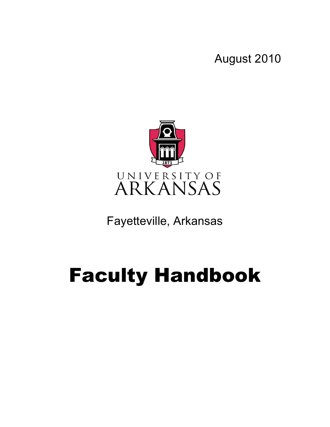August 2010



Fayetteville, Arkansas

# Faculty Handbook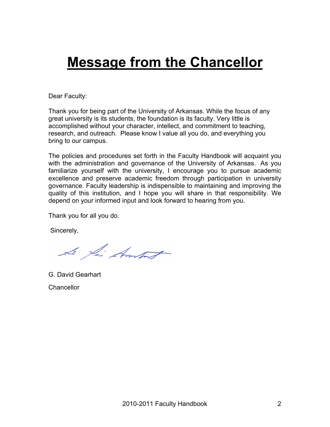## **Message from the Chancellor**

Dear Faculty:

Thank you for being part of the University of Arkansas. While the focus of any great university is its students, the foundation is its faculty. Very little is accomplished without your character, intellect, and commitment to teaching, research, and outreach. Please know I value all you do, and everything you bring to our campus.

The policies and procedures set forth in the Faculty Handbook will acquaint you with the administration and governance of the University of Arkansas. As you familiarize yourself with the university, I encourage you to pursue academic excellence and preserve academic freedom through participation in university governance. Faculty leadership is indispensible to maintaining and improving the quality of this institution, and I hope you will share in that responsibility. We depend on your informed input and look forward to hearing from you.

Thank you for all you do.

Sincerely,

Le fai Amport

G. David Gearhart **Chancellor**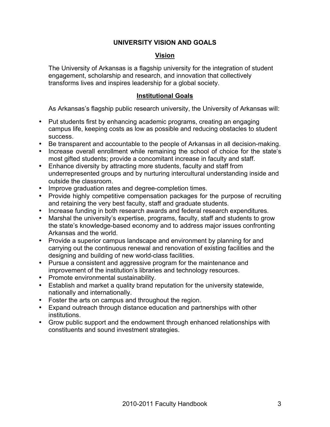#### **UNIVERSITY VISION AND GOALS**

#### **Vision**

The University of Arkansas is a flagship university for the integration of student engagement, scholarship and research, and innovation that collectively transforms lives and inspires leadership for a global society.

#### **Institutional Goals**

As Arkansas's flagship public research university, the University of Arkansas will:

- Put students first by enhancing academic programs, creating an engaging campus life, keeping costs as low as possible and reducing obstacles to student success.
- Be transparent and accountable to the people of Arkansas in all decision-making.
- Increase overall enrollment while remaining the school of choice for the state's most gifted students; provide a concomitant increase in faculty and staff.
- Enhance diversity by attracting more students, faculty and staff from underrepresented groups and by nurturing intercultural understanding inside and outside the classroom.
- Improve graduation rates and degree-completion times.
- Provide highly competitive compensation packages for the purpose of recruiting and retaining the very best faculty, staff and graduate students.
- Increase funding in both research awards and federal research expenditures.
- Marshal the university's expertise, programs, faculty, staff and students to grow the state's knowledge-based economy and to address major issues confronting Arkansas and the world.
- Provide a superior campus landscape and environment by planning for and carrying out the continuous renewal and renovation of existing facilities and the designing and building of new world-class facilities.
- Pursue a consistent and aggressive program for the maintenance and improvement of the institution's libraries and technology resources.
- Promote environmental sustainability.
- Establish and market a quality brand reputation for the university statewide, nationally and internationally.
- Foster the arts on campus and throughout the region.
- Expand outreach through distance education and partnerships with other institutions.
- Grow public support and the endowment through enhanced relationships with constituents and sound investment strategies.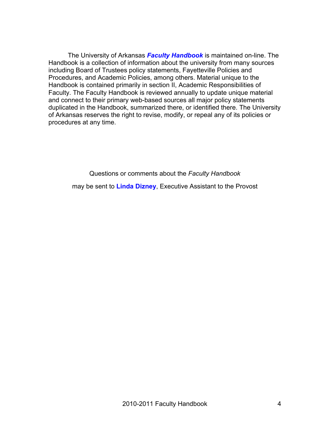The University of Arkansas *Faculty Handbook* is maintained on-line. The Handbook is a collection of information about the university from many sources including Board of Trustees policy statements, Fayetteville Policies and Procedures, and Academic Policies, among others. Material unique to the Handbook is contained primarily in section II, Academic Responsibilities of Faculty. The Faculty Handbook is reviewed annually to update unique material and connect to their primary web-based sources all major policy statements duplicated in the Handbook, summarized there, or identified there. The University of Arkansas reserves the right to revise, modify, or repeal any of its policies or procedures at any time.

Questions or comments about the *Faculty Handbook*

may be sent to **Linda Dizney**, Executive Assistant to the Provost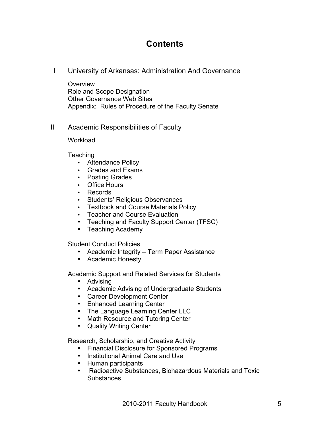## **Contents**

I University of Arkansas: Administration And Governance

**Overview** Role and Scope Designation Other Governance Web Sites Appendix: Rules of Procedure of the Faculty Senate

II Academic Responsibilities of Faculty

**Workload** 

Teaching

- Attendance Policy
- Grades and Exams
- Posting Grades
- Office Hours
- Records
- Students' Religious Observances
- Textbook and Course Materials Policy
- Teacher and Course Evaluation
- Teaching and Faculty Support Center (TFSC)
- Teaching Academy

Student Conduct Policies

- Academic Integrity Term Paper Assistance
- Academic Honesty

Academic Support and Related Services for Students

- Advising
- Academic Advising of Undergraduate Students
- Career Development Center
- Enhanced Learning Center
- The Language Learning Center LLC
- Math Resource and Tutoring Center
- Quality Writing Center

Research, Scholarship, and Creative Activity

- Financial Disclosure for Sponsored Programs
- Institutional Animal Care and Use
- Human participants
- Radioactive Substances, Biohazardous Materials and Toxic **Substances**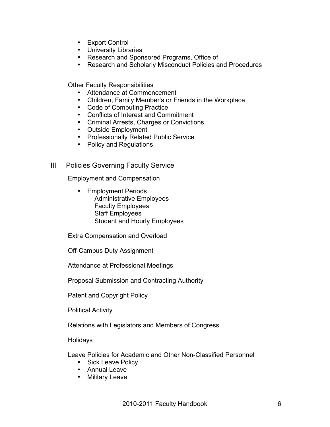- Export Control
- University Libraries
- Research and Sponsored Programs, Office of
- Research and Scholarly Misconduct Policies and Procedures

Other Faculty Responsibilities

- Attendance at Commencement
- Children, Family Member's or Friends in the Workplace
- Code of Computing Practice
- Conflicts of Interest and Commitment
- Criminal Arrests, Charges or Convictions
- Outside Employment
- Professionally Related Public Service
- Policy and Regulations
- III Policies Governing Faculty Service

Employment and Compensation

• Employment Periods Administrative Employees Faculty Employees Staff Employees Student and Hourly Employees

Extra Compensation and Overload

Off-Campus Duty Assignment

Attendance at Professional Meetings

Proposal Submission and Contracting Authority

Patent and Copyright Policy

Political Activity

Relations with Legislators and Members of Congress

Holidays

Leave Policies for Academic and Other Non-Classified Personnel

- Sick Leave Policy
- Annual Leave
- Military Leave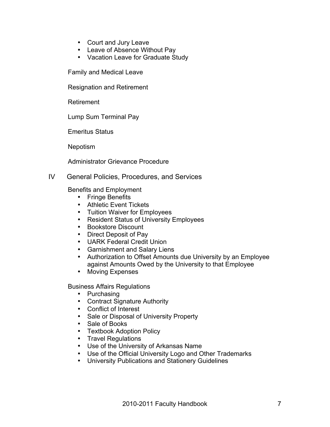- Court and Jury Leave
- Leave of Absence Without Pay
- Vacation Leave for Graduate Study

Family and Medical Leave

Resignation and Retirement

Retirement

Lump Sum Terminal Pay

Emeritus Status

Nepotism

Administrator Grievance Procedure

#### IV General Policies, Procedures, and Services

Benefits and Employment

- Fringe Benefits
- Athletic Event Tickets
- Tuition Waiver for Employees
- Resident Status of University Employees
- Bookstore Discount
- Direct Deposit of Pay
- UARK Federal Credit Union
- Garnishment and Salary Liens
- Authorization to Offset Amounts due University by an Employee against Amounts Owed by the University to that Employee
- Moving Expenses

Business Affairs Regulations

- Purchasing
- Contract Signature Authority
- Conflict of Interest
- Sale or Disposal of University Property
- Sale of Books
- Textbook Adoption Policy
- Travel Regulations
- Use of the University of Arkansas Name
- Use of the Official University Logo and Other Trademarks
- University Publications and Stationery Guidelines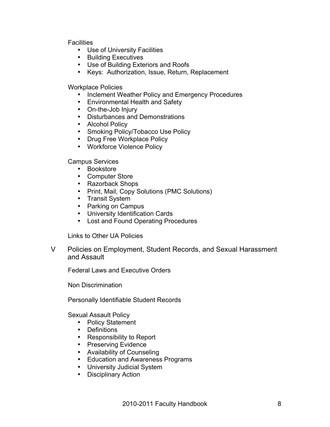**Facilities** 

- Use of University Facilities
- Building Executives
- Use of Building Exteriors and Roofs
- Keys: Authorization, Issue, Return, Replacement

Workplace Policies

- Inclement Weather Policy and Emergency Procedures
- Environmental Health and Safety
- On-the-Job Injury
- Disturbances and Demonstrations
- Alcohol Policy
- Smoking Policy/Tobacco Use Policy
- Drug Free Workplace Policy
- Workforce Violence Policy

Campus Services

- Bookstore
- Computer Store
- Razorback Shops
- Print, Mail, Copy Solutions (PMC Solutions)
- Transit System
- Parking on Campus
- University Identification Cards
- Lost and Found Operating Procedures

Links to Other UA Policies

V Policies on Employment, Student Records, and Sexual Harassment and Assault

Federal Laws and Executive Orders

Non Discrimination

Personally Identifiable Student Records

Sexual Assault Policy

- Policy Statement
- Definitions
- Responsibility to Report
- Preserving Evidence
- Availability of Counseling
- Education and Awareness Programs
- University Judicial System
- Disciplinary Action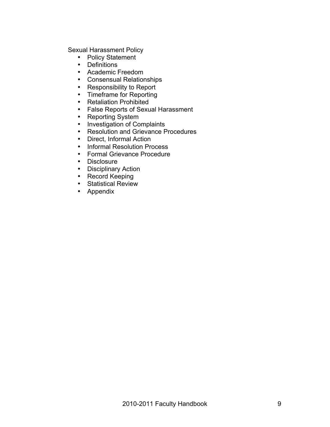Sexual Harassment Policy

- Policy Statement
- Definitions
- Academic Freedom
- Consensual Relationships
- Responsibility to Report
- Timeframe for Reporting
- Retaliation Prohibited
- False Reports of Sexual Harassment
- Reporting System
- Investigation of Complaints
- Resolution and Grievance Procedures<br>• Direct. Informal Action
- Direct, Informal Action<br>• Informal Resolution Pro
- Informal Resolution Process<br>• Formal Grievance Procedure
- Formal Grievance Procedure
- 
- Disclosure<br>• Disciplinary • Disciplinary Action
- Record Keeping
- Statistical Review
- Appendix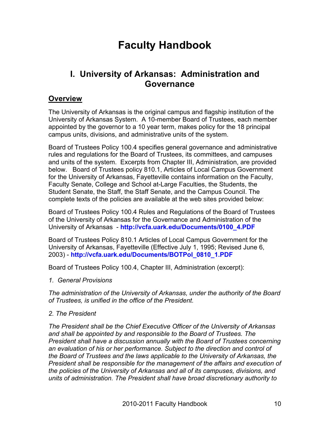## **Faculty Handbook**

## **I. University of Arkansas: Administration and Governance**

#### **Overview**

The University of Arkansas is the original campus and flagship institution of the University of Arkansas System. A 10-member Board of Trustees, each member appointed by the governor to a 10 year term, makes policy for the 18 principal campus units, divisions, and administrative units of the system.

Board of Trustees Policy 100.4 specifies general governance and administrative rules and regulations for the Board of Trustees, its committees, and campuses and units of the system. Excerpts from Chapter III, Administration, are provided below. Board of Trustees policy 810.1, Articles of Local Campus Government for the University of Arkansas, Fayetteville contains information on the Faculty, Faculty Senate, College and School at-Large Faculties, the Students, the Student Senate, the Staff, the Staff Senate, and the Campus Council. The complete texts of the policies are available at the web sites provided below:

Board of Trustees Policy 100.4 Rules and Regulations of the Board of Trustees of the University of Arkansas for the Governance and Administration of the University of Arkansas - **http://vcfa.uark.edu/Documents/0100\_4.PDF**

Board of Trustees Policy 810.1 Articles of Local Campus Government for the University of Arkansas, Fayetteville (Effective July 1, 1995; Revised June 6, 2003) - **http://vcfa.uark.edu/Documents/BOTPol\_0810\_1.PDF**

Board of Trustees Policy 100.4, Chapter III, Administration (excerpt):

*1. General Provisions*

*The administration of the University of Arkansas, under the authority of the Board of Trustees, is unified in the office of the President.* 

#### *2. The President*

*The President shall be the Chief Executive Officer of the University of Arkansas and shall be appointed by and responsible to the Board of Trustees. The President shall have a discussion annually with the Board of Trustees concerning an evaluation of his or her performance. Subject to the direction and control of the Board of Trustees and the laws applicable to the University of Arkansas, the President shall be responsible for the management of the affairs and execution of the policies of the University of Arkansas and all of its campuses, divisions, and units of administration. The President shall have broad discretionary authority to*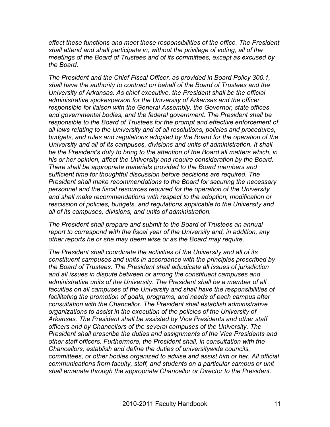*effect these functions and meet these responsibilities of the office. The President shall attend and shall participate in, without the privilege of voting, all of the meetings of the Board of Trustees and of its committees, except as excused by the Board.* 

*The President and the Chief Fiscal Officer, as provided in Board Policy 300.1, shall have the authority to contract on behalf of the Board of Trustees and the University of Arkansas. As chief executive, the President shall be the official administrative spokesperson for the University of Arkansas and the officer responsible for liaison with the General Assembly, the Governor, state offices and governmental bodies, and the federal government. The President shall be responsible to the Board of Trustees for the prompt and effective enforcement of all laws relating to the University and of all resolutions, policies and procedures, budgets, and rules and regulations adopted by the Board for the operation of the University and all of its campuses, divisions and units of administration. It shall be the President's duty to bring to the attention of the Board all matters which, in his or her opinion, affect the University and require consideration by the Board. There shall be appropriate materials provided to the Board members and sufficient time for thoughtful discussion before decisions are required. The President shall make recommendations to the Board for securing the necessary personnel and the fiscal resources required for the operation of the University and shall make recommendations with respect to the adoption, modification or rescission of policies, budgets, and regulations applicable to the University and all of its campuses, divisions, and units of administration.* 

*The President shall prepare and submit to the Board of Trustees an annual report to correspond with the fiscal year of the University and, in addition, any other reports he or she may deem wise or as the Board may require.* 

*The President shall coordinate the activities of the University and all of its constituent campuses and units in accordance with the principles prescribed by the Board of Trustees. The President shall adjudicate all issues of jurisdiction and all issues in dispute between or among the constituent campuses and*  administrative units of the University. The President shall be a member of all *faculties on all campuses of the University and shall have the responsibilities of facilitating the promotion of goals, programs, and needs of each campus after consultation with the Chancellor. The President shall establish administrative organizations to assist in the execution of the policies of the University of Arkansas. The President shall be assisted by Vice Presidents and other staff officers and by Chancellors of the several campuses of the University. The President shall prescribe the duties and assignments of the Vice Presidents and other staff officers. Furthermore, the President shall, in consultation with the Chancellors, establish and define the duties of universitywide councils, committees, or other bodies organized to advise and assist him or her. All official communications from faculty, staff, and students on a particular campus or unit shall emanate through the appropriate Chancellor or Director to the President.*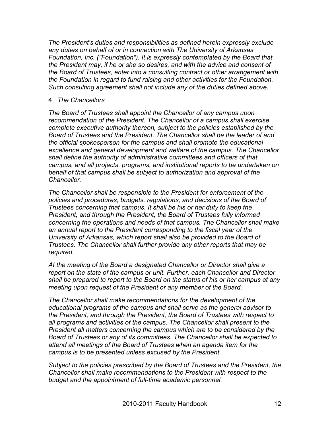*The President's duties and responsibilities as defined herein expressly exclude any duties on behalf of or in connection with The University of Arkansas Foundation, Inc. ("Foundation"). It is expressly contemplated by the Board that the President may, if he or she so desires, and with the advice and consent of the Board of Trustees, enter into a consulting contract or other arrangement with the Foundation in regard to fund raising and other activities for the Foundation. Such consulting agreement shall not include any of the duties defined above.* 

#### 4. *The Chancellors*

*The Board of Trustees shall appoint the Chancellor of any campus upon recommendation of the President. The Chancellor of a campus shall exercise complete executive authority thereon, subject to the policies established by the Board of Trustees and the President. The Chancellor shall be the leader of and the official spokesperson for the campus and shall promote the educational excellence and general development and welfare of the campus. The Chancellor shall define the authority of administrative committees and officers of that campus, and all projects, programs, and institutional reports to be undertaken on behalf of that campus shall be subject to authorization and approval of the Chancellor.*

*The Chancellor shall be responsible to the President for enforcement of the policies and procedures, budgets, regulations, and decisions of the Board of Trustees concerning that campus. It shall be his or her duty to keep the President, and through the President, the Board of Trustees fully informed concerning the operations and needs of that campus. The Chancellor shall make an annual report to the President corresponding to the fiscal year of the University of Arkansas, which report shall also be provided to the Board of Trustees. The Chancellor shall further provide any other reports that may be required.*

*At the meeting of the Board a designated Chancellor or Director shall give a report on the state of the campus or unit. Further, each Chancellor and Director shall be prepared to report to the Board on the status of his or her campus at any meeting upon request of the President or any member of the Board.*

*The Chancellor shall make recommendations for the development of the educational programs of the campus and shall serve as the general advisor to the President, and through the President, the Board of Trustees with respect to all programs and activities of the campus. The Chancellor shall present to the President all matters concerning the campus which are to be considered by the Board of Trustees or any of its committees. The Chancellor shall be expected to attend all meetings of the Board of Trustees when an agenda item for the campus is to be presented unless excused by the President.*

*Subject to the policies prescribed by the Board of Trustees and the President, the Chancellor shall make recommendations to the President with respect to the budget and the appointment of full-time academic personnel.*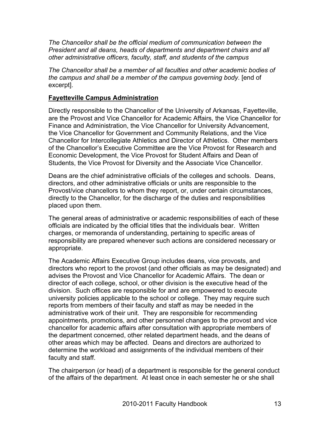*The Chancellor shall be the official medium of communication between the President and all deans, heads of departments and department chairs and all other administrative officers, faculty, staff, and students of the campus*

*The Chancellor shall be a member of all faculties and other academic bodies of the campus and shall be a member of the campus governing body*. [end of excerpt].

#### **Fayetteville Campus Administration**

Directly responsible to the Chancellor of the University of Arkansas, Fayetteville, are the Provost and Vice Chancellor for Academic Affairs, the Vice Chancellor for Finance and Administration, the Vice Chancellor for University Advancement, the Vice Chancellor for Government and Community Relations, and the Vice Chancellor for Intercollegiate Athletics and Director of Athletics. Other members of the Chancellor's Executive Committee are the Vice Provost for Research and Economic Development, the Vice Provost for Student Affairs and Dean of Students, the Vice Provost for Diversity and the Associate Vice Chancellor.

Deans are the chief administrative officials of the colleges and schools. Deans, directors, and other administrative officials or units are responsible to the Provost/vice chancellors to whom they report, or, under certain circumstances, directly to the Chancellor, for the discharge of the duties and responsibilities placed upon them.

The general areas of administrative or academic responsibilities of each of these officials are indicated by the official titles that the individuals bear. Written charges, or memoranda of understanding, pertaining to specific areas of responsibility are prepared whenever such actions are considered necessary or appropriate.

The Academic Affairs Executive Group includes deans, vice provosts, and directors who report to the provost (and other officials as may be designated) and advises the Provost and Vice Chancellor for Academic Affairs. The dean or director of each college, school, or other division is the executive head of the division. Such offices are responsible for and are empowered to execute university policies applicable to the school or college. They may require such reports from members of their faculty and staff as may be needed in the administrative work of their unit. They are responsible for recommending appointments, promotions, and other personnel changes to the provost and vice chancellor for academic affairs after consultation with appropriate members of the department concerned, other related department heads, and the deans of other areas which may be affected. Deans and directors are authorized to determine the workload and assignments of the individual members of their faculty and staff.

The chairperson (or head) of a department is responsible for the general conduct of the affairs of the department. At least once in each semester he or she shall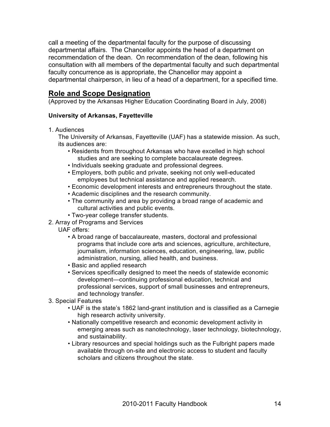call a meeting of the departmental faculty for the purpose of discussing departmental affairs. The Chancellor appoints the head of a department on recommendation of the dean. On recommendation of the dean, following his consultation with all members of the departmental faculty and such departmental faculty concurrence as is appropriate, the Chancellor may appoint a departmental chairperson, in lieu of a head of a department, for a specified time.

#### **Role and Scope Designation**

(Approved by the Arkansas Higher Education Coordinating Board in July, 2008)

#### **University of Arkansas, Fayetteville**

1. Audiences

The University of Arkansas, Fayetteville (UAF) has a statewide mission. As such, its audiences are:

- Residents from throughout Arkansas who have excelled in high school studies and are seeking to complete baccalaureate degrees.
- Individuals seeking graduate and professional degrees.
- Employers, both public and private, seeking not only well-educated employees but technical assistance and applied research.
- Economic development interests and entrepreneurs throughout the state.
- Academic disciplines and the research community.
- The community and area by providing a broad range of academic and cultural activities and public events.
- Two-year college transfer students.
- 2. Array of Programs and Services
	- UAF offers:
		- A broad range of baccalaureate, masters, doctoral and professional programs that include core arts and sciences, agriculture, architecture, journalism, information sciences, education, engineering, law, public administration, nursing, allied health, and business.
		- Basic and applied research
		- Services specifically designed to meet the needs of statewide economic development—continuing professional education, technical and professional services, support of small businesses and entrepreneurs, and technology transfer.
- 3. Special Features
	- UAF is the state's 1862 land-grant institution and is classified as a Carnegie high research activity university.
	- Nationally competitive research and economic development activity in emerging areas such as nanotechnology, laser technology, biotechnology, and sustainability.
	- Library resources and special holdings such as the Fulbright papers made available through on-site and electronic access to student and faculty scholars and citizens throughout the state.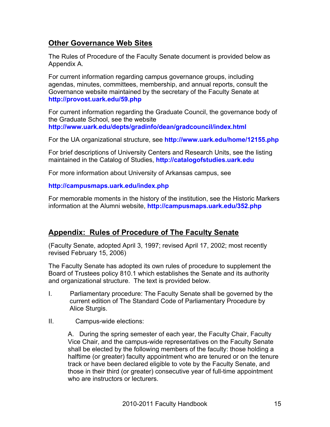#### **Other Governance Web Sites**

The Rules of Procedure of the Faculty Senate document is provided below as Appendix A.

For current information regarding campus governance groups, including agendas, minutes, committees, membership, and annual reports, consult the Governance website maintained by the secretary of the Faculty Senate at **http://provost.uark.edu/59.php**

For current information regarding the Graduate Council, the governance body of the Graduate School, see the website **http://www.uark.edu/depts/gradinfo/dean/gradcouncil/index.html**

For the UA organizational structure, see **http://www.uark.edu/home/12155.php**

For brief descriptions of University Centers and Research Units, see the listing maintained in the Catalog of Studies, **http://catalogofstudies.uark.edu**

For more information about University of Arkansas campus, see

#### **http://campusmaps.uark.edu/index.php**

For memorable moments in the history of the institution, see the Historic Markers information at the Alumni website, **http://campusmaps.uark.edu/352.php**

### **Appendix: Rules of Procedure of The Faculty Senate**

(Faculty Senate, adopted April 3, 1997; revised April 17, 2002; most recently revised February 15, 2006)

The Faculty Senate has adopted its own rules of procedure to supplement the Board of Trustees policy 810.1 which establishes the Senate and its authority and organizational structure. The text is provided below.

- I. Parliamentary procedure: The Faculty Senate shall be governed by the current edition of The Standard Code of Parliamentary Procedure by Alice Sturgis.
- II. Campus-wide elections:

A. During the spring semester of each year, the Faculty Chair, Faculty Vice Chair, and the campus-wide representatives on the Faculty Senate shall be elected by the following members of the faculty: those holding a halftime (or greater) faculty appointment who are tenured or on the tenure track or have been declared eligible to vote by the Faculty Senate, and those in their third (or greater) consecutive year of full-time appointment who are instructors or lecturers.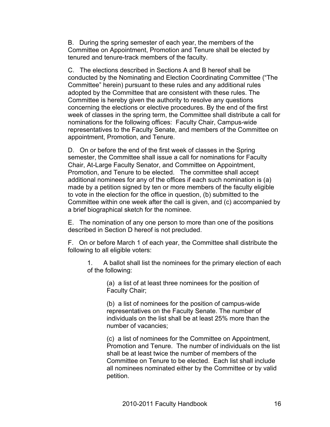B. During the spring semester of each year, the members of the Committee on Appointment, Promotion and Tenure shall be elected by tenured and tenure-track members of the faculty.

C. The elections described in Sections A and B hereof shall be conducted by the Nominating and Election Coordinating Committee ("The Committee" herein) pursuant to these rules and any additional rules adopted by the Committee that are consistent with these rules. The Committee is hereby given the authority to resolve any questions concerning the elections or elective procedures. By the end of the first week of classes in the spring term, the Committee shall distribute a call for nominations for the following offices: Faculty Chair, Campus-wide representatives to the Faculty Senate, and members of the Committee on appointment, Promotion, and Tenure.

D. On or before the end of the first week of classes in the Spring semester, the Committee shall issue a call for nominations for Faculty Chair, At-Large Faculty Senator, and Committee on Appointment, Promotion, and Tenure to be elected. The committee shall accept additional nominees for any of the offices if each such nomination is (a) made by a petition signed by ten or more members of the faculty eligible to vote in the election for the office in question, (b) submitted to the Committee within one week after the call is given, and (c) accompanied by a brief biographical sketch for the nominee.

E. The nomination of any one person to more than one of the positions described in Section D hereof is not precluded.

F. On or before March 1 of each year, the Committee shall distribute the following to all eligible voters:

1. A ballot shall list the nominees for the primary election of each of the following:

> (a) a list of at least three nominees for the position of Faculty Chair;

(b) a list of nominees for the position of campus-wide representatives on the Faculty Senate. The number of individuals on the list shall be at least 25% more than the number of vacancies;

(c) a list of nominees for the Committee on Appointment, Promotion and Tenure. The number of individuals on the list shall be at least twice the number of members of the Committee on Tenure to be elected. Each list shall include all nominees nominated either by the Committee or by valid petition.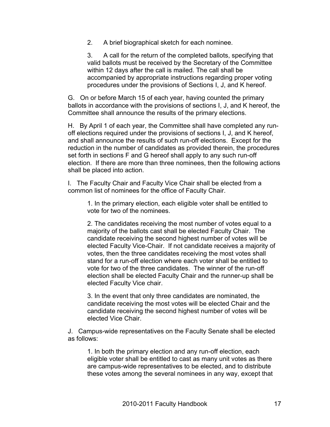2. A brief biographical sketch for each nominee.

3. A call for the return of the completed ballots, specifying that valid ballots must be received by the Secretary of the Committee within 12 days after the call is mailed. The call shall be accompanied by appropriate instructions regarding proper voting procedures under the provisions of Sections I, J, and K hereof.

G. On or before March 15 of each year, having counted the primary ballots in accordance with the provisions of sections I, J, and K hereof, the Committee shall announce the results of the primary elections.

H. By April 1 of each year, the Committee shall have completed any runoff elections required under the provisions of sections I, J, and K hereof, and shall announce the results of such run-off elections. Except for the reduction in the number of candidates as provided therein, the procedures set forth in sections F and G hereof shall apply to any such run-off election. If there are more than three nominees, then the following actions shall be placed into action.

I. The Faculty Chair and Faculty Vice Chair shall be elected from a common list of nominees for the office of Faculty Chair.

1. In the primary election, each eligible voter shall be entitled to vote for two of the nominees.

2. The candidates receiving the most number of votes equal to a majority of the ballots cast shall be elected Faculty Chair. The candidate receiving the second highest number of votes will be elected Faculty Vice-Chair. If not candidate receives a majority of votes, then the three candidates receiving the most votes shall stand for a run-off election where each voter shall be entitled to vote for two of the three candidates. The winner of the run-off election shall be elected Faculty Chair and the runner-up shall be elected Faculty Vice chair.

3. In the event that only three candidates are nominated, the candidate receiving the most votes will be elected Chair and the candidate receiving the second highest number of votes will be elected Vice Chair.

J. Campus-wide representatives on the Faculty Senate shall be elected as follows:

1. In both the primary election and any run-off election, each eligible voter shall be entitled to cast as many unit votes as there are campus-wide representatives to be elected, and to distribute these votes among the several nominees in any way, except that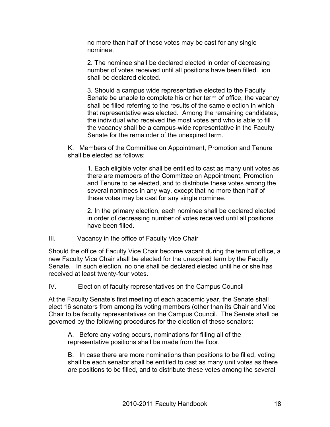no more than half of these votes may be cast for any single nominee.

2. The nominee shall be declared elected in order of decreasing number of votes received until all positions have been filled. ion shall be declared elected.

3. Should a campus wide representative elected to the Faculty Senate be unable to complete his or her term of office, the vacancy shall be filled referring to the results of the same election in which that representative was elected. Among the remaining candidates, the individual who received the most votes and who is able to fill the vacancy shall be a campus-wide representative in the Faculty Senate for the remainder of the unexpired term.

K. Members of the Committee on Appointment, Promotion and Tenure shall be elected as follows:

1. Each eligible voter shall be entitled to cast as many unit votes as there are members of the Committee on Appointment, Promotion and Tenure to be elected, and to distribute these votes among the several nominees in any way, except that no more than half of these votes may be cast for any single nominee.

2. In the primary election, each nominee shall be declared elected in order of decreasing number of votes received until all positions have been filled.

#### III. Vacancy in the office of Faculty Vice Chair

Should the office of Faculty Vice Chair become vacant during the term of office, a new Faculty Vice Chair shall be elected for the unexpired term by the Faculty Senate. In such election, no one shall be declared elected until he or she has received at least twenty-four votes.

IV. Election of faculty representatives on the Campus Council

At the Faculty Senate's first meeting of each academic year, the Senate shall elect 16 senators from among its voting members (other than its Chair and Vice Chair to be faculty representatives on the Campus Council. The Senate shall be governed by the following procedures for the election of these senators:

A. Before any voting occurs, nominations for filling all of the representative positions shall be made from the floor.

B. In case there are more nominations than positions to be filled, voting shall be each senator shall be entitled to cast as many unit votes as there are positions to be filled, and to distribute these votes among the several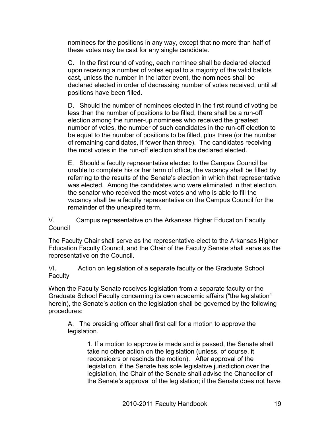nominees for the positions in any way, except that no more than half of these votes may be cast for any single candidate.

C. In the first round of voting, each nominee shall be declared elected upon receiving a number of votes equal to a majority of the valid ballots cast, unless the number In the latter event, the nominees shall be declared elected in order of decreasing number of votes received, until all positions have been filled.

D. Should the number of nominees elected in the first round of voting be less than the number of positions to be filled, there shall be a run-off election among the runner-up nominees who received the greatest number of votes, the number of such candidates in the run-off election to be equal to the number of positions to be filled, plus three (or the number of remaining candidates, if fewer than three). The candidates receiving the most votes in the run-off election shall be declared elected.

E. Should a faculty representative elected to the Campus Council be unable to complete his or her term of office, the vacancy shall be filled by referring to the results of the Senate's election in which that representative was elected. Among the candidates who were eliminated in that election, the senator who received the most votes and who is able to fill the vacancy shall be a faculty representative on the Campus Council for the remainder of the unexpired term.

V. Campus representative on the Arkansas Higher Education Faculty Council

The Faculty Chair shall serve as the representative-elect to the Arkansas Higher Education Faculty Council, and the Chair of the Faculty Senate shall serve as the representative on the Council.

VI. Action on legislation of a separate faculty or the Graduate School **Faculty** 

When the Faculty Senate receives legislation from a separate faculty or the Graduate School Faculty concerning its own academic affairs ("the legislation" herein), the Senate's action on the legislation shall be governed by the following procedures:

A. The presiding officer shall first call for a motion to approve the legislation.

> 1. If a motion to approve is made and is passed, the Senate shall take no other action on the legislation (unless, of course, it reconsiders or rescinds the motion). After approval of the legislation, if the Senate has sole legislative jurisdiction over the legislation, the Chair of the Senate shall advise the Chancellor of the Senate's approval of the legislation; if the Senate does not have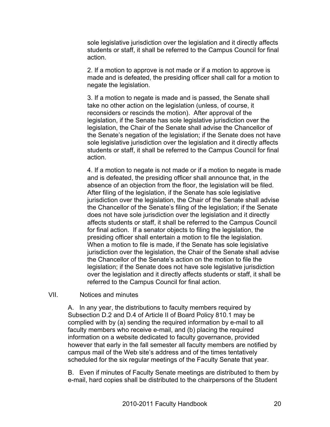sole legislative jurisdiction over the legislation and it directly affects students or staff, it shall be referred to the Campus Council for final action.

2. If a motion to approve is not made or if a motion to approve is made and is defeated, the presiding officer shall call for a motion to negate the legislation.

3. If a motion to negate is made and is passed, the Senate shall take no other action on the legislation (unless, of course, it reconsiders or rescinds the motion). After approval of the legislation, if the Senate has sole legislative jurisdiction over the legislation, the Chair of the Senate shall advise the Chancellor of the Senate's negation of the legislation; if the Senate does not have sole legislative jurisdiction over the legislation and it directly affects students or staff, it shall be referred to the Campus Council for final action.

4. If a motion to negate is not made or if a motion to negate is made and is defeated, the presiding officer shall announce that, in the absence of an objection from the floor, the legislation will be filed. After filing of the legislation, if the Senate has sole legislative jurisdiction over the legislation, the Chair of the Senate shall advise the Chancellor of the Senate's filing of the legislation; if the Senate does not have sole jurisdiction over the legislation and it directly affects students or staff, it shall be referred to the Campus Council for final action. If a senator objects to filing the legislation, the presiding officer shall entertain a motion to file the legislation. When a motion to file is made, if the Senate has sole legislative jurisdiction over the legislation, the Chair of the Senate shall advise the Chancellor of the Senate's action on the motion to file the legislation; if the Senate does not have sole legislative jurisdiction over the legislation and it directly affects students or staff, it shall be referred to the Campus Council for final action.

#### VII. Notices and minutes

A. In any year, the distributions to faculty members required by Subsection D.2 and D.4 of Article II of Board Policy 810.1 may be complied with by (a) sending the required information by e-mail to all faculty members who receive e-mail, and (b) placing the required information on a website dedicated to faculty governance, provided however that early in the fall semester all faculty members are notified by campus mail of the Web site's address and of the times tentatively scheduled for the six regular meetings of the Faculty Senate that year.

B. Even if minutes of Faculty Senate meetings are distributed to them by e-mail, hard copies shall be distributed to the chairpersons of the Student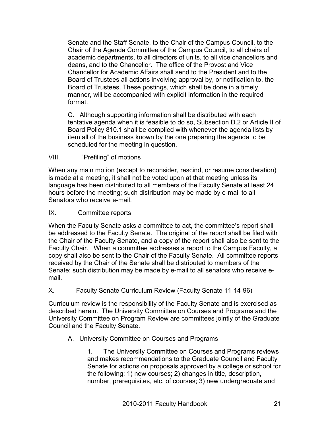Senate and the Staff Senate, to the Chair of the Campus Council, to the Chair of the Agenda Committee of the Campus Council, to all chairs of academic departments, to all directors of units, to all vice chancellors and deans, and to the Chancellor. The office of the Provost and Vice Chancellor for Academic Affairs shall send to the President and to the Board of Trustees all actions involving approval by, or notification to, the Board of Trustees. These postings, which shall be done in a timely manner, will be accompanied with explicit information in the required format.

C. Although supporting information shall be distributed with each tentative agenda when it is feasible to do so, Subsection D.2 or Article II of Board Policy 810.1 shall be complied with whenever the agenda lists by item all of the business known by the one preparing the agenda to be scheduled for the meeting in question.

#### VIII. "Prefiling" of motions

When any main motion (except to reconsider, rescind, or resume consideration) is made at a meeting, it shall not be voted upon at that meeting unless its language has been distributed to all members of the Faculty Senate at least 24 hours before the meeting; such distribution may be made by e-mail to all Senators who receive e-mail.

#### IX. Committee reports

When the Faculty Senate asks a committee to act, the committee's report shall be addressed to the Faculty Senate. The original of the report shall be filed with the Chair of the Faculty Senate, and a copy of the report shall also be sent to the Faculty Chair. When a committee addresses a report to the Campus Faculty, a copy shall also be sent to the Chair of the Faculty Senate. All committee reports received by the Chair of the Senate shall be distributed to members of the Senate; such distribution may be made by e-mail to all senators who receive email.

#### X. Faculty Senate Curriculum Review (Faculty Senate 11-14-96)

Curriculum review is the responsibility of the Faculty Senate and is exercised as described herein. The University Committee on Courses and Programs and the University Committee on Program Review are committees jointly of the Graduate Council and the Faculty Senate.

#### A. University Committee on Courses and Programs

1. The University Committee on Courses and Programs reviews and makes recommendations to the Graduate Council and Faculty Senate for actions on proposals approved by a college or school for the following: 1) new courses; 2) changes in title, description, number, prerequisites, etc. of courses; 3) new undergraduate and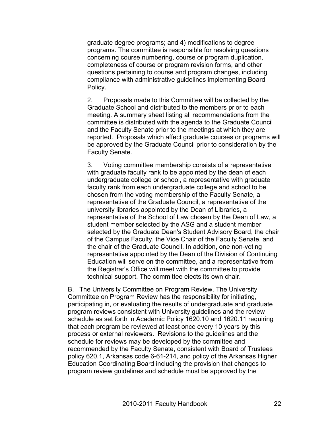graduate degree programs; and 4) modifications to degree programs. The committee is responsible for resolving questions concerning course numbering, course or program duplication, completeness of course or program revision forms, and other questions pertaining to course and program changes, including compliance with administrative guidelines implementing Board Policy.

2. Proposals made to this Committee will be collected by the Graduate School and distributed to the members prior to each meeting. A summary sheet listing all recommendations from the committee is distributed with the agenda to the Graduate Council and the Faculty Senate prior to the meetings at which they are reported. Proposals which affect graduate courses or programs will be approved by the Graduate Council prior to consideration by the Faculty Senate.

3. Voting committee membership consists of a representative with graduate faculty rank to be appointed by the dean of each undergraduate college or school, a representative with graduate faculty rank from each undergraduate college and school to be chosen from the voting membership of the Faculty Senate, a representative of the Graduate Council, a representative of the university libraries appointed by the Dean of Libraries, a representative of the School of Law chosen by the Dean of Law, a student member selected by the ASG and a student member selected by the Graduate Dean's Student Advisory Board, the chair of the Campus Faculty, the Vice Chair of the Faculty Senate, and the chair of the Graduate Council. In addition, one non-voting representative appointed by the Dean of the Division of Continuing Education will serve on the committee, and a representative from the Registrar's Office will meet with the committee to provide technical support. The committee elects its own chair.

B. The University Committee on Program Review. The University Committee on Program Review has the responsibility for initiating, participating in, or evaluating the results of undergraduate and graduate program reviews consistent with University guidelines and the review schedule as set forth in Academic Policy 1620.10 and 1620.11 requiring that each program be reviewed at least once every 10 years by this process or external reviewers. Revisions to the guidelines and the schedule for reviews may be developed by the committee and recommended by the Faculty Senate, consistent with Board of Trustees policy 620.1, Arkansas code 6-61-214, and policy of the Arkansas Higher Education Coordinating Board including the provision that changes to program review guidelines and schedule must be approved by the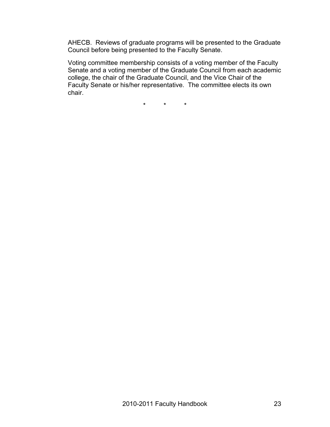AHECB. Reviews of graduate programs will be presented to the Graduate Council before being presented to the Faculty Senate.

Voting committee membership consists of a voting member of the Faculty Senate and a voting member of the Graduate Council from each academic college, the chair of the Graduate Council, and the Vice Chair of the Faculty Senate or his/her representative. The committee elects its own chair.

\* \* \*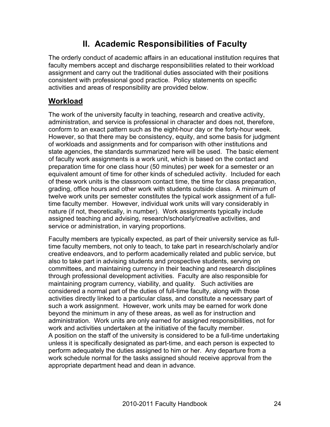## **II. Academic Responsibilities of Faculty**

The orderly conduct of academic affairs in an educational institution requires that faculty members accept and discharge responsibilities related to their workload assignment and carry out the traditional duties associated with their positions consistent with professional good practice. Policy statements on specific activities and areas of responsibility are provided below.

#### **Workload**

The work of the university faculty in teaching, research and creative activity, administration, and service is professional in character and does not, therefore, conform to an exact pattern such as the eight-hour day or the forty-hour week. However, so that there may be consistency, equity, and some basis for judgment of workloads and assignments and for comparison with other institutions and state agencies, the standards summarized here will be used. The basic element of faculty work assignments is a work unit, which is based on the contact and preparation time for one class hour (50 minutes) per week for a semester or an equivalent amount of time for other kinds of scheduled activity. Included for each of these work units is the classroom contact time, the time for class preparation, grading, office hours and other work with students outside class. A minimum of twelve work units per semester constitutes the typical work assignment of a fulltime faculty member. However, individual work units will vary considerably in nature (if not, theoretically, in number). Work assignments typically include assigned teaching and advising, research/scholarly/creative activities, and service or administration, in varying proportions.

Faculty members are typically expected, as part of their university service as fulltime faculty members, not only to teach, to take part in research/scholarly and/or creative endeavors, and to perform academically related and public service, but also to take part in advising students and prospective students, serving on committees, and maintaining currency in their teaching and research disciplines through professional development activities. Faculty are also responsible for maintaining program currency, viability, and quality. Such activities are considered a normal part of the duties of full-time faculty, along with those activities directly linked to a particular class, and constitute a necessary part of such a work assignment. However, work units may be earned for work done beyond the minimum in any of these areas, as well as for instruction and administration. Work units are only earned for assigned responsibilities, not for work and activities undertaken at the initiative of the faculty member. A position on the staff of the university is considered to be a full-time undertaking unless it is specifically designated as part-time, and each person is expected to perform adequately the duties assigned to him or her. Any departure from a work schedule normal for the tasks assigned should receive approval from the appropriate department head and dean in advance.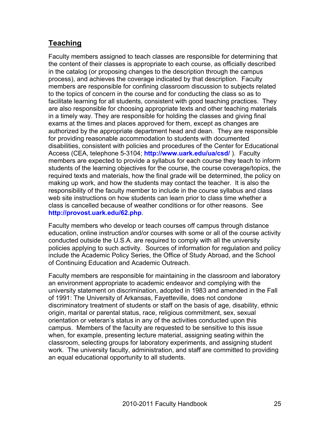## **Teaching**

Faculty members assigned to teach classes are responsible for determining that the content of their classes is appropriate to each course, as officially described in the catalog (or proposing changes to the description through the campus process), and achieves the coverage indicated by that description. Faculty members are responsible for confining classroom discussion to subjects related to the topics of concern in the course and for conducting the class so as to facilitate learning for all students, consistent with good teaching practices. They are also responsible for choosing appropriate texts and other teaching materials in a timely way. They are responsible for holding the classes and giving final exams at the times and places approved for them, except as changes are authorized by the appropriate department head and dean. They are responsible for providing reasonable accommodation to students with documented disabilities, consistent with policies and procedures of the Center for Educational Access (CEA, telephone 5-3104; **http://www.uark.edu/ua/csd/** ). Faculty members are expected to provide a syllabus for each course they teach to inform students of the learning objectives for the course, the course coverage/topics, the required texts and materials, how the final grade will be determined, the policy on making up work, and how the students may contact the teacher. It is also the responsibility of the faculty member to include in the course syllabus and class web site instructions on how students can learn prior to class time whether a class is cancelled because of weather conditions or for other reasons. See **http://provost.uark.edu/62.php**.

Faculty members who develop or teach courses off campus through distance education, online instruction and/or courses with some or all of the course activity conducted outside the U.S.A. are required to comply with all the university policies applying to such activity. Sources of information for regulation and policy include the Academic Policy Series, the Office of Study Abroad, and the School of Continuing Education and Academic Outreach.

Faculty members are responsible for maintaining in the classroom and laboratory an environment appropriate to academic endeavor and complying with the university statement on discrimination, adopted in 1983 and amended in the Fall of 1991: The University of Arkansas, Fayetteville, does not condone discriminatory treatment of students or staff on the basis of age, disability, ethnic origin, marital or parental status, race, religious commitment, sex, sexual orientation or veteran's status in any of the activities conducted upon this campus. Members of the faculty are requested to be sensitive to this issue when, for example, presenting lecture material, assigning seating within the classroom, selecting groups for laboratory experiments, and assigning student work. The university faculty, administration, and staff are committed to providing an equal educational opportunity to all students.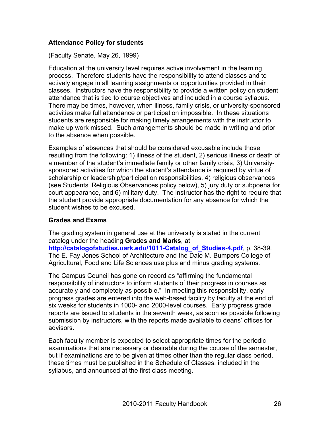#### **Attendance Policy for students**

(Faculty Senate, May 26, 1999)

Education at the university level requires active involvement in the learning process. Therefore students have the responsibility to attend classes and to actively engage in all learning assignments or opportunities provided in their classes. Instructors have the responsibility to provide a written policy on student attendance that is tied to course objectives and included in a course syllabus. There may be times, however, when illness, family crisis, or university-sponsored activities make full attendance or participation impossible. In these situations students are responsible for making timely arrangements with the instructor to make up work missed. Such arrangements should be made in writing and prior to the absence when possible.

Examples of absences that should be considered excusable include those resulting from the following: 1) illness of the student, 2) serious illness or death of a member of the student's immediate family or other family crisis, 3) Universitysponsored activities for which the student's attendance is required by virtue of scholarship or leadership/participation responsibilities, 4) religious observances (see Students' Religious Observances policy below), 5) jury duty or subpoena for court appearance, and 6) military duty. The instructor has the right to require that the student provide appropriate documentation for any absence for which the student wishes to be excused.

#### **Grades and Exams**

The grading system in general use at the university is stated in the current catalog under the heading **Grades and Marks**, at

**http://catalogofstudies.uark.edu/1011-Catalog\_of\_Studies-4.pdf**, p. 38-39. The E. Fay Jones School of Architecture and the Dale M. Bumpers College of Agricultural, Food and Life Sciences use plus and minus grading systems.

The Campus Council has gone on record as "affirming the fundamental responsibility of instructors to inform students of their progress in courses as accurately and completely as possible." In meeting this responsibility, early progress grades are entered into the web-based facility by faculty at the end of six weeks for students in 1000- and 2000-level courses. Early progress grade reports are issued to students in the seventh week, as soon as possible following submission by instructors, with the reports made available to deans' offices for advisors.

Each faculty member is expected to select appropriate times for the periodic examinations that are necessary or desirable during the course of the semester, but if examinations are to be given at times other than the regular class period, these times must be published in the Schedule of Classes, included in the syllabus, and announced at the first class meeting.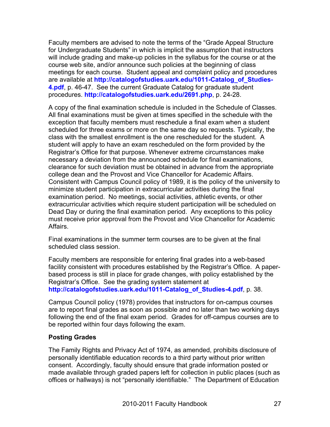Faculty members are advised to note the terms of the "Grade Appeal Structure for Undergraduate Students" in which is implicit the assumption that instructors will include grading and make-up policies in the syllabus for the course or at the course web site, and/or announce such policies at the beginning of class meetings for each course. Student appeal and complaint policy and procedures are available at **http://catalogofstudies.uark.edu/1011-Catalog\_of\_Studies-4.pdf**, p. 46-47. See the current Graduate Catalog for graduate student procedures. **http://catalogofstudies.uark.edu/2691.php**, p. 24-28.

A copy of the final examination schedule is included in the Schedule of Classes. All final examinations must be given at times specified in the schedule with the exception that faculty members must reschedule a final exam when a student scheduled for three exams or more on the same day so requests. Typically, the class with the smallest enrollment is the one rescheduled for the student. A student will apply to have an exam rescheduled on the form provided by the Registrar's Office for that purpose. Whenever extreme circumstances make necessary a deviation from the announced schedule for final examinations, clearance for such deviation must be obtained in advance from the appropriate college dean and the Provost and Vice Chancellor for Academic Affairs. Consistent with Campus Council policy of 1989, it is the policy of the university to minimize student participation in extracurricular activities during the final examination period. No meetings, social activities, athletic events, or other extracurricular activities which require student participation will be scheduled on Dead Day or during the final examination period. Any exceptions to this policy must receive prior approval from the Provost and Vice Chancellor for Academic Affairs.

Final examinations in the summer term courses are to be given at the final scheduled class session.

Faculty members are responsible for entering final grades into a web-based facility consistent with procedures established by the Registrar's Office. A paperbased process is still in place for grade changes, with policy established by the Registrar's Office. See the grading system statement at **http://catalogofstudies.uark.edu/1011-Catalog\_of\_Studies-4.pdf**, p. 38.

Campus Council policy (1978) provides that instructors for on-campus courses are to report final grades as soon as possible and no later than two working days following the end of the final exam period. Grades for off-campus courses are to be reported within four days following the exam.

#### **Posting Grades**

The Family Rights and Privacy Act of 1974, as amended, prohibits disclosure of personally identifiable education records to a third party without prior written consent. Accordingly, faculty should ensure that grade information posted or made available through graded papers left for collection in public places (such as offices or hallways) is not "personally identifiable." The Department of Education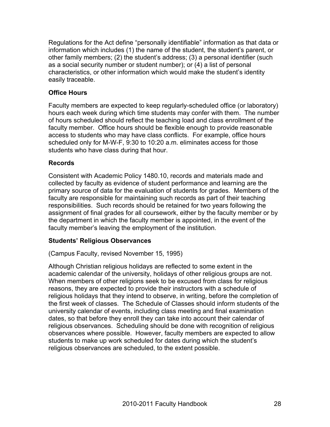Regulations for the Act define "personally identifiable" information as that data or information which includes (1) the name of the student, the student's parent, or other family members; (2) the student's address; (3) a personal identifier (such as a social security number or student number); or (4) a list of personal characteristics, or other information which would make the student's identity easily traceable.

#### **Office Hours**

Faculty members are expected to keep regularly-scheduled office (or laboratory) hours each week during which time students may confer with them. The number of hours scheduled should reflect the teaching load and class enrollment of the faculty member. Office hours should be flexible enough to provide reasonable access to students who may have class conflicts. For example, office hours scheduled only for M-W-F, 9:30 to 10:20 a.m. eliminates access for those students who have class during that hour.

#### **Records**

Consistent with Academic Policy 1480.10, records and materials made and collected by faculty as evidence of student performance and learning are the primary source of data for the evaluation of students for grades. Members of the faculty are responsible for maintaining such records as part of their teaching responsibilities. Such records should be retained for two years following the assignment of final grades for all coursework, either by the faculty member or by the department in which the faculty member is appointed, in the event of the faculty member's leaving the employment of the institution.

#### **Students' Religious Observances**

(Campus Faculty, revised November 15, 1995)

Although Christian religious holidays are reflected to some extent in the academic calendar of the university, holidays of other religious groups are not. When members of other religions seek to be excused from class for religious reasons, they are expected to provide their instructors with a schedule of religious holidays that they intend to observe, in writing, before the completion of the first week of classes. The Schedule of Classes should inform students of the university calendar of events, including class meeting and final examination dates, so that before they enroll they can take into account their calendar of religious observances. Scheduling should be done with recognition of religious observances where possible. However, faculty members are expected to allow students to make up work scheduled for dates during which the student's religious observances are scheduled, to the extent possible.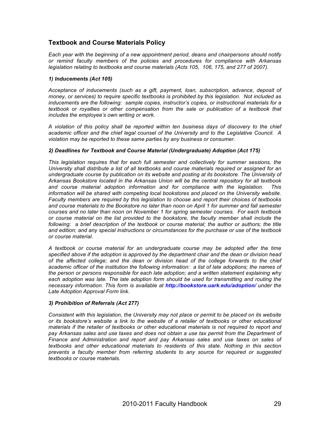#### **Textbook and Course Materials Policy**

*Each year with the beginning of a new appointment period, deans and chairpersons should notify or remind faculty members of the policies and procedures for compliance with Arkansas legislation relating to textbooks and course materials (Acts 105, 106, 175, and 277 of 2007).* 

#### *1) Inducements (Act 105)*

*Acceptance of inducements (such as a gift, payment, loan, subscription, advance, deposit of money, or services) to require specific textbooks is prohibited by this legislation. Not included as inducements are the following: sample copies, instructor's copies, or instructional materials for a textbook or royalties or other compensation from the sale or publication of a textbook that includes the employee's own writing or work.* 

*A violation of this policy shall be reported within ten business days of discovery to the chief academic officer and the chief legal counsel of the University and to the Legislative Council. A violation may be reported to these same parties by any business or consumer.*

#### *2) Deadlines for Textbook and Course Material (Undergraduate) Adoption (Act 175)*

*This legislation requires that for each full semester and collectively for summer sessions, the University shall distribute a list of all textbooks and course materials required or assigned for an undergraduate course by publication on its website and posting at its bookstore. The University of Arkansas Bookstore located in the Arkansas Union will be the central repository for all textbook and course material adoption information and for compliance with the legislation. This information will be shared with competing local bookstores and placed on the University website. Faculty members are required by this legislation to choose and report their choices of textbooks and course materials to the Bookstore no later than noon on April 1 for summer and fall semester courses and no later than noon on November 1 for spring semester courses. For each textbook or course material on the list provided to the bookstore, the faculty member shall include the*  following: a brief description of the textbook or course material; the author or authors; the title *and edition; and any special instructions or circumstances for the purchase or use of the textbook or course material.* 

*A textbook or course material for an undergraduate course may be adopted after the time specified above if the adoption is approved by the department chair and the dean or division head of the affected college; and the dean or division head of the college forwards to the chief academic officer of the institution the following information: a list of late adoptions; the names of the person or persons responsible for each late adoption; and a written statement explaining why each adoption was late. The late adoption form should be used for transmitting and routing the necessary information. This form is available at http://bookstore.uark.edu/adoption/ under the Late Adoption Approval Form link.*

#### *3) Prohibition of Referrals (Act 277)*

*Consistent with this legislation, the University may not place or permit to be placed on its website or its bookstore's website a link to the website of a retailer of textbooks or other educational materials if the retailer of textbooks or other educational materials is not required to report and pay Arkansas sales and use taxes and does not obtain a use tax permit from the Department of Finance and Administration and report and pay Arkansas sales and use taxes on sales of textbooks and other educational materials to residents of this state. Nothing in this section prevents a faculty member from referring students to any source for required or suggested textbooks or course materials.*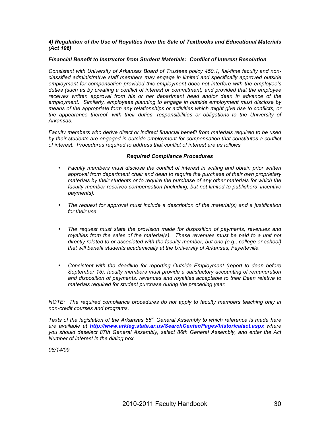#### *4) Regulation of the Use of Royalties from the Sale of Textbooks and Educational Materials (Act 106)*

#### *Financial Benefit to Instructor from Student Materials: Conflict of Interest Resolution*

*Consistent with University of Arkansas Board of Trustees policy 450.1, full-time faculty and nonclassified administrative staff members may engage in limited and specifically approved outside employment for compensation provided this employment does not interfere with the employee's duties (such as by creating a conflict of interest or commitment) and provided that the employee receives written approval from his or her department head and/or dean in advance of the employment. Similarly, employees planning to engage in outside employment must disclose by means of the appropriate form any relationships or activities which might give rise to conflicts, or the appearance thereof, with their duties, responsibilities or obligations to the University of Arkansas.*

*Faculty members who derive direct or indirect financial benefit from materials required to be used by their students are engaged in outside employment for compensation that constitutes a conflict of interest. Procedures required to address that conflict of interest are as follows.*

#### *Required Compliance Procedures*

- *Faculty members must disclose the conflict of interest in writing and obtain prior written approval from department chair and dean to require the purchase of their own proprietary materials by their students or to require the purchase of any other materials for which the*  faculty member receives compensation (including, but not limited to publishers' incentive *payments).*
- *The request for approval must include a description of the material(s) and a justification for their use.*
- *The request must state the provision made for disposition of payments, revenues and*  royalties from the sales of the material(s). These revenues must be paid to a unit not *directly related to or associated with the faculty member, but one (e.g., college or school) that will benefit students academically at the University of Arkansas, Fayetteville.*
- *Consistent with the deadline for reporting Outside Employment (report to dean before September 15), faculty members must provide a satisfactory accounting of remuneration and disposition of payments, revenues and royalties acceptable to their Dean relative to materials required for student purchase during the preceding year.*

*NOTE: The required compliance procedures do not apply to faculty members teaching only in non-credit courses and programs.*

*Texts of the legislation of the Arkansas 86th General Assembly to which reference is made here are available at http://www.arkleg.state.ar.us/SearchCenter/Pages/historicalact.aspx where you should deselect 87th General Assembly, select 86th General Assembly, and enter the Act Number of interest in the dialog box.*

*08/14/09*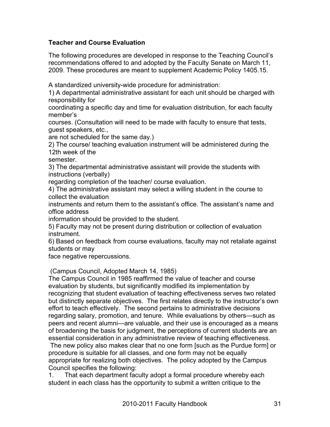#### **Teacher and Course Evaluation**

The following procedures are developed in response to the Teaching Council's recommendations offered to and adopted by the Faculty Senate on March 11, 2009. These procedures are meant to supplement Academic Policy 1405.15.

A standardized university-wide procedure for administration:

1) A departmental administrative assistant for each unit should be charged with responsibility for

coordinating a specific day and time for evaluation distribution, for each faculty member's

courses. (Consultation will need to be made with faculty to ensure that tests, guest speakers, etc.,

are not scheduled for the same day.)

2) The course/ teaching evaluation instrument will be administered during the 12th week of the

semester.

3) The departmental administrative assistant will provide the students with instructions (verbally)

regarding completion of the teacher/ course evaluation.

4) The administrative assistant may select a willing student in the course to collect the evaluation

instruments and return them to the assistant's office. The assistant's name and office address

information should be provided to the student.

5) Faculty may not be present during distribution or collection of evaluation instrument.

6) Based on feedback from course evaluations, faculty may not retaliate against students or may

face negative repercussions.

(Campus Council, Adopted March 14, 1985)

The Campus Council in 1985 reaffirmed the value of teacher and course evaluation by students, but significantly modified its implementation by recognizing that student evaluation of teaching effectiveness serves two related but distinctly separate objectives. The first relates directly to the instructor's own effort to teach effectively. The second pertains to administrative decisions regarding salary, promotion, and tenure. While evaluations by others—such as peers and recent alumni—are valuable, and their use is encouraged as a means of broadening the basis for judgment, the perceptions of current students are an essential consideration in any administrative review of teaching effectiveness.

The new policy also makes clear that no one form [such as the Purdue form] or procedure is suitable for all classes, and one form may not be equally appropriate for realizing both objectives. The policy adopted by the Campus Council specifies the following:

1. That each department faculty adopt a formal procedure whereby each student in each class has the opportunity to submit a written critique to the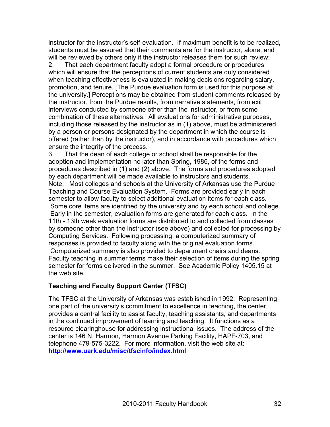instructor for the instructor's self-evaluation. If maximum benefit is to be realized, students must be assured that their comments are for the instructor, alone, and will be reviewed by others only if the instructor releases them for such review; 2. That each department faculty adopt a formal procedure or procedures

which will ensure that the perceptions of current students are duly considered when teaching effectiveness is evaluated in making decisions regarding salary, promotion, and tenure. [The Purdue evaluation form is used for this purpose at the university.] Perceptions may be obtained from student comments released by the instructor, from the Purdue results, from narrative statements, from exit interviews conducted by someone other than the instructor, or from some combination of these alternatives. All evaluations for administrative purposes, including those released by the instructor as in (1) above, must be administered by a person or persons designated by the department in which the course is offered (rather than by the instructor), and in accordance with procedures which ensure the integrity of the process.

3. That the dean of each college or school shall be responsible for the adoption and implementation no later than Spring, 1986, of the forms and procedures described in (1) and (2) above. The forms and procedures adopted by each department will be made available to instructors and students. Note: Most colleges and schools at the University of Arkansas use the Purdue Teaching and Course Evaluation System. Forms are provided early in each semester to allow faculty to select additional evaluation items for each class. Some core items are identified by the university and by each school and college. Early in the semester, evaluation forms are generated for each class. In the 11th - 13th week evaluation forms are distributed to and collected from classes by someone other than the instructor (see above) and collected for processing by Computing Services. Following processing, a computerized summary of responses is provided to faculty along with the original evaluation forms. Computerized summary is also provided to department chairs and deans. Faculty teaching in summer terms make their selection of items during the spring semester for forms delivered in the summer. See Academic Policy 1405.15 at the web site.

#### **Teaching and Faculty Support Center (TFSC)**

The TFSC at the University of Arkansas was established in 1992. Representing one part of the university's commitment to excellence in teaching, the center provides a central facility to assist faculty, teaching assistants, and departments in the continued improvement of learning and teaching. It functions as a resource clearinghouse for addressing instructional issues. The address of the center is 146 N. Harmon, Harmon Avenue Parking Facility, HAPF-703, and telephone 479-575-3222. For more information, visit the web site at: **http://www.uark.edu/misc/tfscinfo/index.html**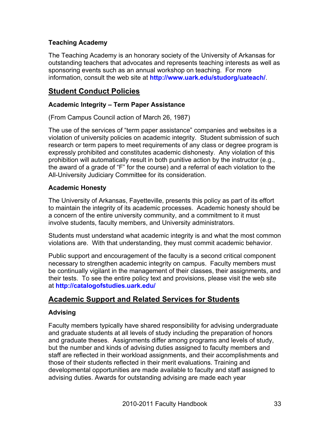#### **Teaching Academy**

The Teaching Academy is an honorary society of the University of Arkansas for outstanding teachers that advocates and represents teaching interests as well as sponsoring events such as an annual workshop on teaching. For more information, consult the web site at **http://www.uark.edu/studorg/uateach/**.

#### **Student Conduct Policies**

#### **Academic Integrity – Term Paper Assistance**

(From Campus Council action of March 26, 1987)

The use of the services of "term paper assistance" companies and websites is a violation of university policies on academic integrity. Student submission of such research or term papers to meet requirements of any class or degree program is expressly prohibited and constitutes academic dishonesty. Any violation of this prohibition will automatically result in both punitive action by the instructor (e.g., the award of a grade of "F" for the course) and a referral of each violation to the All-University Judiciary Committee for its consideration.

#### **Academic Honesty**

The University of Arkansas, Fayetteville, presents this policy as part of its effort to maintain the integrity of its academic processes. Academic honesty should be a concern of the entire university community, and a commitment to it must involve students, faculty members, and University administrators.

Students must understand what academic integrity is and what the most common violations are. With that understanding, they must commit academic behavior.

Public support and encouragement of the faculty is a second critical component necessary to strengthen academic integrity on campus. Faculty members must be continually vigilant in the management of their classes, their assignments, and their tests. To see the entire policy text and provisions, please visit the web site at **http://catalogofstudies.uark.edu/**

#### **Academic Support and Related Services for Students**

#### **Advising**

Faculty members typically have shared responsibility for advising undergraduate and graduate students at all levels of study including the preparation of honors and graduate theses. Assignments differ among programs and levels of study, but the number and kinds of advising duties assigned to faculty members and staff are reflected in their workload assignments, and their accomplishments and those of their students reflected in their merit evaluations. Training and developmental opportunities are made available to faculty and staff assigned to advising duties. Awards for outstanding advising are made each year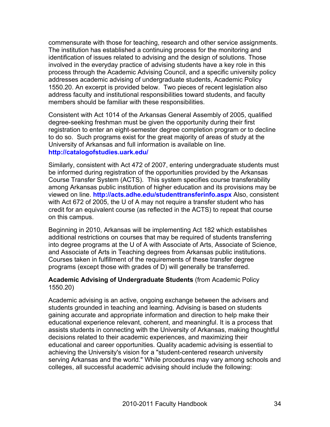commensurate with those for teaching, research and other service assignments. The institution has established a continuing process for the monitoring and identification of issues related to advising and the design of solutions. Those involved in the everyday practice of advising students have a key role in this process through the Academic Advising Council, and a specific university policy addresses academic advising of undergraduate students, Academic Policy 1550.20. An excerpt is provided below. Two pieces of recent legislation also address faculty and institutional responsibilities toward students, and faculty members should be familiar with these responsibilities.

Consistent with Act 1014 of the Arkansas General Assembly of 2005, qualified degree-seeking freshman must be given the opportunity during their first registration to enter an eight-semester degree completion program or to decline to do so. Such programs exist for the great majority of areas of study at the University of Arkansas and full information is available on line. **http://catalogofstudies.uark.edu/**

Similarly, consistent with Act 472 of 2007, entering undergraduate students must be informed during registration of the opportunities provided by the Arkansas Course Transfer System (ACTS). This system specifies course transferability among Arkansas public institution of higher education and its provisions may be viewed on line. **http://acts.adhe.edu/studenttransferinfo.aspx** Also, consistent with Act 672 of 2005, the U of A may not require a transfer student who has credit for an equivalent course (as reflected in the ACTS) to repeat that course on this campus.

Beginning in 2010, Arkansas will be implementing Act 182 which establishes additional restrictions on courses that may be required of students transferring into degree programs at the U of A with Associate of Arts, Associate of Science, and Associate of Arts in Teaching degrees from Arkansas public institutions. Courses taken in fulfillment of the requirements of these transfer degree programs (except those with grades of D) will generally be transferred.

#### **Academic Advising of Undergraduate Students** (from Academic Policy 1550.20)

Academic advising is an active, ongoing exchange between the advisers and students grounded in teaching and learning. Advising is based on students gaining accurate and appropriate information and direction to help make their educational experience relevant, coherent, and meaningful. It is a process that assists students in connecting with the University of Arkansas, making thoughtful decisions related to their academic experiences, and maximizing their educational and career opportunities. Quality academic advising is essential to achieving the University's vision for a "student-centered research university serving Arkansas and the world." While procedures may vary among schools and colleges, all successful academic advising should include the following: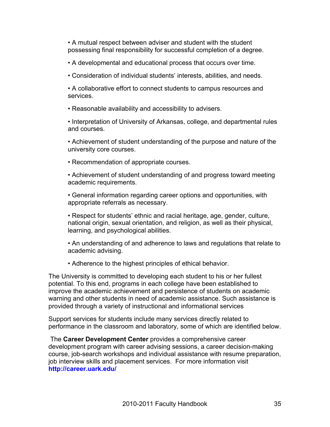• A mutual respect between adviser and student with the student possessing final responsibility for successful completion of a degree.

- A developmental and educational process that occurs over time.
- Consideration of individual students' interests, abilities, and needs.

• A collaborative effort to connect students to campus resources and services.

• Reasonable availability and accessibility to advisers.

• Interpretation of University of Arkansas, college, and departmental rules and courses.

• Achievement of student understanding of the purpose and nature of the university core courses.

• Recommendation of appropriate courses.

• Achievement of student understanding of and progress toward meeting academic requirements.

• General information regarding career options and opportunities, with appropriate referrals as necessary.

• Respect for students' ethnic and racial heritage, age, gender, culture, national origin, sexual orientation, and religion, as well as their physical, learning, and psychological abilities.

• An understanding of and adherence to laws and regulations that relate to academic advising.

• Adherence to the highest principles of ethical behavior.

The University is committed to developing each student to his or her fullest potential. To this end, programs in each college have been established to improve the academic achievement and persistence of students on academic warning and other students in need of academic assistance. Such assistance is provided through a variety of instructional and informational services

Support services for students include many services directly related to performance in the classroom and laboratory, some of which are identified below.

The **Career Development Center** provides a comprehensive career development program with career advising sessions, a career decision-making course, job-search workshops and individual assistance with resume preparation, job interview skills and placement services. For more information visit **http://career.uark.edu/**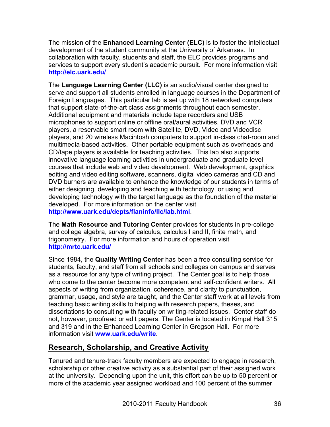The mission of the **Enhanced Learning Center (ELC)** is to foster the intellectual development of the student community at the University of Arkansas. In collaboration with faculty, students and staff, the ELC provides programs and services to support every student's academic pursuit. For more information visit **http://elc.uark.edu/**

The **Language Learning Center (LLC)** is an audio/visual center designed to serve and support all students enrolled in language courses in the Department of Foreign Languages. This particular lab is set up with 18 networked computers that support state-of-the-art class assignments throughout each semester. Additional equipment and materials include tape recorders and USB microphones to support online or offline oral/aural activities, DVD and VCR players, a reservable smart room with Satellite, DVD, Video and Videodisc players, and 20 wireless Macintosh computers to support in-class chat-room and multimedia-based activities. Other portable equipment such as overheads and CD/tape players is available for teaching activities. This lab also supports innovative language learning activities in undergraduate and graduate level courses that include web and video development. Web development, graphics editing and video editing software, scanners, digital video cameras and CD and DVD burners are available to enhance the knowledge of our students in terms of either designing, developing and teaching with technology, or using and developing technology with the target language as the foundation of the material developed. For more information on the center visit **http://www.uark.edu/depts/flaninfo/llc/lab.html**.

The **Math Resource and Tutoring Center** provides for students in pre-college and college algebra, survey of calculus, calculus I and II, finite math, and trigonometry. For more information and hours of operation visit **http://mrtc.uark.edu/**

Since 1984, the **Quality Writing Center** has been a free consulting service for students, faculty, and staff from all schools and colleges on campus and serves as a resource for any type of writing project. The Center goal is to help those who come to the center become more competent and self-confident writers. All aspects of writing from organization, coherence, and clarity to punctuation, grammar, usage, and style are taught, and the Center staff work at all levels from teaching basic writing skills to helping with research papers, theses, and dissertations to consulting with faculty on writing-related issues. Center staff do not, however, proofread or edit papers. The Center is located in Kimpel Hall 315 and 319 and in the Enhanced Learning Center in Gregson Hall. For more information visit **www.uark.edu/write**.

#### **Research, Scholarship, and Creative Activity**

Tenured and tenure-track faculty members are expected to engage in research, scholarship or other creative activity as a substantial part of their assigned work at the university. Depending upon the unit, this effort can be up to 50 percent or more of the academic year assigned workload and 100 percent of the summer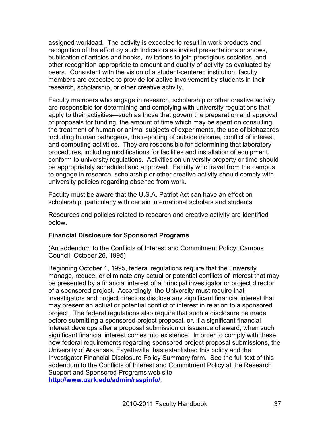assigned workload. The activity is expected to result in work products and recognition of the effort by such indicators as invited presentations or shows, publication of articles and books, invitations to join prestigious societies, and other recognition appropriate to amount and quality of activity as evaluated by peers. Consistent with the vision of a student-centered institution, faculty members are expected to provide for active involvement by students in their research, scholarship, or other creative activity.

Faculty members who engage in research, scholarship or other creative activity are responsible for determining and complying with university regulations that apply to their activities—such as those that govern the preparation and approval of proposals for funding, the amount of time which may be spent on consulting, the treatment of human or animal subjects of experiments, the use of biohazards including human pathogens, the reporting of outside income, conflict of interest, and computing activities. They are responsible for determining that laboratory procedures, including modifications for facilities and installation of equipment, conform to university regulations. Activities on university property or time should be appropriately scheduled and approved. Faculty who travel from the campus to engage in research, scholarship or other creative activity should comply with university policies regarding absence from work.

Faculty must be aware that the U.S.A. Patriot Act can have an effect on scholarship, particularly with certain international scholars and students.

Resources and policies related to research and creative activity are identified below.

#### **Financial Disclosure for Sponsored Programs**

(An addendum to the Conflicts of Interest and Commitment Policy; Campus Council, October 26, 1995)

Beginning October 1, 1995, federal regulations require that the university manage, reduce, or eliminate any actual or potential conflicts of interest that may be presented by a financial interest of a principal investigator or project director of a sponsored project. Accordingly, the University must require that investigators and project directors disclose any significant financial interest that may present an actual or potential conflict of interest in relation to a sponsored project. The federal regulations also require that such a disclosure be made before submitting a sponsored project proposal, or, if a significant financial interest develops after a proposal submission or issuance of award, when such significant financial interest comes into existence. In order to comply with these new federal requirements regarding sponsored project proposal submissions, the University of Arkansas, Fayetteville, has established this policy and the Investigator Financial Disclosure Policy Summary form. See the full text of this addendum to the Conflicts of Interest and Commitment Policy at the Research Support and Sponsored Programs web site **http://www.uark.edu/admin/rsspinfo/**.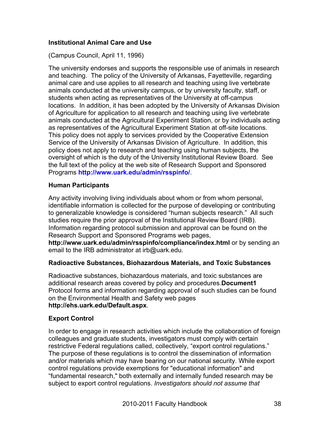# **Institutional Animal Care and Use**

(Campus Council, April 11, 1996)

The university endorses and supports the responsible use of animals in research and teaching. The policy of the University of Arkansas, Fayetteville, regarding animal care and use applies to all research and teaching using live vertebrate animals conducted at the university campus, or by university faculty, staff, or students when acting as representatives of the University at off-campus locations. In addition, it has been adopted by the University of Arkansas Division of Agriculture for application to all research and teaching using live vertebrate animals conducted at the Agricultural Experiment Station, or by individuals acting as representatives of the Agricultural Experiment Station at off-site locations. This policy does not apply to services provided by the Cooperative Extension Service of the University of Arkansas Division of Agriculture. In addition, this policy does not apply to research and teaching using human subjects, the oversight of which is the duty of the University Institutional Review Board. See the full text of the policy at the web site of Research Support and Sponsored Programs **http://www.uark.edu/admin/rsspinfo/**.

#### **Human Participants**

Any activity involving living individuals about whom or from whom personal, identifiable information is collected for the purpose of developing or contributing to generalizable knowledge is considered "human subjects research." All such studies require the prior approval of the Institutional Review Board (IRB). Information regarding protocol submission and approval can be found on the Research Support and Sponsored Programs web pages,

**http://www.uark.edu/admin/rsspinfo/compliance/index.html** or by sending an email to the IRB administrator at irb@uark.edu.

#### **Radioactive Substances, Biohazardous Materials, and Toxic Substances**

Radioactive substances, biohazardous materials, and toxic substances are additional research areas covered by policy and procedures.**Document1** Protocol forms and information regarding approval of such studies can be found on the Environmental Health and Safety web pages **http://ehs.uark.edu/Default.aspx**.

#### **Export Control**

In order to engage in research activities which include the collaboration of foreign colleagues and graduate students, investigators must comply with certain restrictive Federal regulations called, collectively, "export control regulations." The purpose of these regulations is to control the dissemination of information and/or materials which may have bearing on our national security. While export control regulations provide exemptions for "educational information" and "fundamental research," both externally and internally funded research may be subject to export control regulations. *Investigators should not assume that*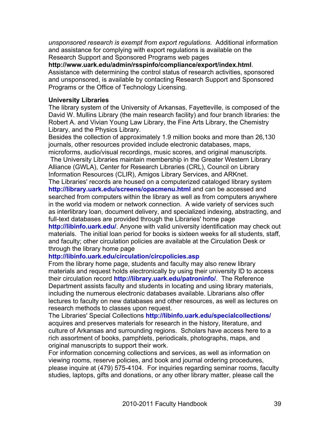*unsponsored research is exempt from export regulations.* Additional information and assistance for complying with export regulations is available on the Research Support and Sponsored Programs web pages

**http://www.uark.edu/admin/rsspinfo/compliance/export/index.html**. Assistance with determining the control status of research activities, sponsored and unsponsored, is available by contacting Research Support and Sponsored Programs or the Office of Technology Licensing.

#### **University Libraries**

The library system of the University of Arkansas, Fayetteville, is composed of the David W. Mullins Library (the main research facility) and four branch libraries: the Robert A. and Vivian Young Law Library, the Fine Arts Library, the Chemistry Library, and the Physics Library.

Besides the collection of approximately 1.9 million books and more than 26,130 journals, other resources provided include electronic databases, maps, microforms, audio/visual recordings, music scores, and original manuscripts.

The University Libraries maintain membership in the Greater Western Library Alliance (GWLA), Center for Research Libraries (CRL), Council on Library Information Resources (CLIR), Amigos Library Services, and ARKnet. The Libraries' records are housed on a computerized cataloged library system **http://library.uark.edu/screens/opacmenu.html** and can be accessed and searched from computers within the library as well as from computers anywhere in the world via modem or network connection. A wide variety of services such as interlibrary loan, document delivery, and specialized indexing, abstracting, and full-text databases are provided through the Libraries' home page

**http://libinfo.uark.edu/**. Anyone with valid university identification may check out materials. The initial loan period for books is sixteen weeks for all students, staff, and faculty; other circulation policies are available at the Circulation Desk or through the library home page

#### **http://libinfo.uark.edu/circulation/circpolicies.asp**

From the library home page, students and faculty may also renew library materials and request holds electronically by using their university ID to access their circulation record **http://library.uark.edu/patroninfo/**. The Reference Department assists faculty and students in locating and using library materials, including the numerous electronic databases available. Librarians also offer lectures to faculty on new databases and other resources, as well as lectures on research methods to classes upon request.

The Libraries' Special Collections **http://libinfo.uark.edu/specialcollections/** acquires and preserves materials for research in the history, literature, and culture of Arkansas and surrounding regions. Scholars have access here to a rich assortment of books, pamphlets, periodicals, photographs, maps, and original manuscripts to support their work.

For information concerning collections and services, as well as information on viewing rooms, reserve policies, and book and journal ordering procedures, please inquire at (479) 575-4104. For inquiries regarding seminar rooms, faculty studies, laptops, gifts and donations, or any other library matter, please call the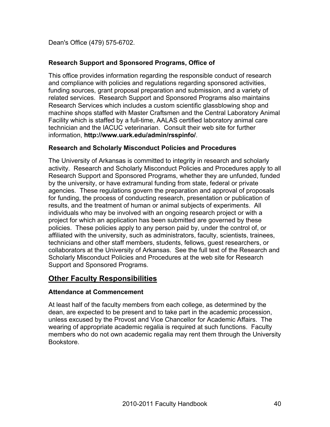Dean's Office (479) 575-6702.

# **Research Support and Sponsored Programs, Office of**

This office provides information regarding the responsible conduct of research and compliance with policies and regulations regarding sponsored activities, funding sources, grant proposal preparation and submission, and a variety of related services. Research Support and Sponsored Programs also maintains Research Services which includes a custom scientific glassblowing shop and machine shops staffed with Master Craftsmen and the Central Laboratory Animal Facility which is staffed by a full-time, AALAS certified laboratory animal care technician and the IACUC veterinarian. Consult their web site for further information, **http://www.uark.edu/admin/rsspinfo/**.

# **Research and Scholarly Misconduct Policies and Procedures**

The University of Arkansas is committed to integrity in research and scholarly activity. Research and Scholarly Misconduct Policies and Procedures apply to all Research Support and Sponsored Programs, whether they are unfunded, funded by the university, or have extramural funding from state, federal or private agencies. These regulations govern the preparation and approval of proposals for funding, the process of conducting research, presentation or publication of results, and the treatment of human or animal subjects of experiments. All individuals who may be involved with an ongoing research project or with a project for which an application has been submitted are governed by these policies. These policies apply to any person paid by, under the control of, or affiliated with the university, such as administrators, faculty, scientists, trainees, technicians and other staff members, students, fellows, guest researchers, or collaborators at the University of Arkansas. See the full text of the Research and Scholarly Misconduct Policies and Procedures at the web site for Research Support and Sponsored Programs.

# **Other Faculty Responsibilities**

# **Attendance at Commencement**

At least half of the faculty members from each college, as determined by the dean, are expected to be present and to take part in the academic procession, unless excused by the Provost and Vice Chancellor for Academic Affairs. The wearing of appropriate academic regalia is required at such functions. Faculty members who do not own academic regalia may rent them through the University Bookstore.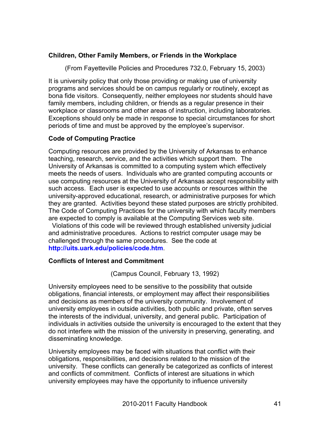#### **Children, Other Family Members, or Friends in the Workplace**

(From Fayetteville Policies and Procedures 732.0, February 15, 2003)

It is university policy that only those providing or making use of university programs and services should be on campus regularly or routinely, except as bona fide visitors. Consequently, neither employees nor students should have family members, including children, or friends as a regular presence in their workplace or classrooms and other areas of instruction, including laboratories. Exceptions should only be made in response to special circumstances for short periods of time and must be approved by the employee's supervisor.

### **Code of Computing Practice**

Computing resources are provided by the University of Arkansas to enhance teaching, research, service, and the activities which support them. The University of Arkansas is committed to a computing system which effectively meets the needs of users. Individuals who are granted computing accounts or use computing resources at the University of Arkansas accept responsibility with such access. Each user is expected to use accounts or resources within the university-approved educational, research, or administrative purposes for which they are granted. Activities beyond these stated purposes are strictly prohibited. The Code of Computing Practices for the university with which faculty members are expected to comply is available at the Computing Services web site.

 Violations of this code will be reviewed through established university judicial and administrative procedures. Actions to restrict computer usage may be challenged through the same procedures. See the code at **http://uits.uark.edu/policies/code.htm**.

# **Conflicts of Interest and Commitment**

(Campus Council, February 13, 1992)

University employees need to be sensitive to the possibility that outside obligations, financial interests, or employment may affect their responsibilities and decisions as members of the university community. Involvement of university employees in outside activities, both public and private, often serves the interests of the individual, university, and general public. Participation of individuals in activities outside the university is encouraged to the extent that they do not interfere with the mission of the university in preserving, generating, and disseminating knowledge.

University employees may be faced with situations that conflict with their obligations, responsibilities, and decisions related to the mission of the university. These conflicts can generally be categorized as conflicts of interest and conflicts of commitment. Conflicts of interest are situations in which university employees may have the opportunity to influence university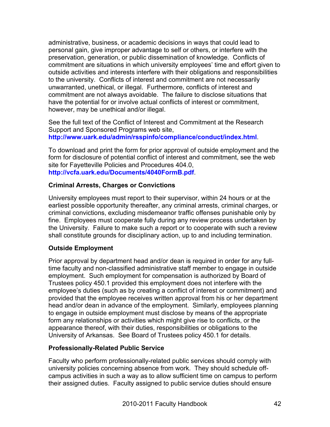administrative, business, or academic decisions in ways that could lead to personal gain, give improper advantage to self or others, or interfere with the preservation, generation, or public dissemination of knowledge. Conflicts of commitment are situations in which university employees' time and effort given to outside activities and interests interfere with their obligations and responsibilities to the university. Conflicts of interest and commitment are not necessarily unwarranted, unethical, or illegal. Furthermore, conflicts of interest and commitment are not always avoidable. The failure to disclose situations that have the potential for or involve actual conflicts of interest or commitment, however, may be unethical and/or illegal.

See the full text of the Conflict of Interest and Commitment at the Research Support and Sponsored Programs web site, **http://www.uark.edu/admin/rsspinfo/compliance/conduct/index.html**.

To download and print the form for prior approval of outside employment and the form for disclosure of potential conflict of interest and commitment, see the web site for Fayetteville Policies and Procedures 404.0, **http://vcfa.uark.edu/Documents/4040FormB.pdf**.

# **Criminal Arrests, Charges or Convictions**

University employees must report to their supervisor, within 24 hours or at the earliest possible opportunity thereafter, any criminal arrests, criminal charges, or criminal convictions, excluding misdemeanor traffic offenses punishable only by fine. Employees must cooperate fully during any review process undertaken by the University. Failure to make such a report or to cooperate with such a review shall constitute grounds for disciplinary action, up to and including termination.

# **Outside Employment**

Prior approval by department head and/or dean is required in order for any fulltime faculty and non-classified administrative staff member to engage in outside employment. Such employment for compensation is authorized by Board of Trustees policy 450.1 provided this employment does not interfere with the employee's duties (such as by creating a conflict of interest or commitment) and provided that the employee receives written approval from his or her department head and/or dean in advance of the employment. Similarly, employees planning to engage in outside employment must disclose by means of the appropriate form any relationships or activities which might give rise to conflicts, or the appearance thereof, with their duties, responsibilities or obligations to the University of Arkansas. See Board of Trustees policy 450.1 for details.

#### **Professionally-Related Public Service**

Faculty who perform professionally-related public services should comply with university policies concerning absence from work. They should schedule offcampus activities in such a way as to allow sufficient time on campus to perform their assigned duties. Faculty assigned to public service duties should ensure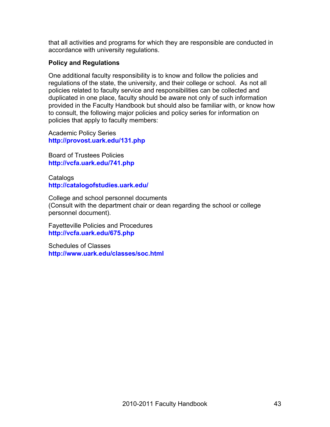that all activities and programs for which they are responsible are conducted in accordance with university regulations.

### **Policy and Regulations**

One additional faculty responsibility is to know and follow the policies and regulations of the state, the university, and their college or school. As not all policies related to faculty service and responsibilities can be collected and duplicated in one place, faculty should be aware not only of such information provided in the Faculty Handbook but should also be familiar with, or know how to consult, the following major policies and policy series for information on policies that apply to faculty members:

Academic Policy Series **http://provost.uark.edu/131.php**

Board of Trustees Policies **http://vcfa.uark.edu/741.php**

**Catalogs http://catalogofstudies.uark.edu/**

College and school personnel documents (Consult with the department chair or dean regarding the school or college personnel document).

Fayetteville Policies and Procedures **http://vcfa.uark.edu/675.php**

Schedules of Classes **http://www.uark.edu/classes/soc.html**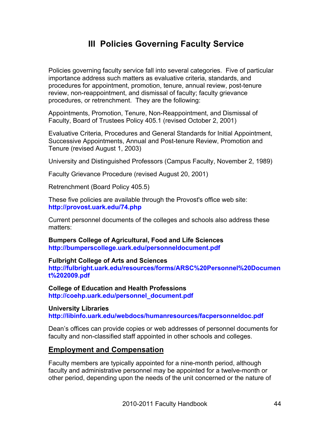# **III Policies Governing Faculty Service**

Policies governing faculty service fall into several categories. Five of particular importance address such matters as evaluative criteria, standards, and procedures for appointment, promotion, tenure, annual review, post-tenure review, non-reappointment, and dismissal of faculty; faculty grievance procedures, or retrenchment. They are the following:

Appointments, Promotion, Tenure, Non-Reappointment, and Dismissal of Faculty, Board of Trustees Policy 405.1 (revised October 2, 2001)

Evaluative Criteria, Procedures and General Standards for Initial Appointment, Successive Appointments, Annual and Post-tenure Review, Promotion and Tenure (revised August 1, 2003)

University and Distinguished Professors (Campus Faculty, November 2, 1989)

Faculty Grievance Procedure (revised August 20, 2001)

Retrenchment (Board Policy 405.5)

These five policies are available through the Provost's office web site: **http://provost.uark.edu/74.php**

Current personnel documents of the colleges and schools also address these matters:

**Bumpers College of Agricultural, Food and Life Sciences http://bumperscollege.uark.edu/personneldocument.pdf**

**Fulbright College of Arts and Sciences**

**http://fulbright.uark.edu/resources/forms/ARSC%20Personnel%20Documen t%202009.pdf**

**College of Education and Health Professions http://coehp.uark.edu/personnel\_document.pdf**

**University Libraries http://libinfo.uark.edu/webdocs/humanresources/facpersonneldoc.pdf**

Dean's offices can provide copies or web addresses of personnel documents for faculty and non-classified staff appointed in other schools and colleges.

#### **Employment and Compensation**

Faculty members are typically appointed for a nine-month period, although faculty and administrative personnel may be appointed for a twelve-month or other period, depending upon the needs of the unit concerned or the nature of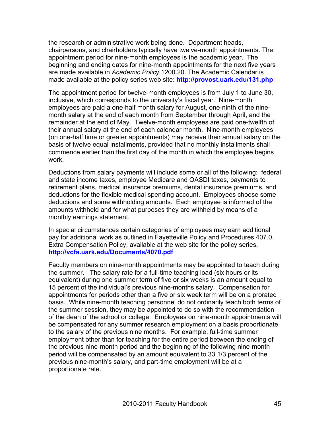the research or administrative work being done. Department heads, chairpersons, and chairholders typically have twelve-month appointments. The appointment period for nine-month employees is the academic year. The beginning and ending dates for nine-month appointments for the next five years are made available in *Academic Polic*y 1200.20. The Academic Calendar is made available at the policy series web site: **http://provost.uark.edu/131.php**

The appointment period for twelve-month employees is from July 1 to June 30, inclusive, which corresponds to the university's fiscal year. Nine-month employees are paid a one-half month salary for August, one-ninth of the ninemonth salary at the end of each month from September through April, and the remainder at the end of May. Twelve-month employees are paid one-twelfth of their annual salary at the end of each calendar month. Nine-month employees (on one-half time or greater appointments) may receive their annual salary on the basis of twelve equal installments, provided that no monthly installments shall commence earlier than the first day of the month in which the employee begins work.

Deductions from salary payments will include some or all of the following: federal and state income taxes, employee Medicare and OASDI taxes, payments to retirement plans, medical insurance premiums, dental insurance premiums, and deductions for the flexible medical spending account. Employees choose some deductions and some withholding amounts. Each employee is informed of the amounts withheld and for what purposes they are withheld by means of a monthly earnings statement.

In special circumstances certain categories of employees may earn additional pay for additional work as outlined in Fayetteville Policy and Procedures 407.0, Extra Compensation Policy, available at the web site for the policy series, **http://vcfa.uark.edu/Documents/4070.pdf**

Faculty members on nine-month appointments may be appointed to teach during the summer. The salary rate for a full-time teaching load (six hours or its equivalent) during one summer term of five or six weeks is an amount equal to 15 percent of the individual's previous nine-months salary. Compensation for appointments for periods other than a five or six week term will be on a prorated basis. While nine-month teaching personnel do not ordinarily teach both terms of the summer session, they may be appointed to do so with the recommendation of the dean of the school or college. Employees on nine-month appointments will be compensated for any summer research employment on a basis proportionate to the salary of the previous nine months. For example, full-time summer employment other than for teaching for the entire period between the ending of the previous nine-month period and the beginning of the following nine-month period will be compensated by an amount equivalent to 33 1/3 percent of the previous nine-month's salary, and part-time employment will be at a proportionate rate.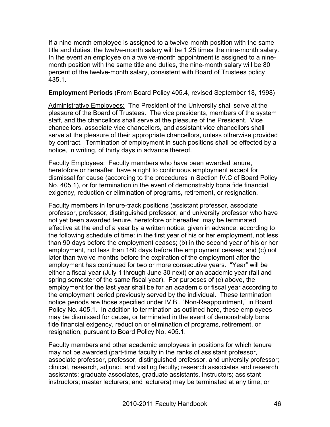If a nine-month employee is assigned to a twelve-month position with the same title and duties, the twelve-month salary will be 1.25 times the nine-month salary. In the event an employee on a twelve-month appointment is assigned to a ninemonth position with the same title and duties, the nine-month salary will be 80 percent of the twelve-month salary, consistent with Board of Trustees policy 435.1.

#### **Employment Periods** (From Board Policy 405.4, revised September 18, 1998)

Administrative Employees: The President of the University shall serve at the pleasure of the Board of Trustees. The vice presidents, members of the system staff, and the chancellors shall serve at the pleasure of the President. Vice chancellors, associate vice chancellors, and assistant vice chancellors shall serve at the pleasure of their appropriate chancellors, unless otherwise provided by contract. Termination of employment in such positions shall be effected by a notice, in writing, of thirty days in advance thereof.

Faculty Employees: Faculty members who have been awarded tenure, heretofore or hereafter, have a right to continuous employment except for dismissal for cause (according to the procedures in Section IV.C of Board Policy No. 405.1), or for termination in the event of demonstrably bona fide financial exigency, reduction or elimination of programs, retirement, or resignation.

Faculty members in tenure-track positions (assistant professor, associate professor, professor, distinguished professor, and university professor who have not yet been awarded tenure, heretofore or hereafter, may be terminated effective at the end of a year by a written notice, given in advance, according to the following schedule of time: in the first year of his or her employment, not less than 90 days before the employment ceases; (b) in the second year of his or her employment, not less than 180 days before the employment ceases; and (c) not later than twelve months before the expiration of the employment after the employment has continued for two or more consecutive years. "Year" will be either a fiscal year (July 1 through June 30 next) or an academic year (fall and spring semester of the same fiscal year). For purposes of (c) above, the employment for the last year shall be for an academic or fiscal year according to the employment period previously served by the individual. These termination notice periods are those specified under IV.B., "Non-Reappointment," in Board Policy No. 405.1. In addition to termination as outlined here, these employees may be dismissed for cause, or terminated in the event of demonstrably bona fide financial exigency, reduction or elimination of programs, retirement, or resignation, pursuant to Board Policy No. 405.1.

Faculty members and other academic employees in positions for which tenure may not be awarded (part-time faculty in the ranks of assistant professor, associate professor, professor, distinguished professor, and university professor; clinical, research, adjunct, and visiting faculty; research associates and research assistants; graduate associates, graduate assistants, instructors; assistant instructors; master lecturers; and lecturers) may be terminated at any time, or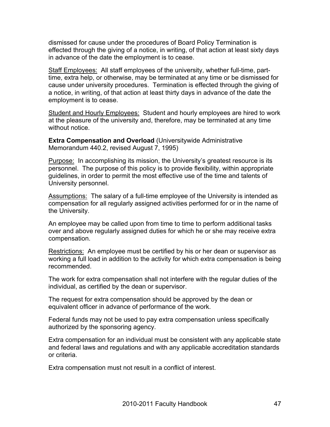dismissed for cause under the procedures of Board Policy Termination is effected through the giving of a notice, in writing, of that action at least sixty days in advance of the date the employment is to cease.

Staff Employees: All staff employees of the university, whether full-time, parttime, extra help, or otherwise, may be terminated at any time or be dismissed for cause under university procedures. Termination is effected through the giving of a notice, in writing, of that action at least thirty days in advance of the date the employment is to cease.

Student and Hourly Employees: Student and hourly employees are hired to work at the pleasure of the university and, therefore, may be terminated at any time without notice.

**Extra Compensation and Overload** (Universitywide Administrative Memorandum 440.2, revised August 7, 1995)

Purpose: In accomplishing its mission, the University's greatest resource is its personnel. The purpose of this policy is to provide flexibility, within appropriate guidelines, in order to permit the most effective use of the time and talents of University personnel.

Assumptions: The salary of a full-time employee of the University is intended as compensation for all regularly assigned activities performed for or in the name of the University.

An employee may be called upon from time to time to perform additional tasks over and above regularly assigned duties for which he or she may receive extra compensation.

Restrictions: An employee must be certified by his or her dean or supervisor as working a full load in addition to the activity for which extra compensation is being recommended.

The work for extra compensation shall not interfere with the regular duties of the individual, as certified by the dean or supervisor.

The request for extra compensation should be approved by the dean or equivalent officer in advance of performance of the work.

Federal funds may not be used to pay extra compensation unless specifically authorized by the sponsoring agency.

Extra compensation for an individual must be consistent with any applicable state and federal laws and regulations and with any applicable accreditation standards or criteria.

Extra compensation must not result in a conflict of interest.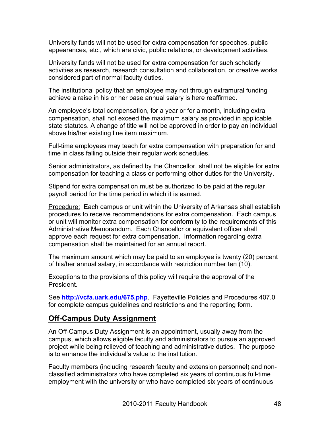University funds will not be used for extra compensation for speeches, public appearances, etc., which are civic, public relations, or development activities.

University funds will not be used for extra compensation for such scholarly activities as research, research consultation and collaboration, or creative works considered part of normal faculty duties.

The institutional policy that an employee may not through extramural funding achieve a raise in his or her base annual salary is here reaffirmed.

An employee's total compensation, for a year or for a month, including extra compensation, shall not exceed the maximum salary as provided in applicable state statutes. A change of title will not be approved in order to pay an individual above his/her existing line item maximum.

Full-time employees may teach for extra compensation with preparation for and time in class falling outside their regular work schedules.

Senior administrators, as defined by the Chancellor, shall not be eligible for extra compensation for teaching a class or performing other duties for the University.

Stipend for extra compensation must be authorized to be paid at the regular payroll period for the time period in which it is earned.

**Procedure:** Each campus or unit within the University of Arkansas shall establish procedures to receive recommendations for extra compensation. Each campus or unit will monitor extra compensation for conformity to the requirements of this Administrative Memorandum. Each Chancellor or equivalent officer shall approve each request for extra compensation. Information regarding extra compensation shall be maintained for an annual report.

The maximum amount which may be paid to an employee is twenty (20) percent of his/her annual salary, in accordance with restriction number ten (10).

Exceptions to the provisions of this policy will require the approval of the President.

See **http://vcfa.uark.edu/675.php**. Fayetteville Policies and Procedures 407.0 for complete campus guidelines and restrictions and the reporting form.

# **Off-Campus Duty Assignment**

An Off-Campus Duty Assignment is an appointment, usually away from the campus, which allows eligible faculty and administrators to pursue an approved project while being relieved of teaching and administrative duties. The purpose is to enhance the individual's value to the institution.

Faculty members (including research faculty and extension personnel) and nonclassified administrators who have completed six years of continuous full-time employment with the university or who have completed six years of continuous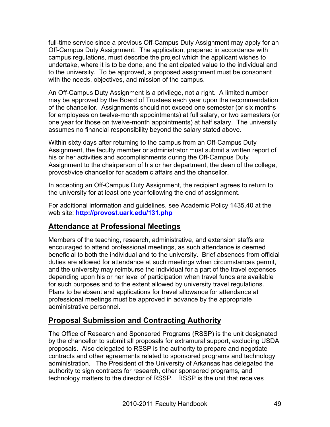full-time service since a previous Off-Campus Duty Assignment may apply for an Off-Campus Duty Assignment. The application, prepared in accordance with campus regulations, must describe the project which the applicant wishes to undertake, where it is to be done, and the anticipated value to the individual and to the university. To be approved, a proposed assignment must be consonant with the needs, objectives, and mission of the campus.

An Off-Campus Duty Assignment is a privilege, not a right. A limited number may be approved by the Board of Trustees each year upon the recommendation of the chancellor. Assignments should not exceed one semester (or six months for employees on twelve-month appointments) at full salary, or two semesters (or one year for those on twelve-month appointments) at half salary. The university assumes no financial responsibility beyond the salary stated above.

Within sixty days after returning to the campus from an Off-Campus Duty Assignment, the faculty member or administrator must submit a written report of his or her activities and accomplishments during the Off-Campus Duty Assignment to the chairperson of his or her department, the dean of the college, provost/vice chancellor for academic affairs and the chancellor.

In accepting an Off-Campus Duty Assignment, the recipient agrees to return to the university for at least one year following the end of assignment.

For additional information and guidelines, see Academic Policy 1435.40 at the web site: **http://provost.uark.edu/131.php**

# **Attendance at Professional Meetings**

Members of the teaching, research, administrative, and extension staffs are encouraged to attend professional meetings, as such attendance is deemed beneficial to both the individual and to the university. Brief absences from official duties are allowed for attendance at such meetings when circumstances permit, and the university may reimburse the individual for a part of the travel expenses depending upon his or her level of participation when travel funds are available for such purposes and to the extent allowed by university travel regulations. Plans to be absent and applications for travel allowance for attendance at professional meetings must be approved in advance by the appropriate administrative personnel.

# **Proposal Submission and Contracting Authority**

The Office of Research and Sponsored Programs (RSSP) is the unit designated by the chancellor to submit all proposals for extramural support, excluding USDA proposals. Also delegated to RSSP is the authority to prepare and negotiate contracts and other agreements related to sponsored programs and technology administration. The President of the University of Arkansas has delegated the authority to sign contracts for research, other sponsored programs, and technology matters to the director of RSSP. RSSP is the unit that receives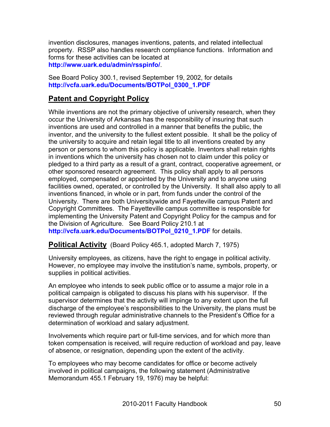invention disclosures, manages inventions, patents, and related intellectual property. RSSP also handles research compliance functions. Information and forms for these activities can be located at **http://www.uark.edu/admin/rsspinfo/**.

See Board Policy 300.1, revised September 19, 2002, for details **http://vcfa.uark.edu/Documents/BOTPol\_0300\_1.PDF**

# **Patent and Copyright Policy**

While inventions are not the primary objective of university research, when they occur the University of Arkansas has the responsibility of insuring that such inventions are used and controlled in a manner that benefits the public, the inventor, and the university to the fullest extent possible. It shall be the policy of the university to acquire and retain legal title to all inventions created by any person or persons to whom this policy is applicable. Inventors shall retain rights in inventions which the university has chosen not to claim under this policy or pledged to a third party as a result of a grant, contract, cooperative agreement, or other sponsored research agreement. This policy shall apply to all persons employed, compensated or appointed by the University and to anyone using facilities owned, operated, or controlled by the University. It shall also apply to all inventions financed, in whole or in part, from funds under the control of the University. There are both Universitywide and Fayetteville campus Patent and Copyright Committees. The Fayetteville campus committee is responsible for implementing the University Patent and Copyright Policy for the campus and for the Division of Agriculture. See Board Policy 210.1 at **http://vcfa.uark.edu/Documents/BOTPol\_0210\_1.PDF** for details.

**Political Activity** (Board Policy 465.1, adopted March 7, 1975)

University employees, as citizens, have the right to engage in political activity. However, no employee may involve the institution's name, symbols, property, or supplies in political activities.

An employee who intends to seek public office or to assume a major role in a political campaign is obligated to discuss his plans with his supervisor. If the supervisor determines that the activity will impinge to any extent upon the full discharge of the employee's responsibilities to the University, the plans must be reviewed through regular administrative channels to the President's Office for a determination of workload and salary adjustment.

Involvements which require part or full-time services, and for which more than token compensation is received, will require reduction of workload and pay, leave of absence, or resignation, depending upon the extent of the activity.

To employees who may become candidates for office or become actively involved in political campaigns, the following statement (Administrative Memorandum 455.1 February 19, 1976) may be helpful: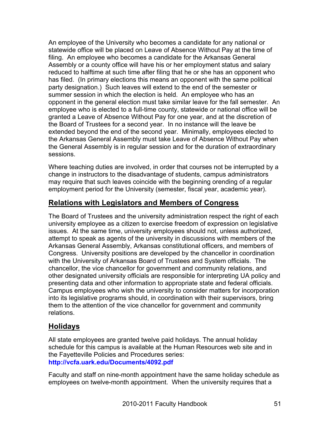An employee of the University who becomes a candidate for any national or statewide office will be placed on Leave of Absence Without Pay at the time of filing. An employee who becomes a candidate for the Arkansas General Assembly or a county office will have his or her employment status and salary reduced to halftime at such time after filing that he or she has an opponent who has filed. (In primary elections this means an opponent with the same political party designation.) Such leaves will extend to the end of the semester or summer session in which the election is held. An employee who has an opponent in the general election must take similar leave for the fall semester. An employee who is elected to a full-time county, statewide or national office will be granted a Leave of Absence Without Pay for one year, and at the discretion of the Board of Trustees for a second year. In no instance will the leave be extended beyond the end of the second year. Minimally, employees elected to the Arkansas General Assembly must take Leave of Absence Without Pay when the General Assembly is in regular session and for the duration of extraordinary sessions.

Where teaching duties are involved, in order that courses not be interrupted by a change in instructors to the disadvantage of students, campus administrators may require that such leaves coincide with the beginning orending of a regular employment period for the University (semester, fiscal year, academic year).

# **Relations with Legislators and Members of Congress**

The Board of Trustees and the university administration respect the right of each university employee as a citizen to exercise freedom of expression on legislative issues. At the same time, university employees should not, unless authorized, attempt to speak as agents of the university in discussions with members of the Arkansas General Assembly, Arkansas constitutional officers, and members of Congress. University positions are developed by the chancellor in coordination with the University of Arkansas Board of Trustees and System officials. The chancellor, the vice chancellor for government and community relations, and other designated university officials are responsible for interpreting UA policy and presenting data and other information to appropriate state and federal officials. Campus employees who wish the university to consider matters for incorporation into its legislative programs should, in coordination with their supervisors, bring them to the attention of the vice chancellor for government and community relations.

# **Holidays**

All state employees are granted twelve paid holidays. The annual holiday schedule for this campus is available at the Human Resources web site and in the Fayetteville Policies and Procedures series: **http://vcfa.uark.edu/Documents/4092.pdf**

Faculty and staff on nine-month appointment have the same holiday schedule as employees on twelve-month appointment. When the university requires that a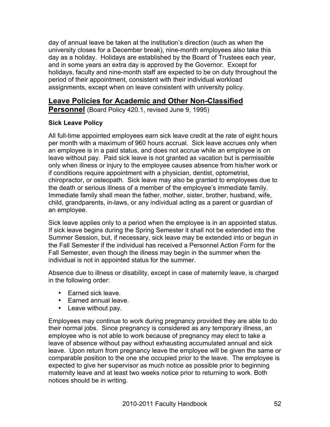day of annual leave be taken at the institution's direction (such as when the university closes for a December break), nine-month employees also take this day as a holiday. Holidays are established by the Board of Trustees each year, and in some years an extra day is approved by the Governor. Except for holidays, faculty and nine-month staff are expected to be on duty throughout the period of their appointment, consistent with their individual workload assignments, except when on leave consistent with university policy.

# **Leave Policies for Academic and Other Non-Classified**

**Personnel** (Board Policy 420.1, revised June 9, 1995)

# **Sick Leave Policy**

All full-time appointed employees earn sick leave credit at the rate of eight hours per month with a maximum of 960 hours accrual. Sick leave accrues only when an employee is in a paid status, and does not accrue while an employee is on leave without pay. Paid sick leave is not granted as vacation but is permissible only when illness or injury to the employee causes absence from his/her work or if conditions require appointment with a physician, dentist, optometrist, chiropractor, or osteopath. Sick leave may also be granted to employees due to the death or serious illness of a member of the employee's immediate family. Immediate family shall mean the father, mother, sister, brother, husband, wife, child, grandparents, in-laws, or any individual acting as a parent or guardian of an employee.

Sick leave applies only to a period when the employee is in an appointed status. If sick leave begins during the Spring Semester it shall not be extended into the Summer Session, but, if necessary, sick leave may be extended into or begun in the Fall Semester if the individual has received a Personnel Action Form for the Fall Semester, even though the illness may begin in the summer when the individual is not in appointed status for the summer.

Absence due to illness or disability, except in case of maternity leave, is charged in the following order:

- Earned sick leave.
- Earned annual leave.
- Leave without pay.

Employees may continue to work during pregnancy provided they are able to do their normal jobs. Since pregnancy is considered as any temporary illness, an employee who is not able to work because of pregnancy may elect to take a leave of absence without pay without exhausting accumulated annual and sick leave. Upon return from pregnancy leave the employee will be given the same or comparable position to the one she occupied prior to the leave. The employee is expected to give her supervisor as much notice as possible prior to beginning maternity leave and at least two weeks notice prior to returning to work. Both notices should be in writing.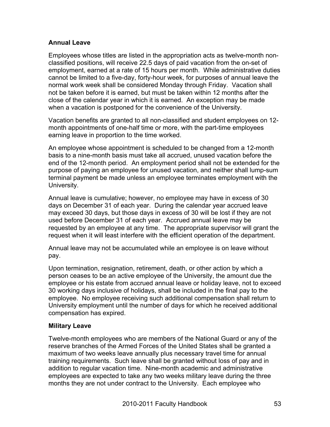# **Annual Leave**

Employees whose titles are listed in the appropriation acts as twelve-month nonclassified positions, will receive 22.5 days of paid vacation from the on-set of employment, earned at a rate of 15 hours per month. While administrative duties cannot be limited to a five-day, forty-hour week, for purposes of annual leave the normal work week shall be considered Monday through Friday. Vacation shall not be taken before it is earned, but must be taken within 12 months after the close of the calendar year in which it is earned. An exception may be made when a vacation is postponed for the convenience of the University.

Vacation benefits are granted to all non-classified and student employees on 12 month appointments of one-half time or more, with the part-time employees earning leave in proportion to the time worked.

An employee whose appointment is scheduled to be changed from a 12-month basis to a nine-month basis must take all accrued, unused vacation before the end of the 12-month period. An employment period shall not be extended for the purpose of paying an employee for unused vacation, and neither shall lump-sum terminal payment be made unless an employee terminates employment with the University.

Annual leave is cumulative; however, no employee may have in excess of 30 days on December 31 of each year. During the calendar year accrued leave may exceed 30 days, but those days in excess of 30 will be lost if they are not used before December 31 of each year. Accrued annual leave may be requested by an employee at any time. The appropriate supervisor will grant the request when it will least interfere with the efficient operation of the department.

Annual leave may not be accumulated while an employee is on leave without pay.

Upon termination, resignation, retirement, death, or other action by which a person ceases to be an active employee of the University, the amount due the employee or his estate from accrued annual leave or holiday leave, not to exceed 30 working days inclusive of holidays, shall be included in the final pay to the employee. No employee receiving such additional compensation shall return to University employment until the number of days for which he received additional compensation has expired.

# **Military Leave**

Twelve-month employees who are members of the National Guard or any of the reserve branches of the Armed Forces of the United States shall be granted a maximum of two weeks leave annually plus necessary travel time for annual training requirements. Such leave shall be granted without loss of pay and in addition to regular vacation time. Nine-month academic and administrative employees are expected to take any two weeks military leave during the three months they are not under contract to the University. Each employee who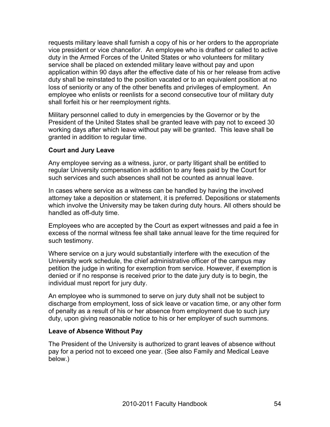requests military leave shall furnish a copy of his or her orders to the appropriate vice president or vice chancellor. An employee who is drafted or called to active duty in the Armed Forces of the United States or who volunteers for military service shall be placed on extended military leave without pay and upon application within 90 days after the effective date of his or her release from active duty shall be reinstated to the position vacated or to an equivalent position at no loss of seniority or any of the other benefits and privileges of employment. An employee who enlists or reenlists for a second consecutive tour of military duty shall forfeit his or her reemployment rights.

Military personnel called to duty in emergencies by the Governor or by the President of the United States shall be granted leave with pay not to exceed 30 working days after which leave without pay will be granted. This leave shall be granted in addition to regular time.

### **Court and Jury Leave**

Any employee serving as a witness, juror, or party litigant shall be entitled to regular University compensation in addition to any fees paid by the Court for such services and such absences shall not be counted as annual leave.

In cases where service as a witness can be handled by having the involved attorney take a deposition or statement, it is preferred. Depositions or statements which involve the University may be taken during duty hours. All others should be handled as off-duty time.

Employees who are accepted by the Court as expert witnesses and paid a fee in excess of the normal witness fee shall take annual leave for the time required for such testimony.

Where service on a jury would substantially interfere with the execution of the University work schedule, the chief administrative officer of the campus may petition the judge in writing for exemption from service. However, if exemption is denied or if no response is received prior to the date jury duty is to begin, the individual must report for jury duty.

An employee who is summoned to serve on jury duty shall not be subject to discharge from employment, loss of sick leave or vacation time, or any other form of penalty as a result of his or her absence from employment due to such jury duty, upon giving reasonable notice to his or her employer of such summons.

#### **Leave of Absence Without Pay**

The President of the University is authorized to grant leaves of absence without pay for a period not to exceed one year. (See also Family and Medical Leave below.)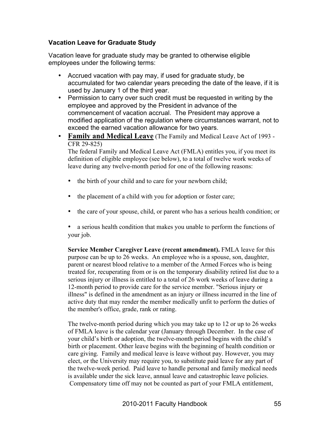### **Vacation Leave for Graduate Study**

Vacation leave for graduate study may be granted to otherwise eligible employees under the following terms:

- Accrued vacation with pay may, if used for graduate study, be accumulated for two calendar years preceding the date of the leave, if it is used by January 1 of the third year.
- Permission to carry over such credit must be requested in writing by the employee and approved by the President in advance of the commencement of vacation accrual. The President may approve a modified application of the regulation where circumstances warrant, not to exceed the earned vacation allowance for two years.
- **Family and Medical Leave** (The Family and Medical Leave Act of 1993 CFR 29-825)

The federal Family and Medical Leave Act (FMLA) entitles you, if you meet its definition of eligible employee (see below), to a total of twelve work weeks of leave during any twelve-month period for one of the following reasons:

- the birth of your child and to care for your newborn child;
- the placement of a child with you for adoption or foster care;
- the care of your spouse, child, or parent who has a serious health condition; or
- a serious health condition that makes you unable to perform the functions of your job.

**Service Member Caregiver Leave (recent amendment).** FMLA leave for this purpose can be up to 26 weeks. An employee who is a spouse, son, daughter, parent or nearest blood relative to a member of the Armed Forces who is being treated for, recuperating from or is on the temporary disability retired list due to a serious injury or illness is entitled to a total of 26 work weeks of leave during a 12-month period to provide care for the service member. "Serious injury or illness" is defined in the amendment as an injury or illness incurred in the line of active duty that may render the member medically unfit to perform the duties of the member's office, grade, rank or rating.

The twelve-month period during which you may take up to 12 or up to 26 weeks of FMLA leave is the calendar year (January through December. In the case of your child's birth or adoption, the twelve-month period begins with the child's birth or placement. Other leave begins with the beginning of health condition or care giving. Family and medical leave is leave without pay. However, you may elect, or the University may require you, to substitute paid leave for any part of the twelve-week period. Paid leave to handle personal and family medical needs is available under the sick leave, annual leave and catastrophic leave policies. Compensatory time off may not be counted as part of your FMLA entitlement,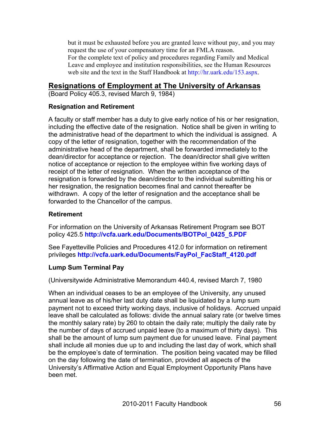but it must be exhausted before you are granted leave without pay, and you may request the use of your compensatory time for an FMLA reason. For the complete text of policy and procedures regarding Family and Medical Leave and employee and institution responsibilities, see the Human Resources web site and the text in the Staff Handbook at http://hr.uark.edu/153.aspx.

# **Resignations of Employment at The University of Arkansas**

(Board Policy 405.3, revised March 9, 1984)

### **Resignation and Retirement**

A faculty or staff member has a duty to give early notice of his or her resignation, including the effective date of the resignation. Notice shall be given in writing to the administrative head of the department to which the individual is assigned. A copy of the letter of resignation, together with the recommendation of the administrative head of the department, shall be forwarded immediately to the dean/director for acceptance or rejection. The dean/director shall give written notice of acceptance or rejection to the employee within five working days of receipt of the letter of resignation. When the written acceptance of the resignation is forwarded by the dean/director to the individual submitting his or her resignation, the resignation becomes final and cannot thereafter be withdrawn. A copy of the letter of resignation and the acceptance shall be forwarded to the Chancellor of the campus.

#### **Retirement**

For information on the University of Arkansas Retirement Program see BOT policy 425.5 **http://vcfa.uark.edu/Documents/BOTPol\_0425\_5.PDF**

See Fayetteville Policies and Procedures 412.0 for information on retirement privileges **http://vcfa.uark.edu/Documents/FayPol\_FacStaff\_4120.pdf**

# **Lump Sum Terminal Pay**

(Universitywide Administrative Memorandum 440.4, revised March 7, 1980

When an individual ceases to be an employee of the University, any unused annual leave as of his/her last duty date shall be liquidated by a lump sum payment not to exceed thirty working days, inclusive of holidays. Accrued unpaid leave shall be calculated as follows: divide the annual salary rate (or twelve times the monthly salary rate) by 260 to obtain the daily rate; multiply the daily rate by the number of days of accrued unpaid leave (to a maximum of thirty days). This shall be the amount of lump sum payment due for unused leave. Final payment shall include all monies due up to and including the last day of work, which shall be the employee's date of termination. The position being vacated may be filled on the day following the date of termination, provided all aspects of the University's Affirmative Action and Equal Employment Opportunity Plans have been met.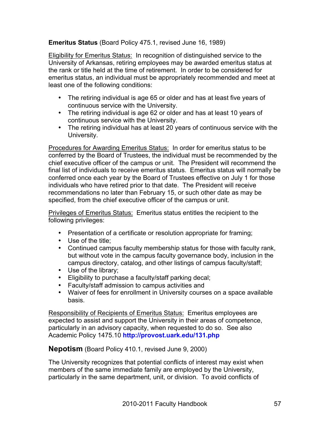### **Emeritus Status** (Board Policy 475.1, revised June 16, 1989)

Eligibility for Emeritus Status: In recognition of distinguished service to the University of Arkansas, retiring employees may be awarded emeritus status at the rank or title held at the time of retirement. In order to be considered for emeritus status, an individual must be appropriately recommended and meet at least one of the following conditions:

- The retiring individual is age 65 or older and has at least five years of continuous service with the University.
- The retiring individual is age 62 or older and has at least 10 years of continuous service with the University.
- The retiring individual has at least 20 years of continuous service with the University.

Procedures for Awarding Emeritus Status: In order for emeritus status to be conferred by the Board of Trustees, the individual must be recommended by the chief executive officer of the campus or unit. The President will recommend the final list of individuals to receive emeritus status. Emeritus status will normally be conferred once each year by the Board of Trustees effective on July 1 for those individuals who have retired prior to that date. The President will receive recommendations no later than February 15, or such other date as may be specified, from the chief executive officer of the campus or unit.

**Privileges of Emeritus Status:** Emeritus status entitles the recipient to the following privileges:

- Presentation of a certificate or resolution appropriate for framing;
- Use of the title;
- Continued campus faculty membership status for those with faculty rank, but without vote in the campus faculty governance body, inclusion in the campus directory, catalog, and other listings of campus faculty/staff;
- Use of the library;
- Eligibility to purchase a faculty/staff parking decal;
- Faculty/staff admission to campus activities and
- Waiver of fees for enrollment in University courses on a space available basis.

Responsibility of Recipients of Emeritus Status: Emeritus employees are expected to assist and support the University in their areas of competence, particularly in an advisory capacity, when requested to do so. See also Academic Policy 1475.10 **http://provost.uark.edu/131.php**

**Nepotism** (Board Policy 410.1, revised June 9, 2000)

The University recognizes that potential conflicts of interest may exist when members of the same immediate family are employed by the University, particularly in the same department, unit, or division. To avoid conflicts of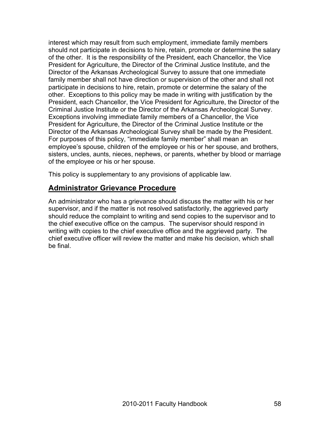interest which may result from such employment, immediate family members should not participate in decisions to hire, retain, promote or determine the salary of the other. It is the responsibility of the President, each Chancellor, the Vice President for Agriculture, the Director of the Criminal Justice Institute, and the Director of the Arkansas Archeological Survey to assure that one immediate family member shall not have direction or supervision of the other and shall not participate in decisions to hire, retain, promote or determine the salary of the other. Exceptions to this policy may be made in writing with justification by the President, each Chancellor, the Vice President for Agriculture, the Director of the Criminal Justice Institute or the Director of the Arkansas Archeological Survey. Exceptions involving immediate family members of a Chancellor, the Vice President for Agriculture, the Director of the Criminal Justice Institute or the Director of the Arkansas Archeological Survey shall be made by the President. For purposes of this policy, "immediate family member" shall mean an employee's spouse, children of the employee or his or her spouse, and brothers, sisters, uncles, aunts, nieces, nephews, or parents, whether by blood or marriage of the employee or his or her spouse.

This policy is supplementary to any provisions of applicable law.

# **Administrator Grievance Procedure**

An administrator who has a grievance should discuss the matter with his or her supervisor, and if the matter is not resolved satisfactorily, the aggrieved party should reduce the complaint to writing and send copies to the supervisor and to the chief executive office on the campus. The supervisor should respond in writing with copies to the chief executive office and the aggrieved party. The chief executive officer will review the matter and make his decision, which shall be final.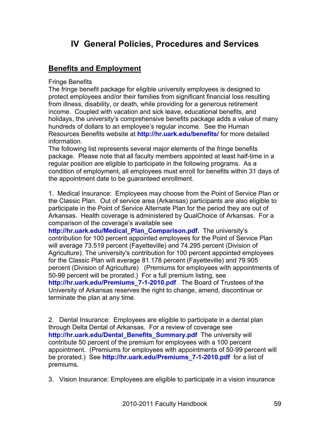# **IV General Policies, Procedures and Services**

# **Benefits and Employment**

Fringe Benefits

The fringe benefit package for eligible university employees is designed to protect employees and/or their families from significant financial loss resulting from illness, disability, or death, while providing for a generous retirement income. Coupled with vacation and sick leave, educational benefits, and holidays, the university's comprehensive benefits package adds a value of many hundreds of dollars to an employee's regular income. See the Human Resources Benefits website at **http://hr.uark.edu/benefits/** for more detailed information.

The following list represents several major elements of the fringe benefits package. Please note that all faculty members appointed at least half-time in a regular position are eligible to participate in the following programs. As a condition of employment, all employees must enroll for benefits within 31 days of the appointment date to be guaranteed enrollment.

1. Medical Insurance: Employees may choose from the Point of Service Plan or the Classic Plan. Out of service area (Arkansas) participants are also eligible to participate in the Point of Service Alternate Plan for the period they are out of Arkansas. Health coverage is administered by QualChoice of Arkansas. For a comparison of the coverage's available see

**http://hr.uark.edu/Medical\_Plan\_Comparison.pdf**. The university's contribution for 100 percent appointed employees for the Point of Service Plan will average 73.519 percent (Fayetteville) and 74.295 percent (Division of Agriculture). The university's contribution for 100 percent appointed employees for the Classic Plan will average 81.178 percent (Fayetteville) and 79.905 percent (Division of Agriculture) (Premiums for employees with appointments of 50-99 percent will be prorated.) For a full premium listing, see **http://hr.uark.edu/Premiums\_7-1-2010.pdf** . The Board of Trustees of the University of Arkansas reserves the right to change, amend, discontinue or terminate the plan at any time.

2. Dental Insurance: Employees are eligible to participate in a dental plan through Delta Dental of Arkansas. For a review of coverage see **http://hr.uark.edu/Dental\_Benefits\_Summary.pdf** The university will contribute 50 percent of the premium for employees with a 100 percent appointment. (Premiums for employees with appointments of 50-99 percent will be prorated.) See **http://hr.uark.edu/Premiums\_7-1-2010.pdf** for a list of premiums.

3. Vision Insurance: Employees are eligible to participate in a vision insurance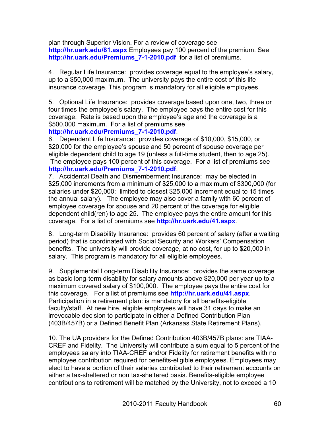plan through Superior Vision. For a review of coverage see **http://hr.uark.edu/81.aspx** Employees pay 100 percent of the premium. See **http://hr.uark.edu/Premiums\_7-1-2010.pdf** for a list of premiums.

4. Regular Life Insurance: provides coverage equal to the employee's salary, up to a \$50,000 maximum. The university pays the entire cost of this life insurance coverage. This program is mandatory for all eligible employees.

5. Optional Life Insurance: provides coverage based upon one, two, three or four times the employee's salary. The employee pays the entire cost for this coverage. Rate is based upon the employee's age and the coverage is a \$500,000 maximum. For a list of premiums see

#### **http://hr.uark.edu/Premiums\_7-1-2010.pdf**.

6. Dependent Life Insurance: provides coverage of \$10,000, \$15,000, or \$20,000 for the employee's spouse and 50 percent of spouse coverage per eligible dependent child to age 19 (unless a full-time student, then to age 25). The employee pays 100 percent of this coverage. For a list of premiums see **http://hr.uark.edu/Premiums\_7-1-2010.pdf**.

7. Accidental Death and Dismemberment Insurance: may be elected in \$25,000 increments from a minimum of \$25,000 to a maximum of \$300,000 (for salaries under \$20,000: limited to closest \$25,000 increment equal to 15 times the annual salary). The employee may also cover a family with 60 percent of employee coverage for spouse and 20 percent of the coverage for eligible dependent child(ren) to age 25. The employee pays the entire amount for this coverage. For a list of premiums see **http://hr.uark.edu/41.aspx**.

8. Long-term Disability Insurance: provides 60 percent of salary (after a waiting period) that is coordinated with Social Security and Workers' Compensation benefits. The university will provide coverage, at no cost, for up to \$20,000 in salary. This program is mandatory for all eligible employees.

9. Supplemental Long-term Disability Insurance: provides the same coverage as basic long-term disability for salary amounts above \$20,000 per year up to a maximum covered salary of \$100,000. The employee pays the entire cost for this coverage. For a list of premiums see **http://hr.uark.edu/41.aspx**. Participation in a retirement plan: is mandatory for all benefits-eligible faculty/staff. At new hire, eligible employees will have 31 days to make an irrevocable decision to participate in either a Defined Contribution Plan (403B/457B) or a Defined Benefit Plan (Arkansas State Retirement Plans).

10. The UA providers for the Defined Contribution 403B/457B plans: are TIAA-CREF and Fidelity. The University will contribute a sum equal to 5 percent of the employees salary into TIAA-CREF and/or Fidelity for retirement benefits with no employee contribution required for benefits-eligible employees. Employees may elect to have a portion of their salaries contributed to their retirement accounts on either a tax-sheltered or non tax-sheltered basis. Benefits-eligible employee contributions to retirement will be matched by the University, not to exceed a 10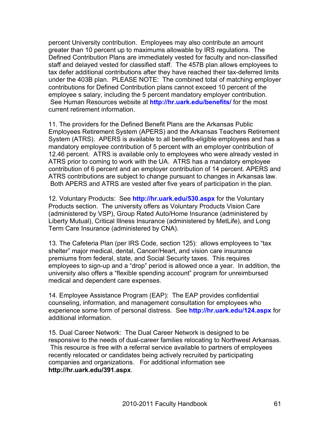percent University contribution. Employees may also contribute an amount greater than 10 percent up to maximums allowable by IRS regulations. The Defined Contribution Plans are immediately vested for faculty and non-classified staff and delayed vested for classified staff. The 457B plan allows employees to tax defer additional contributions after they have reached their tax-deferred limits under the 403B plan. PLEASE NOTE: The combined total of matching employer contributions for Defined Contribution plans cannot exceed 10 percent of the employee s salary, including the 5 percent mandatory employer contribution. See Human Resources website at **http://hr.uark.edu/benefits/** for the most current retirement information.

11. The providers for the Defined Benefit Plans are the Arkansas Public Employees Retirement System (APERS) and the Arkansas Teachers Retirement System (ATRS). APERS is available to all benefits-eligible employees and has a mandatory employee contribution of 5 percent with an employer contribution of 12.46 percent. ATRS is available only to employees who were already vested in ATRS prior to coming to work with the UA. ATRS has a mandatory employee contribution of 6 percent and an employer contribution of 14 percent. APERS and ATRS contributions are subject to change pursuant to changes in Arkansas law. Both APERS and ATRS are vested after five years of participation in the plan.

12. Voluntary Products: See **http://hr.uark.edu/530.aspx** for the Voluntary Products section. The university offers as Voluntary Products Vision Care (administered by VSP), Group Rated Auto/Home Insurance (administered by Liberty Mutual), Critical Illness Insurance (administered by MetLife), and Long Term Care Insurance (administered by CNA).

13. The Cafeteria Plan (per IRS Code, section 125): allows employees to "tax shelter" major medical, dental, Cancer/Heart, and vision care insurance premiums from federal, state, and Social Security taxes. This requires employees to sign-up and a "drop" period is allowed once a year. In addition, the university also offers a "flexible spending account" program for unreimbursed medical and dependent care expenses.

14. Employee Assistance Program (EAP): The EAP provides confidential counseling, information, and management consultation for employees who experience some form of personal distress. See **http://hr.uark.edu/124.aspx** for additional information.

15. Dual Career Network: The Dual Career Network is designed to be responsive to the needs of dual-career families relocating to Northwest Arkansas. This resource is free with a referral service available to partners of employees recently relocated or candidates being actively recruited by participating companies and organizations. For additional information see **http://hr.uark.edu/391.aspx**.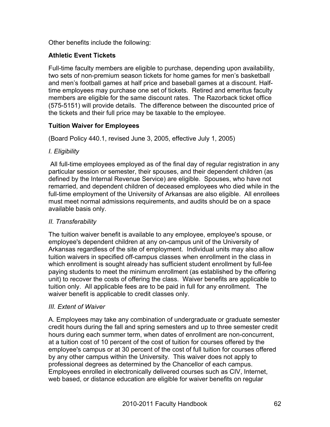Other benefits include the following:

# **Athletic Event Tickets**

Full-time faculty members are eligible to purchase, depending upon availability, two sets of non-premium season tickets for home games for men's basketball and men's football games at half price and baseball games at a discount. Halftime employees may purchase one set of tickets. Retired and emeritus faculty members are eligible for the same discount rates. The Razorback ticket office (575-5151) will provide details. The difference between the discounted price of the tickets and their full price may be taxable to the employee.

# **Tuition Waiver for Employees**

(Board Policy 440.1, revised June 3, 2005, effective July 1, 2005)

# *I. Eligibility*

All full-time employees employed as of the final day of regular registration in any particular session or semester, their spouses, and their dependent children (as defined by the Internal Revenue Service) are eligible. Spouses, who have not remarried, and dependent children of deceased employees who died while in the full-time employment of the University of Arkansas are also eligible. All enrollees must meet normal admissions requirements, and audits should be on a space available basis only.

# *II. Transferability*

The tuition waiver benefit is available to any employee, employee's spouse, or employee's dependent children at any on-campus unit of the University of Arkansas regardless of the site of employment. Individual units may also allow tuition waivers in specified off-campus classes when enrollment in the class in which enrollment is sought already has sufficient student enrollment by full-fee paying students to meet the minimum enrollment (as established by the offering unit) to recover the costs of offering the class. Waiver benefits are applicable to tuition only. All applicable fees are to be paid in full for any enrollment. The waiver benefit is applicable to credit classes only.

# *III. Extent of Waiver*

A. Employees may take any combination of undergraduate or graduate semester credit hours during the fall and spring semesters and up to three semester credit hours during each summer term, when dates of enrollment are non-concurrent, at a tuition cost of 10 percent of the cost of tuition for courses offered by the employee's campus or at 30 percent of the cost of full tuition for courses offered by any other campus within the University. This waiver does not apply to professional degrees as determined by the Chancellor of each campus. Employees enrolled in electronically delivered courses such as CIV, Internet, web based, or distance education are eligible for waiver benefits on regular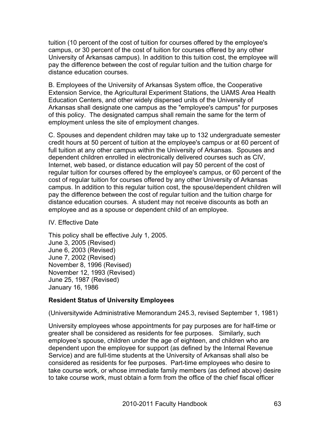tuition (10 percent of the cost of tuition for courses offered by the employee's campus, or 30 percent of the cost of tuition for courses offered by any other University of Arkansas campus). In addition to this tuition cost, the employee will pay the difference between the cost of regular tuition and the tuition charge for distance education courses.

B. Employees of the University of Arkansas System office, the Cooperative Extension Service, the Agricultural Experiment Stations, the UAMS Area Health Education Centers, and other widely dispersed units of the University of Arkansas shall designate one campus as the "employee's campus" for purposes of this policy. The designated campus shall remain the same for the term of employment unless the site of employment changes.

C. Spouses and dependent children may take up to 132 undergraduate semester credit hours at 50 percent of tuition at the employee's campus or at 60 percent of full tuition at any other campus within the University of Arkansas. Spouses and dependent children enrolled in electronically delivered courses such as CIV, Internet, web based, or distance education will pay 50 percent of the cost of regular tuition for courses offered by the employee's campus, or 60 percent of the cost of regular tuition for courses offered by any other University of Arkansas campus. In addition to this regular tuition cost, the spouse/dependent children will pay the difference between the cost of regular tuition and the tuition charge for distance education courses. A student may not receive discounts as both an employee and as a spouse or dependent child of an employee.

#### IV. Effective Date

This policy shall be effective July 1, 2005. June 3, 2005 (Revised) June 6, 2003 (Revised) June 7, 2002 (Revised) November 8, 1996 (Revised) November 12, 1993 (Revised) June 25, 1987 (Revised) January 16, 1986

# **Resident Status of University Employees**

(Universitywide Administrative Memorandum 245.3, revised September 1, 1981)

University employees whose appointments for pay purposes are for half-time or greater shall be considered as residents for fee purposes. Similarly, such employee's spouse, children under the age of eighteen, and children who are dependent upon the employee for support (as defined by the Internal Revenue Service) and are full-time students at the University of Arkansas shall also be considered as residents for fee purposes. Part-time employees who desire to take course work, or whose immediate family members (as defined above) desire to take course work, must obtain a form from the office of the chief fiscal officer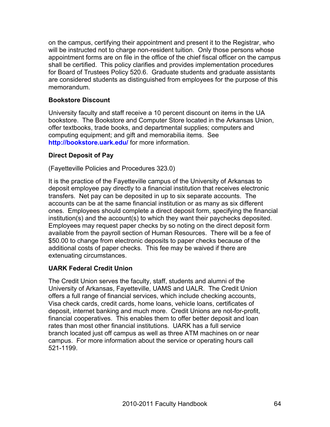on the campus, certifying their appointment and present it to the Registrar, who will be instructed not to charge non-resident tuition. Only those persons whose appointment forms are on file in the office of the chief fiscal officer on the campus shall be certified. This policy clarifies and provides implementation procedures for Board of Trustees Policy 520.6. Graduate students and graduate assistants are considered students as distinguished from employees for the purpose of this memorandum.

#### **Bookstore Discount**

University faculty and staff receive a 10 percent discount on items in the UA bookstore. The Bookstore and Computer Store located in the Arkansas Union, offer textbooks, trade books, and departmental supplies; computers and computing equipment; and gift and memorabilia items. See **http://bookstore.uark.edu/** for more information.

### **Direct Deposit of Pay**

(Fayetteville Policies and Procedures 323.0)

It is the practice of the Fayetteville campus of the University of Arkansas to deposit employee pay directly to a financial institution that receives electronic transfers. Net pay can be deposited in up to six separate accounts. The accounts can be at the same financial institution or as many as six different ones. Employees should complete a direct deposit form, specifying the financial institution(s) and the account(s) to which they want their paychecks deposited. Employees may request paper checks by so noting on the direct deposit form available from the payroll section of Human Resources. There will be a fee of \$50.00 to change from electronic deposits to paper checks because of the additional costs of paper checks. This fee may be waived if there are extenuating circumstances.

# **UARK Federal Credit Union**

The Credit Union serves the faculty, staff, students and alumni of the University of Arkansas, Fayetteville, UAMS and UALR. The Credit Union offers a full range of financial services, which include checking accounts, Visa check cards, credit cards, home loans, vehicle loans, certificates of deposit, internet banking and much more. Credit Unions are not-for-profit, financial cooperatives. This enables them to offer better deposit and loan rates than most other financial institutions. UARK has a full service branch located just off campus as well as three ATM machines on or near campus. For more information about the service or operating hours call 521-1199.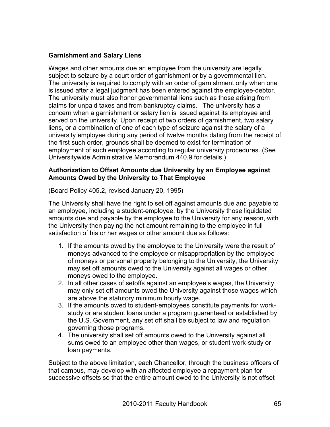### **Garnishment and Salary Liens**

Wages and other amounts due an employee from the university are legally subject to seizure by a court order of garnishment or by a governmental lien. The university is required to comply with an order of garnishment only when one is issued after a legal judgment has been entered against the employee-debtor. The university must also honor governmental liens such as those arising from claims for unpaid taxes and from bankruptcy claims. The university has a concern when a garnishment or salary lien is issued against its employee and served on the university. Upon receipt of two orders of garnishment, two salary liens, or a combination of one of each type of seizure against the salary of a university employee during any period of twelve months dating from the receipt of the first such order, grounds shall be deemed to exist for termination of employment of such employee according to regular university procedures. (See Universitywide Administrative Memorandum 440.9 for details.)

#### **Authorization to Offset Amounts due University by an Employee against Amounts Owed by the University to That Employee**

(Board Policy 405.2, revised January 20, 1995)

The University shall have the right to set off against amounts due and payable to an employee, including a student-employee, by the University those liquidated amounts due and payable by the employee to the University for any reason, with the University then paying the net amount remaining to the employee in full satisfaction of his or her wages or other amount due as follows:

- 1. If the amounts owed by the employee to the University were the result of moneys advanced to the employee or misappropriation by the employee of moneys or personal property belonging to the University, the University may set off amounts owed to the University against all wages or other moneys owed to the employee.
- 2. In all other cases of setoffs against an employee's wages, the University may only set off amounts owed the University against those wages which are above the statutory minimum hourly wage.
- 3. If the amounts owed to student-employees constitute payments for workstudy or are student loans under a program guaranteed or established by the U.S. Government, any set off shall be subject to law and regulation governing those programs.
- 4. The university shall set off amounts owed to the University against all sums owed to an employee other than wages, or student work-study or loan payments.

Subject to the above limitation, each Chancellor, through the business officers of that campus, may develop with an affected employee a repayment plan for successive offsets so that the entire amount owed to the University is not offset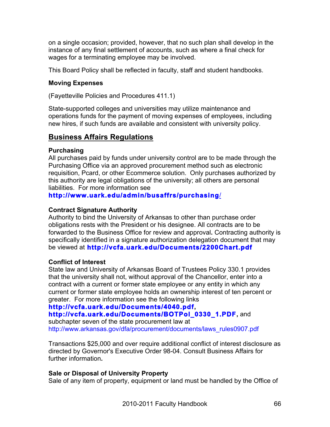on a single occasion; provided, however, that no such plan shall develop in the instance of any final settlement of accounts, such as where a final check for wages for a terminating employee may be involved.

This Board Policy shall be reflected in faculty, staff and student handbooks.

#### **Moving Expenses**

(Fayetteville Policies and Procedures 411.1)

State-supported colleges and universities may utilize maintenance and operations funds for the payment of moving expenses of employees, including new hires, if such funds are available and consistent with university policy.

# **Business Affairs Regulations**

### **Purchasing**

All purchases paid by funds under university control are to be made through the Purchasing Office via an approved procurement method such as electronic requisition, Pcard, or other Ecommerce solution. Only purchases authorized by this authority are legal obligations of the university; all others are personal liabilities. For more information see

# **http://www.uark.edu/admin/busaffrs/purchasing**/

#### **Contract Signature Authority**

Authority to bind the University of Arkansas to other than purchase order obligations rests with the President or his designee. All contracts are to be forwarded to the Business Office for review and approval**.** Contracting authority is specifically identified in a signature authorization delegation document that may be viewed at **http://vcfa.uark.edu/Documents/2200Chart.pdf**

#### **Conflict of Interest**

State law and University of Arkansas Board of Trustees Policy 330.1 provides that the university shall not, without approval of the Chancellor, enter into a contract with a current or former state employee or any entity in which any current or former state employee holds an ownership interest of ten percent or greater. For more information see the following links

# **http://vcfa.uark.edu/Documents/4040.pdf,**

# **http://vcfa.uark.edu/Documents/BOTPol\_0330\_1.PDF,** and

subchapter seven of the state procurement law at http://www.arkansas.gov/dfa/procurement/documents/laws\_rules0907.pdf

Transactions \$25,000 and over require additional conflict of interest disclosure as directed by Governor's Executive Order 98-04. Consult Business Affairs for further information**.**

# **Sale or Disposal of University Prop***e***rty**

Sale of any item of property, equipment or land must be handled by the Office of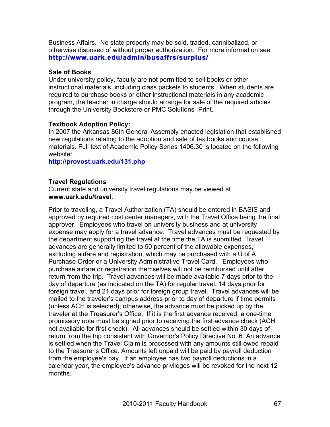Business Affairs. No state property may be sold, traded, cannibalized, or otherwise disposed of without proper authorization. For more information see **http://www.uark.edu/admin/busaffrs/surplus/**

#### **Sale of Books**

Under university policy, faculty are not permitted to sell books or other instructional materials, including class packets to students. When students are required to purchase books or other instructional materials in any academic program, the teacher in charge should arrange for sale of the required articles through the University Bookstore or PMC Solutions- Print.

#### **Textbook Adoption Policy:**

In 2007 the Arkansas 86th General Assembly enacted legislation that established new regulations relating to the adoption and sale of textbooks and course materials. Full text of Academic Policy Series 1406.30 is located on the following website:

**http://provost.uark.edu/131.php**

#### **Travel Regulations**

Current state and university travel regulations may be viewed at **www.uark.edu/travel**.

Prior to traveling, a Travel Authorization (TA) should be entered in BASIS and approved by required cost center managers, with the Travel Office being the final approver. Employees who travel on university business and at university expense may apply for a travel advance. Travel advances must be requested by the department supporting the travel at the time the TA is submitted. Travel advances are generally limited to 50 percent of the allowable expenses, excluding airfare and registration, which may be purchased with a U of A Purchase Order or a University Administrative Travel Card. Employees who purchase airfare or registration themselves will not be reimbursed until after return from the trip. Travel advances will be made available 7 days prior to the day of departure (as indicated on the TA) for regular travel, 14 days prior for foreign travel, and 21 days prior for foreign group travel. Travel advances will be mailed to the traveler's campus address prior to day of departure if time permits (unless ACH is selected); otherwise, the advance must be picked up by the traveler at the Treasurer's Office. If it is the first advance received, a one-time promissory note must be signed prior to receiving the first advance check (ACH not available for first check). All advances should be settled within 30 days of return from the trip consistent with Governor's Policy Directive No. 6. An advance is settled when the Travel Claim is processed with any amounts still owed repaid to the Treasurer's Office. Amounts left unpaid will be paid by payroll deduction from the employee's pay. If an employee has two payroll deductions in a calendar year, the employee's advance privileges will be revoked for the next 12 months.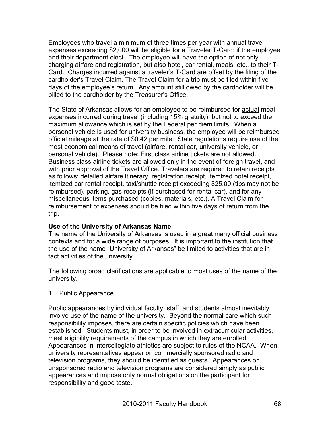Employees who travel a minimum of three times per year with annual travel expenses exceeding \$2,000 will be eligible for a Traveler T-Card; if the employee and their department elect. The employee will have the option of not only charging airfare and registration, but also hotel, car rental, meals, etc., to their T-Card. Charges incurred against a traveler's T-Card are offset by the filing of the cardholder's Travel Claim. The Travel Claim for a trip must be filed within five days of the employee's return. Any amount still owed by the cardholder will be billed to the cardholder by the Treasurer's Office.

The State of Arkansas allows for an employee to be reimbursed for **actual** meal expenses incurred during travel (including 15% gratuity), but not to exceed the maximum allowance which is set by the Federal per diem limits. When a personal vehicle is used for university business, the employee will be reimbursed official mileage at the rate of \$0.42 per mile. State regulations require use of the most economical means of travel (airfare, rental car, university vehicle, or personal vehicle). Please note: First class airline tickets are not allowed. Business class airline tickets are allowed only in the event of foreign travel, and with prior approval of the Travel Office. Travelers are required to retain receipts as follows: detailed airfare itinerary, registration receipt, itemized hotel receipt, itemized car rental receipt, taxi/shuttle receipt exceeding \$25.00 (tips may not be reimbursed), parking, gas receipts (if purchased for rental car), and for any miscellaneous items purchased (copies, materials, etc.). A Travel Claim for reimbursement of expenses should be filed within five days of return from the trip.

#### **Use of the University of Arkansas Name**

The name of the University of Arkansas is used in a great many official business contexts and for a wide range of purposes. It is important to the institution that the use of the name "University of Arkansas" be limited to activities that are in fact activities of the university.

The following broad clarifications are applicable to most uses of the name of the university.

#### 1. Public Appearance

Public appearances by individual faculty, staff, and students almost inevitably involve use of the name of the university. Beyond the normal care which such responsibility imposes, there are certain specific policies which have been established. Students must, in order to be involved in extracurricular activities, meet eligibility requirements of the campus in which they are enrolled. Appearances in intercollegiate athletics are subject to rules of the NCAA. When university representatives appear on commercially sponsored radio and television programs, they should be identified as guests. Appearances on unsponsored radio and television programs are considered simply as public appearances and impose only normal obligations on the participant for responsibility and good taste.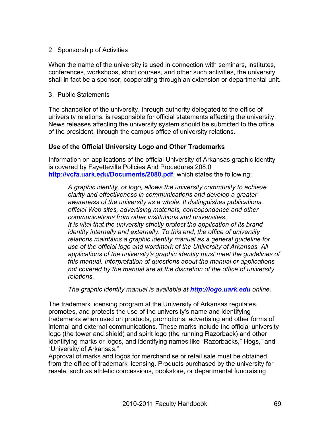#### 2. Sponsorship of Activities

When the name of the university is used in connection with seminars, institutes, conferences, workshops, short courses, and other such activities, the university shall in fact be a sponsor, cooperating through an extension or departmental unit.

#### 3. Public Statements

The chancellor of the university, through authority delegated to the office of university relations, is responsible for official statements affecting the university. News releases affecting the university system should be submitted to the office of the president, through the campus office of university relations.

#### **Use of the Official University Logo and Other Trademarks**

Information on applications of the official University of Arkansas graphic identity is covered by Fayetteville Policies And Procedures 208.0 **http://vcfa.uark.edu/Documents/2080.pdf**, which states the following:

*A graphic identity, or logo, allows the university community to achieve clarity and effectiveness in communications and develop a greater awareness of the university as a whole. It distinguishes publications, official Web sites, advertising materials, correspondence and other communications from other institutions and universities. It is vital that the university strictly protect the application of its brand identity internally and externally. To this end, the office of university relations maintains a graphic identity manual as a general guideline for use of the official logo and wordmark of the University of Arkansas. All applications of the university's graphic identity must meet the guidelines of this manual. Interpretation of questions about the manual or applications not covered by the manual are at the discretion of the office of university relations.*

*The graphic identity manual is available at http://logo.uark.edu online.*

The trademark licensing program at the University of Arkansas regulates, promotes, and protects the use of the university's name and identifying trademarks when used on products, promotions, advertising and other forms of internal and external communications. These marks include the official university logo (the tower and shield) and spirit logo (the running Razorback) and other identifying marks or logos, and identifying names like "Razorbacks," Hogs," and "University of Arkansas."

Approval of marks and logos for merchandise or retail sale must be obtained from the office of trademark licensing. Products purchased by the university for resale, such as athletic concessions, bookstore, or departmental fundraising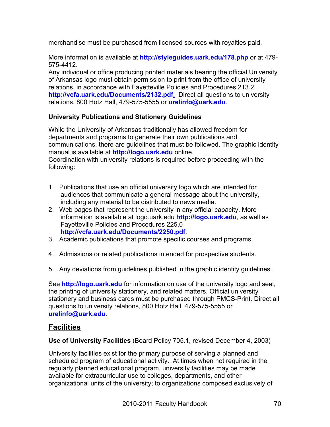merchandise must be purchased from licensed sources with royalties paid.

More information is available at **http://styleguides.uark.edu/178.php** or at 479- 575-4412.

Any individual or office producing printed materials bearing the official University of Arkansas logo must obtain permission to print from the office of university relations, in accordance with Fayetteville Policies and Procedures 213.2 **http://vcfa.uark.edu/Documents/2132.pdf**. Direct all questions to university relations, 800 Hotz Hall, 479-575-5555 or **urelinfo@uark.edu**.

# **University Publications and Stationery Guidelines**

While the University of Arkansas traditionally has allowed freedom for departments and programs to generate their own publications and communications, there are guidelines that must be followed. The graphic identity manual is available at **http://logo.uark.edu** online. Coordination with university relations is required before proceeding with the following:

- 1. Publications that use an official university logo which are intended for audiences that communicate a general message about the university, including any material to be distributed to news media.
- 2. Web pages that represent the university in any official capacity. More information is available at logo.uark.edu **http://logo.uark.edu**, as well as Fayetteville Policies and Procedures 225.0 **http://vcfa.uark.edu/Documents/2250.pdf**.
- 3. Academic publications that promote specific courses and programs.
- 4. Admissions or related publications intended for prospective students.
- 5. Any deviations from guidelines published in the graphic identity guidelines.

See **http://logo.uark.edu** for information on use of the university logo and seal, the printing of university stationery, and related matters. Official university stationery and business cards must be purchased through PMCS-Print. Direct all questions to university relations, 800 Hotz Hall, 479-575-5555 or **urelinfo@uark.edu**.

# **Facilities**

**Use of University Facilities** (Board Policy 705.1, revised December 4, 2003)

University facilities exist for the primary purpose of serving a planned and scheduled program of educational activity. At times when not required in the regularly planned educational program, university facilities may be made available for extracurricular use to colleges, departments, and other organizational units of the university; to organizations composed exclusively of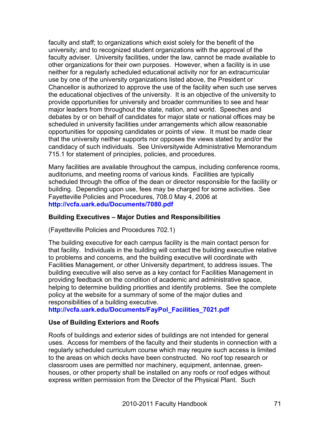faculty and staff; to organizations which exist solely for the benefit of the university; and to recognized student organizations with the approval of the faculty adviser. University facilities, under the law, cannot be made available to other organizations for their own purposes. However, when a facility is in use neither for a regularly scheduled educational activity nor for an extracurricular use by one of the university organizations listed above, the President or Chancellor is authorized to approve the use of the facility when such use serves the educational objectives of the university. It is an objective of the university to provide opportunities for university and broader communities to see and hear major leaders from throughout the state, nation, and world. Speeches and debates by or on behalf of candidates for major state or national offices may be scheduled in university facilities under arrangements which allow reasonable opportunities for opposing candidates or points of view. It must be made clear that the university neither supports nor opposes the views stated by and/or the candidacy of such individuals. See Universitywide Administrative Memorandum 715.1 for statement of principles, policies, and procedures.

Many facilities are available throughout the campus, including conference rooms, auditoriums, and meeting rooms of various kinds. Facilities are typically scheduled through the office of the dean or director responsible for the facility or building. Depending upon use, fees may be charged for some activities. See Fayetteville Policies and Procedures, 708.0 May 4, 2006 at **http://vcfa.uark.edu/Documents/7080.pdf**

#### **Building Executives – Major Duties and Responsibilities**

(Fayetteville Policies and Procedures 702.1)

The building executive for each campus facility is the main contact person for that facility. Individuals in the building will contact the building executive relative to problems and concerns, and the building executive will coordinate with Facilities Management, or other University department, to address issues. The building executive will also serve as a key contact for Facilities Management in providing feedback on the condition of academic and administrative space, helping to determine building priorities and identify problems. See the complete policy at the website for a summary of some of the major duties and responsibilities of a building executive.

**http://vcfa.uark.edu/Documents/FayPol\_Facilities\_7021.pdf**

#### **Use of Building Exteriors and Roofs**

Roofs of buildings and exterior sides of buildings are not intended for general uses. Access for members of the faculty and their students in connection with a regularly scheduled curriculum course which may require such access is limited to the areas on which decks have been constructed. No roof top research or classroom uses are permitted nor machinery, equipment, antennae, greenhouses, or other property shall be installed on any roofs or roof edges without express written permission from the Director of the Physical Plant. Such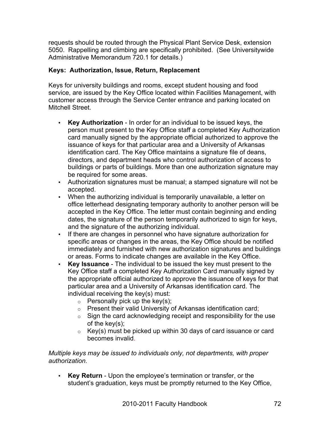requests should be routed through the Physical Plant Service Desk, extension 5050. Rappelling and climbing are specifically prohibited. (See Universitywide Administrative Memorandum 720.1 for details.)

# **Keys: Authorization, Issue, Return, Replacement**

Keys for university buildings and rooms, except student housing and food service, are issued by the Key Office located within Facilities Management, with customer access through the Service Center entrance and parking located on Mitchell Street.

- **Key Authorization** In order for an individual to be issued keys, the person must present to the Key Office staff a completed Key Authorization card manually signed by the appropriate official authorized to approve the issuance of keys for that particular area and a University of Arkansas identification card. The Key Office maintains a signature file of deans, directors, and department heads who control authorization of access to buildings or parts of buildings. More than one authorization signature may be required for some areas.
- Authorization signatures must be manual; a stamped signature will not be accepted.
- When the authorizing individual is temporarily unavailable, a letter on office letterhead designating temporary authority to another person will be accepted in the Key Office. The letter must contain beginning and ending dates, the signature of the person temporarily authorized to sign for keys, and the signature of the authorizing individual.
- If there are changes in personnel who have signature authorization for specific areas or changes in the areas, the Key Office should be notified immediately and furnished with new authorization signatures and buildings or areas. Forms to indicate changes are available in the Key Office.
- **Key Issuance** The individual to be issued the key must present to the Key Office staff a completed Key Authorization Card manually signed by the appropriate official authorized to approve the issuance of keys for that particular area and a University of Arkansas identification card. The individual receiving the key(s) must:
	- $\circ$  Personally pick up the key(s);
	- o Present their valid University of Arkansas identification card;
	- $\circ$  Sign the card acknowledging receipt and responsibility for the use of the key(s);
	- $\circ$  Key(s) must be picked up within 30 days of card issuance or card becomes invalid.

*Multiple keys may be issued to individuals only, not departments, with proper authorization.* 

• **Key Return** - Upon the employee's termination or transfer, or the student's graduation, keys must be promptly returned to the Key Office,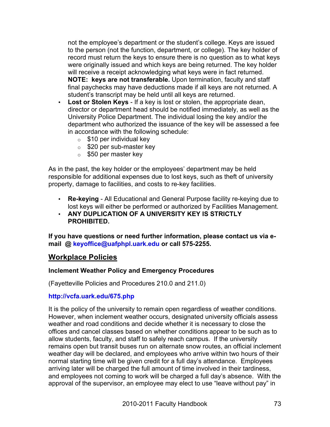not the employee's department or the student's college. Keys are issued to the person (not the function, department, or college). The key holder of record must return the keys to ensure there is no question as to what keys were originally issued and which keys are being returned. The key holder will receive a receipt acknowledging what keys were in fact returned. **NOTE: keys are not transferable.** Upon termination, faculty and staff final paychecks may have deductions made if all keys are not returned. A student's transcript may be held until all keys are returned.

- **Lost or Stolen Keys** If a key is lost or stolen, the appropriate dean, director or department head should be notified immediately, as well as the University Police Department. The individual losing the key and/or the department who authorized the issuance of the key will be assessed a fee in accordance with the following schedule:
	- $\circ$  \$10 per individual key
	- o \$20 per sub-master key
	- o \$50 per master key

As in the past, the key holder or the employees' department may be held responsible for additional expenses due to lost keys, such as theft of university property, damage to facilities, and costs to re-key facilities.

- **Re-keying** All Educational and General Purpose facility re-keying due to lost keys will either be performed or authorized by Facilities Management.
- **ANY DUPLICATION OF A UNIVERSITY KEY IS STRICTLY PROHIBITED.**

**If you have questions or need further information, please contact us via email @ keyoffice@uafphpl.uark.edu or call 575-2255.**

# **Workplace Policies**

#### **Inclement Weather Policy and Emergency Procedures**

(Fayetteville Policies and Procedures 210.0 and 211.0)

#### **http://vcfa.uark.edu/675.php**

It is the policy of the university to remain open regardless of weather conditions. However, when inclement weather occurs, designated university officials assess weather and road conditions and decide whether it is necessary to close the offices and cancel classes based on whether conditions appear to be such as to allow students, faculty, and staff to safely reach campus. If the university remains open but transit buses run on alternate snow routes, an official inclement weather day will be declared, and employees who arrive within two hours of their normal starting time will be given credit for a full day's attendance. Employees arriving later will be charged the full amount of time involved in their tardiness, and employees not coming to work will be charged a full day's absence. With the approval of the supervisor, an employee may elect to use "leave without pay" in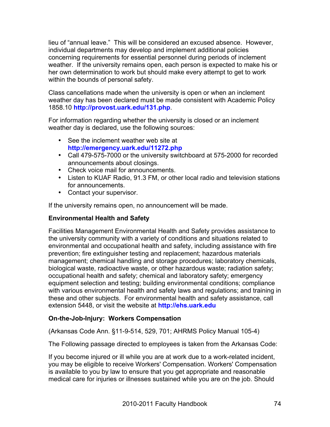lieu of "annual leave." This will be considered an excused absence. However, individual departments may develop and implement additional policies concerning requirements for essential personnel during periods of inclement weather. If the university remains open, each person is expected to make his or her own determination to work but should make every attempt to get to work within the bounds of personal safety.

Class cancellations made when the university is open or when an inclement weather day has been declared must be made consistent with Academic Policy 1858.10 **http://provost.uark.edu/131.php**.

For information regarding whether the university is closed or an inclement weather day is declared, use the following sources:

- See the inclement weather web site at **http://emergency.uark.edu/11272.php**
- Call 479-575-7000 or the university switchboard at 575-2000 for recorded announcements about closings.
- Check voice mail for announcements.
- Listen to KUAF Radio, 91.3 FM, or other local radio and television stations for announcements.
- Contact your supervisor.

If the university remains open, no announcement will be made.

# **Environmental Health and Safety**

Facilities Management Environmental Health and Safety provides assistance to the university community with a variety of conditions and situations related to environmental and occupational health and safety, including assistance with fire prevention; fire extinguisher testing and replacement; hazardous materials management; chemical handling and storage procedures; laboratory chemicals, biological waste, radioactive waste, or other hazardous waste; radiation safety; occupational health and safety; chemical and laboratory safety; emergency equipment selection and testing; building environmental conditions; compliance with various environmental health and safety laws and regulations; and training in these and other subjects. For environmental health and safety assistance, call extension 5448, or visit the website at **http://ehs.uark.edu**

# **On-the-Job-Injury: Workers Compensation**

(Arkansas Code Ann. §11-9-514, 529, 701; AHRMS Policy Manual 105-4)

The Following passage directed to employees is taken from the Arkansas Code:

If you become injured or ill while you are at work due to a work-related incident, you may be eligible to receive Workers' Compensation. Workers' Compensation is available to you by law to ensure that you get appropriate and reasonable medical care for injuries or illnesses sustained while you are on the job. Should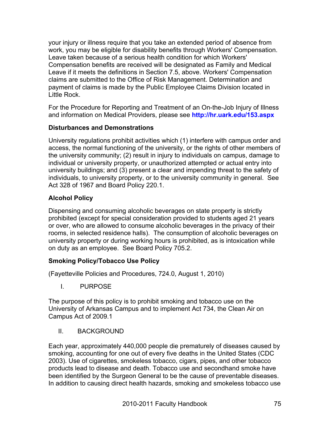your injury or illness require that you take an extended period of absence from work, you may be eligible for disability benefits through Workers' Compensation. Leave taken because of a serious health condition for which Workers' Compensation benefits are received will be designated as Family and Medical Leave if it meets the definitions in Section 7.5, above. Workers' Compensation claims are submitted to the Office of Risk Management. Determination and payment of claims is made by the Public Employee Claims Division located in Little Rock.

For the Procedure for Reporting and Treatment of an On-the-Job Injury of Illness and information on Medical Providers, please see **http://hr.uark.edu/153.aspx**

# **Disturbances and Demonstrations**

University regulations prohibit activities which (1) interfere with campus order and access, the normal functioning of the university, or the rights of other members of the university community; (2) result in injury to individuals on campus, damage to individual or university property, or unauthorized attempted or actual entry into university buildings; and (3) present a clear and impending threat to the safety of individuals, to university property, or to the university community in general. See Act 328 of 1967 and Board Policy 220.1.

# **Alcohol Policy**

Dispensing and consuming alcoholic beverages on state property is strictly prohibited (except for special consideration provided to students aged 21 years or over, who are allowed to consume alcoholic beverages in the privacy of their rooms, in selected residence halls). The consumption of alcoholic beverages on university property or during working hours is prohibited, as is intoxication while on duty as an employee. See Board Policy 705.2.

# **Smoking Policy/Tobacco Use Policy**

(Fayetteville Policies and Procedures, 724.0, August 1, 2010)

I. PURPOSE

The purpose of this policy is to prohibit smoking and tobacco use on the University of Arkansas Campus and to implement Act 734, the Clean Air on Campus Act of 2009.1

II. BACKGROUND

Each year, approximately 440,000 people die prematurely of diseases caused by smoking, accounting for one out of every five deaths in the United States (CDC 2003). Use of cigarettes, smokeless tobacco, cigars, pipes, and other tobacco products lead to disease and death. Tobacco use and secondhand smoke have been identified by the Surgeon General to be the cause of preventable diseases. In addition to causing direct health hazards, smoking and smokeless tobacco use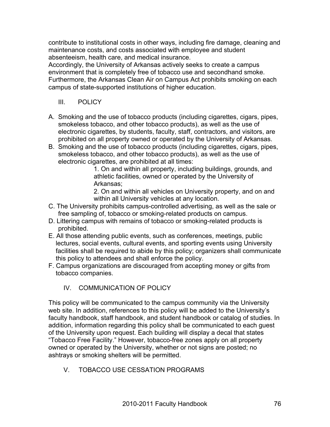contribute to institutional costs in other ways, including fire damage, cleaning and maintenance costs, and costs associated with employee and student absenteeism, health care, and medical insurance.

Accordingly, the University of Arkansas actively seeks to create a campus environment that is completely free of tobacco use and secondhand smoke. Furthermore, the Arkansas Clean Air on Campus Act prohibits smoking on each campus of state-supported institutions of higher education.

- III. POLICY
- A. Smoking and the use of tobacco products (including cigarettes, cigars, pipes, smokeless tobacco, and other tobacco products), as well as the use of electronic cigarettes, by students, faculty, staff, contractors, and visitors, are prohibited on all property owned or operated by the University of Arkansas.
- B. Smoking and the use of tobacco products (including cigarettes, cigars, pipes, smokeless tobacco, and other tobacco products), as well as the use of electronic cigarettes, are prohibited at all times:

1. On and within all property, including buildings, grounds, and athletic facilities, owned or operated by the University of Arkansas;

2. On and within all vehicles on University property, and on and within all University vehicles at any location.

- C. The University prohibits campus-controlled advertising, as well as the sale or free sampling of, tobacco or smoking-related products on campus.
- D. Littering campus with remains of tobacco or smoking-related products is prohibited.
- E. All those attending public events, such as conferences, meetings, public lectures, social events, cultural events, and sporting events using University facilities shall be required to abide by this policy; organizers shall communicate this policy to attendees and shall enforce the policy.
- F. Campus organizations are discouraged from accepting money or gifts from tobacco companies.

# IV. COMMUNICATION OF POLICY

This policy will be communicated to the campus community via the University web site. In addition, references to this policy will be added to the University's faculty handbook, staff handbook, and student handbook or catalog of studies. In addition, information regarding this policy shall be communicated to each guest of the University upon request. Each building will display a decal that states "Tobacco Free Facility." However, tobacco-free zones apply on all property owned or operated by the University, whether or not signs are posted; no ashtrays or smoking shelters will be permitted.

V. TOBACCO USE CESSATION PROGRAMS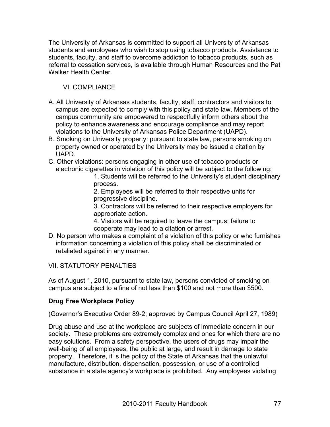The University of Arkansas is committed to support all University of Arkansas students and employees who wish to stop using tobacco products. Assistance to students, faculty, and staff to overcome addiction to tobacco products, such as referral to cessation services, is available through Human Resources and the Pat Walker Health Center.

# VI. COMPLIANCE

- A. All University of Arkansas students, faculty, staff, contractors and visitors to campus are expected to comply with this policy and state law. Members of the campus community are empowered to respectfully inform others about the policy to enhance awareness and encourage compliance and may report violations to the University of Arkansas Police Department (UAPD).
- B. Smoking on University property: pursuant to state law, persons smoking on property owned or operated by the University may be issued a citation by UAPD.
- C. Other violations: persons engaging in other use of tobacco products or electronic cigarettes in violation of this policy will be subject to the following:

1. Students will be referred to the University's student disciplinary process.

2. Employees will be referred to their respective units for progressive discipline.

3. Contractors will be referred to their respective employers for appropriate action.

4. Visitors will be required to leave the campus; failure to cooperate may lead to a citation or arrest.

D. No person who makes a complaint of a violation of this policy or who furnishes information concerning a violation of this policy shall be discriminated or retaliated against in any manner.

VII. STATUTORY PENALTIES

As of August 1, 2010, pursuant to state law, persons convicted of smoking on campus are subject to a fine of not less than \$100 and not more than \$500.

# **Drug Free Workplace Policy**

(Governor's Executive Order 89-2; approved by Campus Council April 27, 1989)

Drug abuse and use at the workplace are subjects of immediate concern in our society. These problems are extremely complex and ones for which there are no easy solutions. From a safety perspective, the users of drugs may impair the well-being of all employees, the public at large, and result in damage to state property. Therefore, it is the policy of the State of Arkansas that the unlawful manufacture, distribution, dispensation, possession, or use of a controlled substance in a state agency's workplace is prohibited. Any employees violating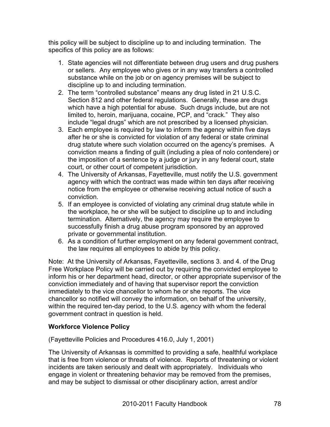this policy will be subject to discipline up to and including termination. The specifics of this policy are as follows:

- 1. State agencies will not differentiate between drug users and drug pushers or sellers. Any employee who gives or in any way transfers a controlled substance while on the job or on agency premises will be subject to discipline up to and including termination.
- 2. The term "controlled substance" means any drug listed in 21 U.S.C. Section 812 and other federal regulations. Generally, these are drugs which have a high potential for abuse. Such drugs include, but are not limited to, heroin, marijuana, cocaine, PCP, and "crack." They also include "legal drugs" which are not prescribed by a licensed physician.
- 3. Each employee is required by law to inform the agency within five days after he or she is convicted for violation of any federal or state criminal drug statute where such violation occurred on the agency's premises. A conviction means a finding of guilt (including a plea of nolo contendere) or the imposition of a sentence by a judge or jury in any federal court, state court, or other court of competent jurisdiction.
- 4. The University of Arkansas, Fayetteville, must notify the U.S. government agency with which the contract was made within ten days after receiving notice from the employee or otherwise receiving actual notice of such a conviction.
- 5. If an employee is convicted of violating any criminal drug statute while in the workplace, he or she will be subject to discipline up to and including termination. Alternatively, the agency may require the employee to successfully finish a drug abuse program sponsored by an approved private or governmental institution.
- 6. As a condition of further employment on any federal government contract, the law requires all employees to abide by this policy.

Note: At the University of Arkansas, Fayetteville, sections 3. and 4. of the Drug Free Workplace Policy will be carried out by requiring the convicted employee to inform his or her department head, director, or other appropriate supervisor of the conviction immediately and of having that supervisor report the conviction immediately to the vice chancellor to whom he or she reports. The vice chancellor so notified will convey the information, on behalf of the university, within the required ten-day period, to the U.S. agency with whom the federal government contract in question is held.

# **Workforce Violence Policy**

(Fayetteville Policies and Procedures 416.0, July 1, 2001)

The University of Arkansas is committed to providing a safe, healthful workplace that is free from violence or threats of violence. Reports of threatening or violent incidents are taken seriously and dealt with appropriately. Individuals who engage in violent or threatening behavior may be removed from the premises, and may be subject to dismissal or other disciplinary action, arrest and/or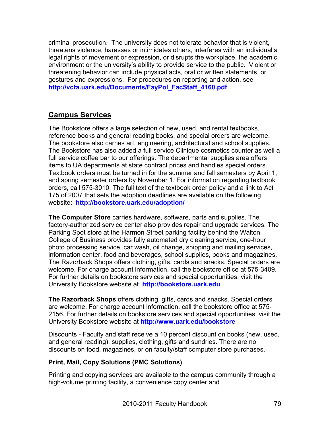criminal prosecution. The university does not tolerate behavior that is violent, threatens violence, harasses or intimidates others, interferes with an individual's legal rights of movement or expression, or disrupts the workplace, the academic environment or the university's ability to provide service to the public. Violent or threatening behavior can include physical acts, oral or written statements, or gestures and expressions. For procedures on reporting and action, see **http://vcfa.uark.edu/Documents/FayPol\_FacStaff\_4160.pdf**

# **Campus Services**

The Bookstore offers a large selection of new, used, and rental textbooks, reference books and general reading books, and special orders are welcome. The bookstore also carries art, engineering, architectural and school supplies. The Bookstore has also added a full service Clinique cosmetics counter as well a full service coffee bar to our offerings. The departmental supplies area offers items to UA departments at state contract prices and handles special orders. Textbook orders must be turned in for the summer and fall semesters by April 1, and spring semester orders by November 1. For information regarding textbook orders, call 575-3010. The full text of the textbook order policy and a link to Act 175 of 2007 that sets the adoption deadlines are available on the following website: **http://bookstore.uark.edu/adoption/**

**The Computer Store** carries hardware, software, parts and supplies. The factory-authorized service center also provides repair and upgrade services. The Parking Spot store at the Harmon Street parking facility behind the Walton College of Business provides fully automated dry cleaning service, one-hour photo processing service, car wash, oil change, shipping and mailing services, information center, food and beverages, school supplies, books and magazines. The Razorback Shops offers clothing, gifts, cards and snacks. Special orders are welcome. For charge account information, call the bookstore office at 575-3409. For further details on bookstore services and special opportunities, visit the University Bookstore website at **http://bookstore.uark.edu**

**The Razorback Shops** offers clothing, gifts, cards and snacks. Special orders are welcome. For charge account information, call the bookstore office at 575- 2156. For further details on bookstore services and special opportunities, visit the University Bookstore website at **http://www.uark.edu/bookstore**

Discounts - Faculty and staff receive a 10 percent discount on books (new, used, and general reading), supplies, clothing, gifts and sundries. There are no discounts on food, magazines, or on faculty/staff computer store purchases.

# **Print, Mail, Copy Solutions (PMC Solutions)**

Printing and copying services are available to the campus community through a high-volume printing facility, a convenience copy center and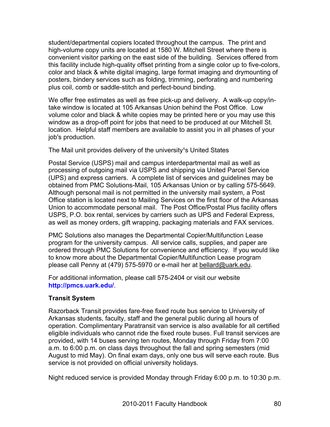student/departmental copiers located throughout the campus. The print and high-volume copy units are located at 1580 W. Mitchell Street where there is convenient visitor parking on the east side of the building. Services offered from this facility include high-quality offset printing from a single color up to five-colors, color and black & white digital imaging, large format imaging and drymounting of posters, bindery services such as folding, trimming, perforating and numbering plus coil, comb or saddle-stitch and perfect-bound binding.

We offer free estimates as well as free pick-up and delivery. A walk-up copy/intake window is located at 105 Arkansas Union behind the Post Office. Low volume color and black & white copies may be printed here or you may use this window as a drop-off point for jobs that need to be produced at our Mitchell St. location. Helpful staff members are available to assist you in all phases of your job's production.

The Mail unit provides delivery of the university<sup>1</sup>s United States

Postal Service (USPS) mail and campus interdepartmental mail as well as processing of outgoing mail via USPS and shipping via United Parcel Service (UPS) and express carriers. A complete list of services and guidelines may be obtained from PMC Solutions-Mail, 105 Arkansas Union or by calling 575-5649. Although personal mail is not permitted in the university mail system, a Post Office station is located next to Mailing Services on the first floor of the Arkansas Union to accommodate personal mail. The Post Office/Postal Plus facility offers USPS, P.O. box rental, services by carriers such as UPS and Federal Express, as well as money orders, gift wrapping, packaging materials and FAX services.

PMC Solutions also manages the Departmental Copier/Multifunction Lease program for the university campus. All service calls, supplies, and paper are ordered through PMC Solutions for convenience and efficiency. If you would like to know more about the Departmental Copier/Multifunction Lease program please call Penny at (479) 575-5970 or e-mail her at bellard@uark.edu.

For additional information, please call 575-2404 or visit our website **http://pmcs.uark.edu/**.

# **Transit System**

Razorback Transit provides fare-free fixed route bus service to University of Arkansas students, faculty, staff and the general public during all hours of operation. Complimentary Paratransit van service is also available for all certified eligible individuals who cannot ride the fixed route buses. Full transit services are provided, with 14 buses serving ten routes, Monday through Friday from 7:00 a.m. to 6:00 p.m. on class days throughout the fall and spring semesters (mid August to mid May). On final exam days, only one bus will serve each route. Bus service is not provided on official university holidays.

Night reduced service is provided Monday through Friday 6:00 p.m. to 10:30 p.m.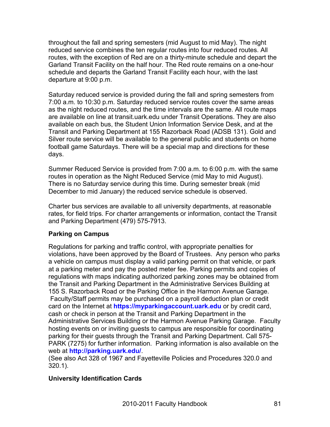throughout the fall and spring semesters (mid August to mid May). The night reduced service combines the ten regular routes into four reduced routes. All routes, with the exception of Red are on a thirty-minute schedule and depart the Garland Transit Facility on the half hour. The Red route remains on a one-hour schedule and departs the Garland Transit Facility each hour, with the last departure at 9:00 p.m.

Saturday reduced service is provided during the fall and spring semesters from 7:00 a.m. to 10:30 p.m. Saturday reduced service routes cover the same areas as the night reduced routes, and the time intervals are the same. All route maps are available on line at transit.uark.edu under Transit Operations. They are also available on each bus, the Student Union Information Service Desk, and at the Transit and Parking Department at 155 Razorback Road (ADSB 131). Gold and Silver route service will be available to the general public and students on home football game Saturdays. There will be a special map and directions for these days.

Summer Reduced Service is provided from 7:00 a.m. to 6:00 p.m. with the same routes in operation as the Night Reduced Service (mid May to mid August). There is no Saturday service during this time. During semester break (mid December to mid January) the reduced service schedule is observed.

Charter bus services are available to all university departments, at reasonable rates, for field trips. For charter arrangements or information, contact the Transit and Parking Department (479) 575-7913.

# **Parking on Campus**

Regulations for parking and traffic control, with appropriate penalties for violations, have been approved by the Board of Trustees. Any person who parks a vehicle on campus must display a valid parking permit on that vehicle, or park at a parking meter and pay the posted meter fee. Parking permits and copies of regulations with maps indicating authorized parking zones may be obtained from the Transit and Parking Department in the Administrative Services Building at 155 S. Razorback Road or the Parking Office in the Harmon Avenue Garage. Faculty/Staff permits may be purchased on a payroll deduction plan or credit card on the Internet at **https://myparkingaccount.uark.edu** or by credit card, cash or check in person at the Transit and Parking Department in the Administrative Services Building or the Harmon Avenue Parking Garage. Faculty hosting events on or inviting guests to campus are responsible for coordinating parking for their guests through the Transit and Parking Department. Call 575- PARK (7275) for further information. Parking information is also available on the web at **http://parking.uark.edu/**.

(See also Act 328 of 1967 and Fayetteville Policies and Procedures 320.0 and 320.1).

#### **University Identification Cards**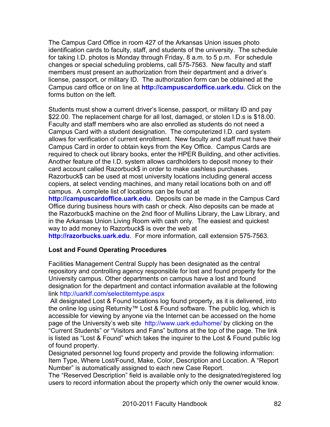The Campus Card Office in room 427 of the Arkansas Union issues photo identification cards to faculty, staff, and students of the university. The schedule for taking I.D. photos is Monday through Friday, 8 a.m. to 5 p.m. For schedule changes or special scheduling problems, call 575-7563. New faculty and staff members must present an authorization from their department and a driver's license, passport, or military ID. The authorization form can be obtained at the Campus card office or on line at **http://campuscardoffice.uark.edu**. Click on the forms button on the left.

Students must show a current driver's license, passport, or military ID and pay \$22.00. The replacement charge for all lost, damaged, or stolen I.D.s is \$18.00. Faculty and staff members who are also enrolled as students do not need a Campus Card with a student designation. The computerized I.D. card system allows for verification of current enrollment. New faculty and staff must have their Campus Card in order to obtain keys from the Key Office. Campus Cards are required to check out library books, enter the HPER Building, and other activities. Another feature of the I.D. system allows cardholders to deposit money to their card account called Razorbuck\$ in order to make cashless purchases. Razorbuck\$ can be used at most university locations including general access copiers, at select vending machines, and many retail locations both on and off campus. A complete list of locations can be found at

**http://campuscardoffice.uark.edu**. Deposits can be made in the Campus Card Office during business hours with cash or check. Also deposits can be made at the Razorbuck\$ machine on the 2nd floor of Mullins Library, the Law Library, and in the Arkansas Union Living Room with cash only. The easiest and quickest way to add money to Razorbuck\$ is over the web at

**http://razorbucks.uark.edu**. For more information, call extension 575-7563.

# **Lost and Found Operating Procedures**

Facilities Management Central Supply has been designated as the central repository and controlling agency responsible for lost and found property for the University campus. Other departments on campus have a lost and found designation for the department and contact information available at the following link http://uarklf.com/selectitemtype.aspx

 All designated Lost & Found locations log found property, as it is delivered, into the online log using Returnity™ Lost & Found software. The public log, which is accessible for viewing by anyone via the Internet can be accessed on the home page of the University's web site http://www.uark.edu/home/ by clicking on the "Current Students" or "Visitors and Fans" buttons at the top of the page. The link is listed as "Lost & Found" which takes the inquirer to the Lost & Found public log of found property.

Designated personnel log found property and provide the following information: Item Type, Where Lost/Found, Make, Color, Description and Location. A "Report Number" is automatically assigned to each new Case Report.

The "Reserved Description" field is available only to the designated/registered log users to record information about the property which only the owner would know.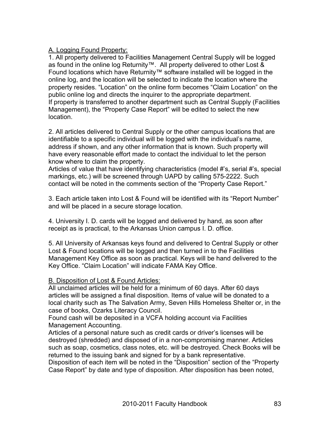### A. Logging Found Property:

1. All property delivered to Facilities Management Central Supply will be logged as found in the online log Returnity™. All property delivered to other Lost & Found locations which have Returnity™ software installed will be logged in the online log, and the location will be selected to indicate the location where the property resides. "Location" on the online form becomes "Claim Location" on the public online log and directs the inquirer to the appropriate department. If property is transferred to another department such as Central Supply (Facilities Management), the "Property Case Report" will be edited to select the new location.

2. All articles delivered to Central Supply or the other campus locations that are identifiable to a specific individual will be logged with the individual's name, address if shown, and any other information that is known. Such property will have every reasonable effort made to contact the individual to let the person know where to claim the property.

Articles of value that have identifying characteristics (model #'s, serial #'s, special markings, etc.) will be screened through UAPD by calling 575-2222. Such contact will be noted in the comments section of the "Property Case Report."

3. Each article taken into Lost & Found will be identified with its "Report Number" and will be placed in a secure storage location.

4. University I. D. cards will be logged and delivered by hand, as soon after receipt as is practical, to the Arkansas Union campus I. D. office.

5. All University of Arkansas keys found and delivered to Central Supply or other Lost & Found locations will be logged and then turned in to the Facilities Management Key Office as soon as practical. Keys will be hand delivered to the Key Office. "Claim Location" will indicate FAMA Key Office.

#### B. Disposition of Lost & Found Articles:

All unclaimed articles will be held for a minimum of 60 days. After 60 days articles will be assigned a final disposition. Items of value will be donated to a local charity such as The Salvation Army, Seven Hills Homeless Shelter or, in the case of books, Ozarks Literacy Council.

Found cash will be deposited in a VCFA holding account via Facilities Management Accounting.

Articles of a personal nature such as credit cards or driver's licenses will be destroyed (shredded) and disposed of in a non-compromising manner. Articles such as soap, cosmetics, class notes, etc. will be destroyed. Check Books will be returned to the issuing bank and signed for by a bank representative.

Disposition of each item will be noted in the "Disposition" section of the "Property Case Report" by date and type of disposition. After disposition has been noted,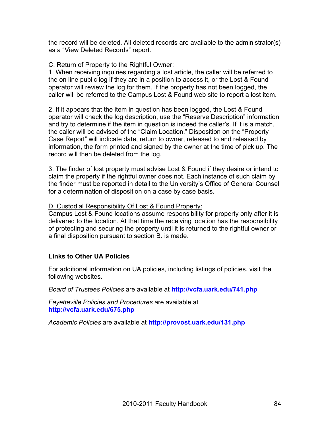the record will be deleted. All deleted records are available to the administrator(s) as a "View Deleted Records" report.

#### C. Return of Property to the Rightful Owner:

1. When receiving inquiries regarding a lost article, the caller will be referred to the on line public log if they are in a position to access it, or the Lost & Found operator will review the log for them. If the property has not been logged, the caller will be referred to the Campus Lost & Found web site to report a lost item.

2. If it appears that the item in question has been logged, the Lost & Found operator will check the log description, use the "Reserve Description" information and try to determine if the item in question is indeed the caller's. If it is a match, the caller will be advised of the "Claim Location." Disposition on the "Property Case Report" will indicate date, return to owner, released to and released by information, the form printed and signed by the owner at the time of pick up. The record will then be deleted from the log.

3. The finder of lost property must advise Lost & Found if they desire or intend to claim the property if the rightful owner does not. Each instance of such claim by the finder must be reported in detail to the University's Office of General Counsel for a determination of disposition on a case by case basis.

#### D. Custodial Responsibility Of Lost & Found Property:

Campus Lost & Found locations assume responsibility for property only after it is delivered to the location. At that time the receiving location has the responsibility of protecting and securing the property until it is returned to the rightful owner or a final disposition pursuant to section B. is made.

# **Links to Other UA Policies**

For additional information on UA policies, including listings of policies, visit the following websites.

*Board of Trustees Policies* are available at **http://vcfa.uark.edu/741.php**

*Fayetteville Policies and Procedures* are available at **http://vcfa.uark.edu/675.php**

*Academic Policies* are available at **http://provost.uark.edu/131.php**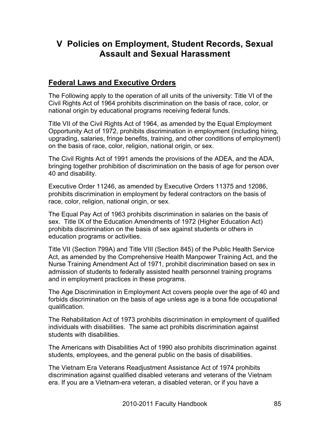# **V Policies on Employment, Student Records, Sexual Assault and Sexual Harassment**

# **Federal Laws and Executive Orders**

The Following apply to the operation of all units of the university: Title VI of the Civil Rights Act of 1964 prohibits discrimination on the basis of race, color, or national origin by educational programs receiving federal funds.

Title VII of the Civil Rights Act of 1964, as amended by the Equal Employment Opportunity Act of 1972, prohibits discrimination in employment (including hiring, upgrading, salaries, fringe benefits, training, and other conditions of employment) on the basis of race, color, religion, national origin, or sex.

The Civil Rights Act of 1991 amends the provisions of the ADEA, and the ADA, bringing together prohibition of discrimination on the basis of age for person over 40 and disability.

Executive Order 11246, as amended by Executive Orders 11375 and 12086, prohibits discrimination in employment by federal contractors on the basis of race, color, religion, national origin, or sex.

The Equal Pay Act of 1963 prohibits discrimination in salaries on the basis of sex. Title IX of the Education Amendments of 1972 (Higher Education Act) prohibits discrimination on the basis of sex against students or others in education programs or activities.

Title VII (Section 799A) and Title VIII (Section 845) of the Public Health Service Act, as amended by the Comprehensive Health Manpower Training Act, and the Nurse Training Amendment Act of 1971, prohibit discrimination based on sex in admission of students to federally assisted health personnel training programs and in employment practices in these programs.

The Age Discrimination in Employment Act covers people over the age of 40 and forbids discrimination on the basis of age unless age is a bona fide occupational qualification.

The Rehabilitation Act of 1973 prohibits discrimination in employment of qualified individuals with disabilities. The same act prohibits discrimination against students with disabilities.

The Americans with Disabilities Act of 1990 also prohibits discrimination against students, employees, and the general public on the basis of disabilities.

The Vietnam Era Veterans Readjustment Assistance Act of 1974 prohibits discrimination against qualified disabled veterans and veterans of the Vietnam era. If you are a Vietnam-era veteran, a disabled veteran, or if you have a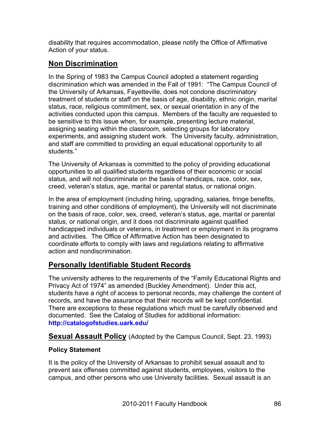disability that requires accommodation, please notify the Office of Affirmative Action of your status.

# **Non Discrimination**

In the Spring of 1983 the Campus Council adopted a statement regarding discrimination which was amended in the Fall of 1991: "The Campus Council of the University of Arkansas, Fayetteville, does not condone discriminatory treatment of students or staff on the basis of age, disability, ethnic origin, marital status, race, religious commitment, sex, or sexual orientation in any of the activities conducted upon this campus. Members of the faculty are requested to be sensitive to this issue when, for example, presenting lecture material, assigning seating within the classroom, selecting groups for laboratory experiments, and assigning student work. The University faculty, administration, and staff are committed to providing an equal educational opportunity to all students."

The University of Arkansas is committed to the policy of providing educational opportunities to all qualified students regardless of their economic or social status, and will not discriminate on the basis of handicaps, race, color, sex, creed, veteran's status, age, marital or parental status, or national origin.

In the area of employment (including hiring, upgrading, salaries, fringe benefits, training and other conditions of employment), the University will not discriminate on the basis of race, color, sex, creed, veteran's status, age, marital or parental status, or national origin, and it does not discriminate against qualified handicapped individuals or veterans, in treatment or employment in its programs and activities. The Office of Affirmative Action has been designated to coordinate efforts to comply with laws and regulations relating to affirmative action and nondiscrimination.

# **Personally Identifiable Student Records**

The university adheres to the requirements of the "Family Educational Rights and Privacy Act of 1974" as amended (Buckley Amendment). Under this act, students have a right of access to personal records, may challenge the content of records, and have the assurance that their records will be kept confidential. There are exceptions to these regulations which must be carefully observed and documented. See the Catalog of Studies for additional information: **http://catalogofstudies.uark.edu/**

**Sexual Assault Policy** (Adopted by the Campus Council, Sept. 23, 1993)

# **Policy Statement**

It is the policy of the University of Arkansas to prohibit sexual assault and to prevent sex offenses committed against students, employees, visitors to the campus, and other persons who use University facilities. Sexual assault is an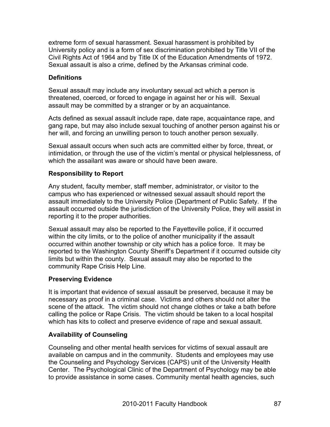extreme form of sexual harassment. Sexual harassment is prohibited by University policy and is a form of sex discrimination prohibited by Title VII of the Civil Rights Act of 1964 and by Title IX of the Education Amendments of 1972. Sexual assault is also a crime, defined by the Arkansas criminal code.

### **Definitions**

Sexual assault may include any involuntary sexual act which a person is threatened, coerced, or forced to engage in against her or his will. Sexual assault may be committed by a stranger or by an acquaintance.

Acts defined as sexual assault include rape, date rape, acquaintance rape, and gang rape, but may also include sexual touching of another person against his or her will, and forcing an unwilling person to touch another person sexually.

Sexual assault occurs when such acts are committed either by force, threat, or intimidation, or through the use of the victim's mental or physical helplessness, of which the assailant was aware or should have been aware.

#### **Responsibility to Report**

Any student, faculty member, staff member, administrator, or visitor to the campus who has experienced or witnessed sexual assault should report the assault immediately to the University Police (Department of Public Safety. If the assault occurred outside the jurisdiction of the University Police, they will assist in reporting it to the proper authorities.

Sexual assault may also be reported to the Fayetteville police, if it occurred within the city limits, or to the police of another municipality if the assault occurred within another township or city which has a police force. It may be reported to the Washington County Sheriff's Department if it occurred outside city limits but within the county. Sexual assault may also be reported to the community Rape Crisis Help Line.

#### **Preserving Evidence**

It is important that evidence of sexual assault be preserved, because it may be necessary as proof in a criminal case. Victims and others should not alter the scene of the attack. The victim should not change clothes or take a bath before calling the police or Rape Crisis. The victim should be taken to a local hospital which has kits to collect and preserve evidence of rape and sexual assault.

# **Availability of Counseling**

Counseling and other mental health services for victims of sexual assault are available on campus and in the community. Students and employees may use the Counseling and Psychology Services (CAPS) unit of the University Health Center. The Psychological Clinic of the Department of Psychology may be able to provide assistance in some cases. Community mental health agencies, such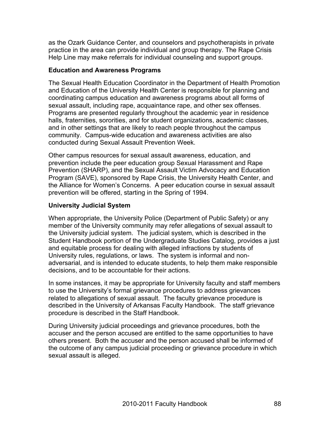as the Ozark Guidance Center, and counselors and psychotherapists in private practice in the area can provide individual and group therapy. The Rape Crisis Help Line may make referrals for individual counseling and support groups.

#### **Education and Awareness Programs**

The Sexual Health Education Coordinator in the Department of Health Promotion and Education of the University Health Center is responsible for planning and coordinating campus education and awareness programs about all forms of sexual assault, including rape, acquaintance rape, and other sex offenses. Programs are presented regularly throughout the academic year in residence halls, fraternities, sororities, and for student organizations, academic classes, and in other settings that are likely to reach people throughout the campus community. Campus-wide education and awareness activities are also conducted during Sexual Assault Prevention Week.

Other campus resources for sexual assault awareness, education, and prevention include the peer education group Sexual Harassment and Rape Prevention (SHARP), and the Sexual Assault Victim Advocacy and Education Program (SAVE), sponsored by Rape Crisis, the University Health Center, and the Alliance for Women's Concerns. A peer education course in sexual assault prevention will be offered, starting in the Spring of 1994.

#### **University Judicial System**

When appropriate, the University Police (Department of Public Safety) or any member of the University community may refer allegations of sexual assault to the University judicial system. The judicial system, which is described in the Student Handbook portion of the Undergraduate Studies Catalog, provides a just and equitable process for dealing with alleged infractions by students of University rules, regulations, or laws. The system is informal and nonadversarial, and is intended to educate students, to help them make responsible decisions, and to be accountable for their actions.

In some instances, it may be appropriate for University faculty and staff members to use the University's formal grievance procedures to address grievances related to allegations of sexual assault. The faculty grievance procedure is described in the University of Arkansas Faculty Handbook. The staff grievance procedure is described in the Staff Handbook.

During University judicial proceedings and grievance procedures, both the accuser and the person accused are entitled to the same opportunities to have others present. Both the accuser and the person accused shall be informed of the outcome of any campus judicial proceeding or grievance procedure in which sexual assault is alleged.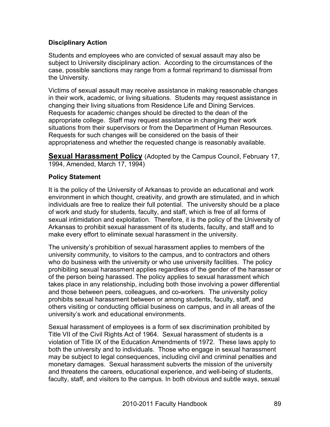# **Disciplinary Action**

Students and employees who are convicted of sexual assault may also be subject to University disciplinary action. According to the circumstances of the case, possible sanctions may range from a formal reprimand to dismissal from the University.

Victims of sexual assault may receive assistance in making reasonable changes in their work, academic, or living situations. Students may request assistance in changing their living situations from Residence Life and Dining Services. Requests for academic changes should be directed to the dean of the appropriate college. Staff may request assistance in changing their work situations from their supervisors or from the Department of Human Resources. Requests for such changes will be considered on the basis of their appropriateness and whether the requested change is reasonably available.

**Sexual Harassment Policy** (Adopted by the Campus Council, February 17, 1994, Amended, March 17, 1994)

#### **Policy Statement**

It is the policy of the University of Arkansas to provide an educational and work environment in which thought, creativity, and growth are stimulated, and in which individuals are free to realize their full potential. The university should be a place of work and study for students, faculty, and staff, which is free of all forms of sexual intimidation and exploitation. Therefore, it is the policy of the University of Arkansas to prohibit sexual harassment of its students, faculty, and staff and to make every effort to eliminate sexual harassment in the university.

The university's prohibition of sexual harassment applies to members of the university community, to visitors to the campus, and to contractors and others who do business with the university or who use university facilities. The policy prohibiting sexual harassment applies regardless of the gender of the harasser or of the person being harassed. The policy applies to sexual harassment which takes place in any relationship, including both those involving a power differential and those between peers, colleagues, and co-workers. The university policy prohibits sexual harassment between or among students, faculty, staff, and others visiting or conducting official business on campus, and in all areas of the university's work and educational environments.

Sexual harassment of employees is a form of sex discrimination prohibited by Title VII of the Civil Rights Act of 1964. Sexual harassment of students is a violation of Title IX of the Education Amendments of 1972. These laws apply to both the university and to individuals. Those who engage in sexual harassment may be subject to legal consequences, including civil and criminal penalties and monetary damages. Sexual harassment subverts the mission of the university and threatens the careers, educational experience, and well-being of students, faculty, staff, and visitors to the campus. In both obvious and subtle ways, sexual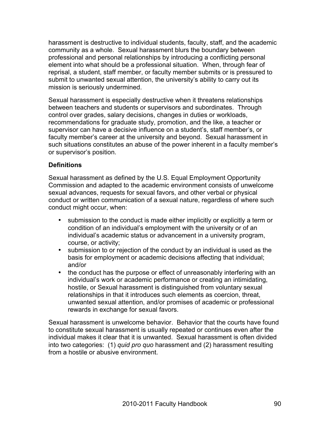harassment is destructive to individual students, faculty, staff, and the academic community as a whole. Sexual harassment blurs the boundary between professional and personal relationships by introducing a conflicting personal element into what should be a professional situation. When, through fear of reprisal, a student, staff member, or faculty member submits or is pressured to submit to unwanted sexual attention, the university's ability to carry out its mission is seriously undermined.

Sexual harassment is especially destructive when it threatens relationships between teachers and students or supervisors and subordinates. Through control over grades, salary decisions, changes in duties or workloads, recommendations for graduate study, promotion, and the like, a teacher or supervisor can have a decisive influence on a student's, staff member's, or faculty member's career at the university and beyond. Sexual harassment in such situations constitutes an abuse of the power inherent in a faculty member's or supervisor's position.

#### **Definitions**

Sexual harassment as defined by the U.S. Equal Employment Opportunity Commission and adapted to the academic environment consists of unwelcome sexual advances, requests for sexual favors, and other verbal or physical conduct or written communication of a sexual nature, regardless of where such conduct might occur, when:

- submission to the conduct is made either implicitly or explicitly a term or condition of an individual's employment with the university or of an individual's academic status or advancement in a university program, course, or activity;
- submission to or rejection of the conduct by an individual is used as the basis for employment or academic decisions affecting that individual; and/or
- the conduct has the purpose or effect of unreasonably interfering with an individual's work or academic performance or creating an intimidating, hostile, or Sexual harassment is distinguished from voluntary sexual relationships in that it introduces such elements as coercion, threat, unwanted sexual attention, and/or promises of academic or professional rewards in exchange for sexual favors.

Sexual harassment is unwelcome behavior. Behavior that the courts have found to constitute sexual harassment is usually repeated or continues even after the individual makes it clear that it is unwanted. Sexual harassment is often divided into two categories: (1) *quid pro quo* harassment and (2) harassment resulting from a hostile or abusive environment.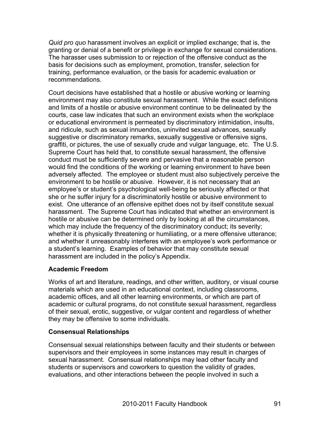*Quid pro quo* harassment involves an explicit or implied exchange; that is, the granting or denial of a benefit or privilege in exchange for sexual considerations. The harasser uses submission to or rejection of the offensive conduct as the basis for decisions such as employment, promotion, transfer, selection for training, performance evaluation, or the basis for academic evaluation or recommendations.

Court decisions have established that a hostile or abusive working or learning environment may also constitute sexual harassment. While the exact definitions and limits of a hostile or abusive environment continue to be delineated by the courts, case law indicates that such an environment exists when the workplace or educational environment is permeated by discriminatory intimidation, insults, and ridicule, such as sexual innuendos, uninvited sexual advances, sexually suggestive or discriminatory remarks, sexually suggestive or offensive signs, graffiti, or pictures, the use of sexually crude and vulgar language, etc. The U.S. Supreme Court has held that, to constitute sexual harassment, the offensive conduct must be sufficiently severe and pervasive that a reasonable person would find the conditions of the working or learning environment to have been adversely affected. The employee or student must also subjectively perceive the environment to be hostile or abusive. However, it is not necessary that an employee's or student's psychological well-being be seriously affected or that she or he suffer injury for a discriminatorily hostile or abusive environment to exist. One utterance of an offensive epithet does not by itself constitute sexual harassment. The Supreme Court has indicated that whether an environment is hostile or abusive can be determined only by looking at all the circumstances, which may include the frequency of the discriminatory conduct; its severity; whether it is physically threatening or humiliating, or a mere offensive utterance; and whether it unreasonably interferes with an employee's work performance or a student's learning. Examples of behavior that may constitute sexual harassment are included in the policy's Appendix.

#### **Academic Freedom**

Works of art and literature, readings, and other written, auditory, or visual course materials which are used in an educational context, including classrooms, academic offices, and all other learning environments, or which are part of academic or cultural programs, do not constitute sexual harassment, regardless of their sexual, erotic, suggestive, or vulgar content and regardless of whether they may be offensive to some individuals.

#### **Consensual Relationships**

Consensual sexual relationships between faculty and their students or between supervisors and their employees in some instances may result in charges of sexual harassment. Consensual relationships may lead other faculty and students or supervisors and coworkers to question the validity of grades, evaluations, and other interactions between the people involved in such a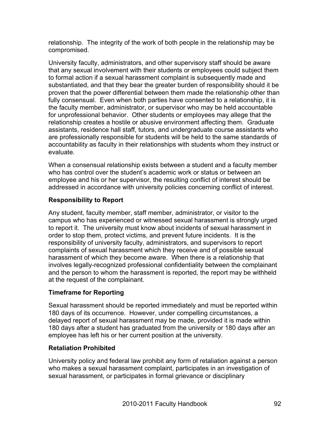relationship. The integrity of the work of both people in the relationship may be compromised.

University faculty, administrators, and other supervisory staff should be aware that any sexual involvement with their students or employees could subject them to formal action if a sexual harassment complaint is subsequently made and substantiated, and that they bear the greater burden of responsibility should it be proven that the power differential between them made the relationship other than fully consensual. Even when both parties have consented to a relationship, it is the faculty member, administrator, or supervisor who may be held accountable for unprofessional behavior. Other students or employees may allege that the relationship creates a hostile or abusive environment affecting them. Graduate assistants, residence hall staff, tutors, and undergraduate course assistants who are professionally responsible for students will be held to the same standards of accountability as faculty in their relationships with students whom they instruct or evaluate.

When a consensual relationship exists between a student and a faculty member who has control over the student's academic work or status or between an employee and his or her supervisor, the resulting conflict of interest should be addressed in accordance with university policies concerning conflict of interest.

# **Responsibility to Report**

Any student, faculty member, staff member, administrator, or visitor to the campus who has experienced or witnessed sexual harassment is strongly urged to report it. The university must know about incidents of sexual harassment in order to stop them, protect victims, and prevent future incidents. It is the responsibility of university faculty, administrators, and supervisors to report complaints of sexual harassment which they receive and of possible sexual harassment of which they become aware. When there is a relationship that involves legally-recognized professional confidentiality between the complainant and the person to whom the harassment is reported, the report may be withheld at the request of the complainant.

# **Timeframe for Reporting**

Sexual harassment should be reported immediately and must be reported within 180 days of its occurrence. However, under compelling circumstances, a delayed report of sexual harassment may be made, provided it is made within 180 days after a student has graduated from the university or 180 days after an employee has left his or her current position at the university.

# **Retaliation Prohibited**

University policy and federal law prohibit any form of retaliation against a person who makes a sexual harassment complaint, participates in an investigation of sexual harassment, or participates in formal grievance or disciplinary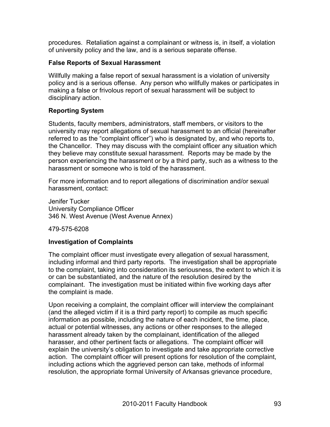procedures. Retaliation against a complainant or witness is, in itself, a violation of university policy and the law, and is a serious separate offense.

#### **False Reports of Sexual Harassment**

Willfully making a false report of sexual harassment is a violation of university policy and is a serious offense. Any person who willfully makes or participates in making a false or frivolous report of sexual harassment will be subject to disciplinary action.

# **Reporting System**

Students, faculty members, administrators, staff members, or visitors to the university may report allegations of sexual harassment to an official (hereinafter referred to as the "complaint officer") who is designated by, and who reports to, the Chancellor. They may discuss with the complaint officer any situation which they believe may constitute sexual harassment. Reports may be made by the person experiencing the harassment or by a third party, such as a witness to the harassment or someone who is told of the harassment.

For more information and to report allegations of discrimination and/or sexual harassment, contact:

Jenifer Tucker University Compliance Officer 346 N. West Avenue (West Avenue Annex)

479-575-6208

# **Investigation of Complaints**

The complaint officer must investigate every allegation of sexual harassment, including informal and third party reports. The investigation shall be appropriate to the complaint, taking into consideration its seriousness, the extent to which it is or can be substantiated, and the nature of the resolution desired by the complainant. The investigation must be initiated within five working days after the complaint is made.

Upon receiving a complaint, the complaint officer will interview the complainant (and the alleged victim if it is a third party report) to compile as much specific information as possible, including the nature of each incident, the time, place, actual or potential witnesses, any actions or other responses to the alleged harassment already taken by the complainant, identification of the alleged harasser, and other pertinent facts or allegations. The complaint officer will explain the university's obligation to investigate and take appropriate corrective action. The complaint officer will present options for resolution of the complaint, including actions which the aggrieved person can take, methods of informal resolution, the appropriate formal University of Arkansas grievance procedure,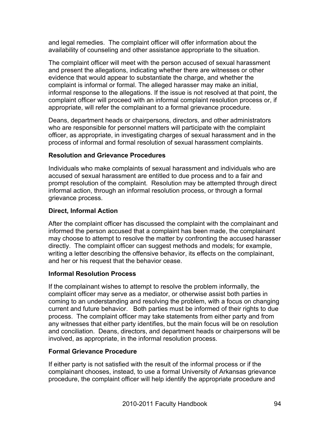and legal remedies. The complaint officer will offer information about the availability of counseling and other assistance appropriate to the situation.

The complaint officer will meet with the person accused of sexual harassment and present the allegations, indicating whether there are witnesses or other evidence that would appear to substantiate the charge, and whether the complaint is informal or formal. The alleged harasser may make an initial, informal response to the allegations. If the issue is not resolved at that point, the complaint officer will proceed with an informal complaint resolution process or, if appropriate, will refer the complainant to a formal grievance procedure.

Deans, department heads or chairpersons, directors, and other administrators who are responsible for personnel matters will participate with the complaint officer, as appropriate, in investigating charges of sexual harassment and in the process of informal and formal resolution of sexual harassment complaints.

#### **Resolution and Grievance Procedures**

Individuals who make complaints of sexual harassment and individuals who are accused of sexual harassment are entitled to due process and to a fair and prompt resolution of the complaint. Resolution may be attempted through direct informal action, through an informal resolution process, or through a formal grievance process.

#### **Direct, Informal Action**

After the complaint officer has discussed the complaint with the complainant and informed the person accused that a complaint has been made, the complainant may choose to attempt to resolve the matter by confronting the accused harasser directly. The complaint officer can suggest methods and models; for example, writing a letter describing the offensive behavior, its effects on the complainant, and her or his request that the behavior cease.

#### **Informal Resolution Process**

If the complainant wishes to attempt to resolve the problem informally, the complaint officer may serve as a mediator, or otherwise assist both parties in coming to an understanding and resolving the problem, with a focus on changing current and future behavior. Both parties must be informed of their rights to due process. The complaint officer may take statements from either party and from any witnesses that either party identifies, but the main focus will be on resolution and conciliation. Deans, directors, and department heads or chairpersons will be involved, as appropriate, in the informal resolution process.

# **Formal Grievance Procedure**

If either party is not satisfied with the result of the informal process or if the complainant chooses, instead, to use a formal University of Arkansas grievance procedure, the complaint officer will help identify the appropriate procedure and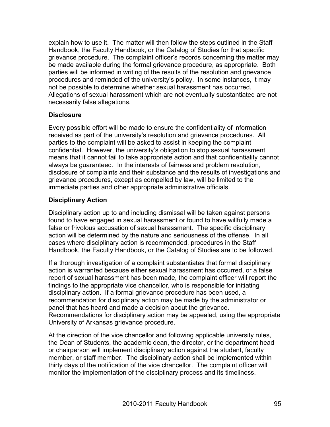explain how to use it. The matter will then follow the steps outlined in the Staff Handbook, the Faculty Handbook, or the Catalog of Studies for that specific grievance procedure. The complaint officer's records concerning the matter may be made available during the formal grievance procedure, as appropriate. Both parties will be informed in writing of the results of the resolution and grievance procedures and reminded of the university's policy. In some instances, it may not be possible to determine whether sexual harassment has occurred. Allegations of sexual harassment which are not eventually substantiated are not necessarily false allegations.

#### **Disclosure**

Every possible effort will be made to ensure the confidentiality of information received as part of the university's resolution and grievance procedures. All parties to the complaint will be asked to assist in keeping the complaint confidential. However, the university's obligation to stop sexual harassment means that it cannot fail to take appropriate action and that confidentiality cannot always be guaranteed. In the interests of fairness and problem resolution, disclosure of complaints and their substance and the results of investigations and grievance procedures, except as compelled by law, will be limited to the immediate parties and other appropriate administrative officials.

# **Disciplinary Action**

Disciplinary action up to and including dismissal will be taken against persons found to have engaged in sexual harassment or found to have willfully made a false or frivolous accusation of sexual harassment. The specific disciplinary action will be determined by the nature and seriousness of the offense. In all cases where disciplinary action is recommended, procedures in the Staff Handbook, the Faculty Handbook, or the Catalog of Studies are to be followed.

If a thorough investigation of a complaint substantiates that formal disciplinary action is warranted because either sexual harassment has occurred, or a false report of sexual harassment has been made, the complaint officer will report the findings to the appropriate vice chancellor, who is responsible for initiating disciplinary action. If a formal grievance procedure has been used, a recommendation for disciplinary action may be made by the administrator or panel that has heard and made a decision about the grievance. Recommendations for disciplinary action may be appealed, using the appropriate University of Arkansas grievance procedure.

At the direction of the vice chancellor and following applicable university rules, the Dean of Students, the academic dean, the director, or the department head or chairperson will implement disciplinary action against the student, faculty member, or staff member. The disciplinary action shall be implemented within thirty days of the notification of the vice chancellor. The complaint officer will monitor the implementation of the disciplinary process and its timeliness.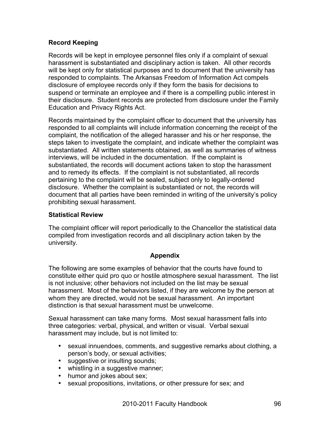# **Record Keeping**

Records will be kept in employee personnel files only if a complaint of sexual harassment is substantiated and disciplinary action is taken. All other records will be kept only for statistical purposes and to document that the university has responded to complaints. The Arkansas Freedom of Information Act compels disclosure of employee records only if they form the basis for decisions to suspend or terminate an employee and if there is a compelling public interest in their disclosure. Student records are protected from disclosure under the Family Education and Privacy Rights Act.

Records maintained by the complaint officer to document that the university has responded to all complaints will include information concerning the receipt of the complaint, the notification of the alleged harasser and his or her response, the steps taken to investigate the complaint, and indicate whether the complaint was substantiated. All written statements obtained, as well as summaries of witness interviews, will be included in the documentation. If the complaint is substantiated, the records will document actions taken to stop the harassment and to remedy its effects. If the complaint is not substantiated, all records pertaining to the complaint will be sealed, subject only to legally-ordered disclosure. Whether the complaint is substantiated or not, the records will document that all parties have been reminded in writing of the university's policy prohibiting sexual harassment.

# **Statistical Review**

The complaint officer will report periodically to the Chancellor the statistical data compiled from investigation records and all disciplinary action taken by the university.

# **Appendix**

The following are some examples of behavior that the courts have found to constitute either quid pro quo or hostile atmosphere sexual harassment. The list is not inclusive; other behaviors not included on the list may be sexual harassment. Most of the behaviors listed, if they are welcome by the person at whom they are directed, would not be sexual harassment. An important distinction is that sexual harassment must be unwelcome.

Sexual harassment can take many forms. Most sexual harassment falls into three categories: verbal, physical, and written or visual. Verbal sexual harassment may include, but is not limited to:

- sexual innuendoes, comments, and suggestive remarks about clothing, a person's body, or sexual activities;
- suggestive or insulting sounds;
- whistling in a suggestive manner;
- humor and jokes about sex;
- sexual propositions, invitations, or other pressure for sex; and